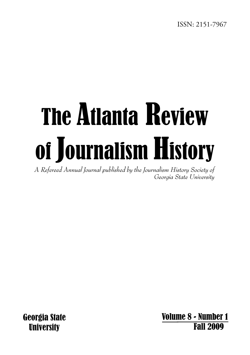# The Atlanta Review of Journalism History

*A Refereed Annual Journal published by the Journalism History Society of Georgia State University*

Georgia State

 Volume 8 - Number 1 Fall 2009 University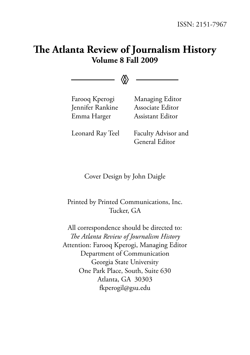## **The Atlanta Review of Journalism History Volume 8 Fall 2009**

 $\langle \Diamond \rangle$ 

 Jennifer Rankine Associate Editor Emma Harger Assistant Editor

Farooq Kperogi Managing Editor

 Leonard Ray Teel Faculty Advisor and General Editor

Cover Design by John Daigle

Printed by Printed Communications, Inc. Tucker, GA

All correspondence should be directed to: *The Atlanta Review of Journalism History* Attention: Farooq Kperogi, Managing Editor Department of Communication Georgia State University One Park Place, South, Suite 630 Atlanta, GA 30303 fkperogil@gsu.edu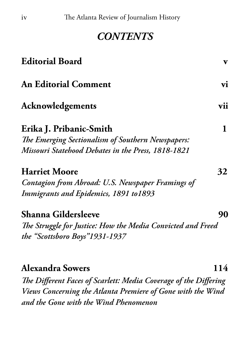*CONTENTS*

| <b>Editorial Board</b>                                           | $\mathbf{v}$ |
|------------------------------------------------------------------|--------------|
| <b>An Editorial Comment</b>                                      | vi           |
| <b>Acknowledgements</b>                                          | vii          |
| Erika J. Pribanic-Smith                                          | $\mathbf{1}$ |
| The Emerging Sectionalism of Southern Newspapers:                |              |
| Missouri Statehood Debates in the Press, 1818-1821               |              |
| <b>Harriet Moore</b>                                             | 32           |
| Contagion from Abroad: U.S. Newspaper Framings of                |              |
| <b>Immigrants and Epidemics, 1891 to 1893</b>                    |              |
| <b>Shanna Gildersleeve</b>                                       | 90           |
| The Struggle for Justice: How the Media Convicted and Freed      |              |
| the "Scottsboro Boys"1931-1937                                   |              |
| <b>Alexandra Sowers</b>                                          | 114          |
| The Different Faces of Scarlett: Media Coverage of the Differing |              |

*Views Concerning the Atlanta Premiere of Gone with the Wind and the Gone with the Wind Phenomenon*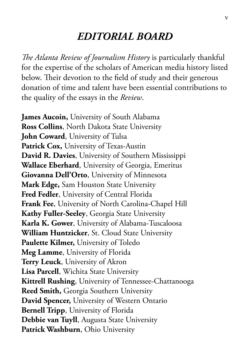## *EDITORIAL BOARD*

*The Atlanta Review of Journalism History* is particularly thankful for the expertise of the scholars of American media history listed below. Their devotion to the field of study and their generous donation of time and talent have been essential contributions to the quality of the essays in the *Review*.

**James Aucoin,** University of South Alabama **Ross Collins**, North Dakota State University **John Coward**, University of Tulsa **Patrick Cox,** University of Texas-Austin **David R. Davies**, University of Southern Mississippi **Wallace Eberhard**, University of Georgia, Emeritus **Giovanna Dell'Orto**, University of Minnesota **Mark Edge,** Sam Houston State University **Fred Fedler**, University of Central Florida **Frank Fee**, University of North Carolina-Chapel Hill **Kathy Fuller-Seeley**, Georgia State University **Karla K. Gower**, University of Alabama-Tuscaloosa **William Huntzicker**, St. Cloud State University **Paulette Kilmer,** University of Toledo **Meg Lamme**, University of Florida **Terry Leuck**, University of Akron **Lisa Parcell**, Wichita State University **Kittrell Rushing**, University of Tennessee-Chattanooga **Reed Smith,** Georgia Southern University **David Spencer,** University of Western Ontario **Bernell Tripp**, University of Florida **Debbie van Tuyll**, Augusta State University **Patrick Washburn**, Ohio University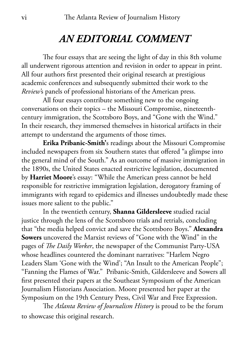## *AN EDITORIAL COMMENT*

The four essays that are seeing the light of day in this 8th volume all underwent rigorous attention and revision in order to appear in print. All four authors first presented their original research at prestigious academic conferences and subsequently submitted their work to the *Review'*s panels of professional historians of the American press.

All four essays contribute something new to the ongoing conversations on their topics – the Missouri Compromise, nineteenthcentury immigration, the Scottsboro Boys, and "Gone with the Wind." In their research, they immersed themselves in historical artifacts in their attempt to understand the arguments of those times.

**Erika Pribanic-Smith'**s readings about the Missouri Compromise included newspapers from six Southern states that offered "a glimpse into the general mind of the South." As an outcome of massive immigration in the 1890s, the United States enacted restrictive legislation, documented by **Harriet Moore**'s essay: "While the American press cannot be held responsible for restrictive immigration legislation, derogatory framing of immigrants with regard to epidemics and illnesses undoubtedly made these issues more salient to the public."

In the twentieth century, **Shanna Gildersleeve** studied racial justice through the lens of the Scottsboro trials and retrials, concluding that "the media helped convict and save the Scottsboro Boys." **Alexandra Sowers** uncovered the Marxist reviews of "Gone with the Wind" in the pages of *The Daily Worker*, the newspaper of the Communist Party-USA whose headlines countered the dominant narratives: "Harlem Negro Leaders Slam 'Gone with the Wind'; "An Insult to the American People"; "Fanning the Flames of War." Pribanic-Smith, Gildersleeve and Sowers all first presented their papers at the Southeast Symposium of the American Journalism Historians Association. Moore presented her paper at the Symposium on the 19th Century Press, Civil War and Free Expression.

The *Atlanta Review of Journalism History* is proud to be the forum to showcase this original research.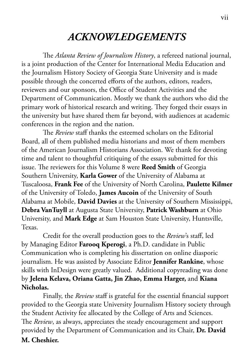## *ACKNOWLEDGEMENTS*

The *Atlanta Review of Journalism History*, a refereed national journal, is a joint production of the Center for International Media Education and the Journalism History Society of Georgia State University and is made possible through the concerted efforts of the authors, editors, readers, reviewers and our sponsors, the Office of Student Activities and the Department of Communication. Mostly we thank the authors who did the primary work of historical research and writing. They forged their essays in the university but have shared them far beyond, with audiences at academic conferences in the region and the nation.

The *Review* staff thanks the esteemed scholars on the Editorial Board, all of them published media historians and most of them members of the American Journalism Historians Association. We thank for devoting time and talent to thoughtful critiquing of the essays submitted for this issue. The reviewers for this Volume 8 were **Reed Smith** of Georgia Southern University, **Karla Gower** of the University of Alabama at Tuscaloosa, **Frank Fee** of the University of North Carolina, **Paulette Kilmer** of the University of Toledo, **James Aucoin** of the University of South Alabama at Mobile, **David Davies** at the University of Southern Mississippi, **Debra VanTuyll** at Augusta State University, **Patrick Washburn** at Ohio University, and **Mark Edge** at Sam Houston State University, Huntsville, Texas.

Credit for the overall production goes to the *Review*'s staff, led by Managing Editor **Farooq Kperogi**, a Ph.D. candidate in Public Communication who is completing his dissertation on online diasporic journalism. He was assisted by Associate Editor **Jennifer Rankine**, whose skills with InDesign were greatly valued. Additional copyreading was done by **Jelena Kelava, Oriana Gatta, Jin Zhao, Emma Harger,** and **Kiana Nicholas.**

Finally, the *Review* staff is grateful for the essential financial support provided to the Georgia state University Journalism History society through the Student Activity fee allocated by the College of Arts and Sciences. The *Review*, as always, appreciates the steady encouragement and support provided by the Department of Communication and its Chair, **Dr. David M. Cheshier.**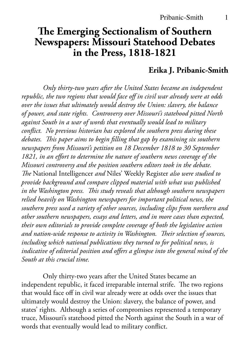## **The Emerging Sectionalism of Southern Newspapers: Missouri Statehood Debates in the Press, 1818-1821**

#### **Erika J. Pribanic-Smith**

*Only thirty-two years after the United States became an independent republic, the two regions that would face off in civil war already were at odds over the issues that ultimately would destroy the Union: slavery, the balance of power, and state rights. Controversy over Missouri's statehood pitted North against South in a war of words that eventually would lead to military conflict. No previous historian has explored the southern press during these debates. This paper aims to begin filling that gap by examining six southern newspapers from Missouri's petition on 18 December 1818 to 30 September 1821, in an effort to determine the nature of southern news coverage of the Missouri controversy and the position southern editors took in the debate. The* National Intelligencer *and* Niles' Weekly Register *also were studied to provide background and compare clipped material with what was published in the Washington press. This study reveals that although southern newspapers relied heavily on Washington newspapers for important political news, the southern press used a variety of other sources, including clips from northern and other southern newspapers, essays and letters, and in more cases than expected, their own editorials to provide complete coverage of both the legislative action and nation-wide response to activity in Washington. Their selection of sources, including which national publications they turned to for political news, is indicative of editorial position and offers a glimpse into the general mind of the South at this crucial time.*

Only thirty-two years after the United States became an independent republic, it faced irreparable internal strife. The two regions that would face off in civil war already were at odds over the issues that ultimately would destroy the Union: slavery, the balance of power, and states' rights. Although a series of compromises represented a temporary truce, Missouri's statehood pitted the North against the South in a war of words that eventually would lead to military conflict.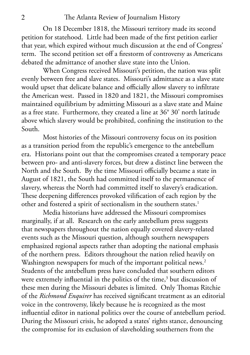On 18 December 1818, the Missouri territory made its second petition for statehood. Little had been made of the first petition earlier that year, which expired without much discussion at the end of Congress' term. The second petition set off a firestorm of controversy as Americans debated the admittance of another slave state into the Union.

When Congress received Missouri's petition, the nation was split evenly between free and slave states. Missouri's admittance as a slave state would upset that delicate balance and officially allow slavery to infiltrate the American west. Passed in 1820 and 1821, the Missouri compromises maintained equilibrium by admitting Missouri as a slave state and Maine as a free state. Furthermore, they created a line at 36° 30' north latitude above which slavery would be prohibited, confining the institution to the South.

Most histories of the Missouri controversy focus on its position as a transition period from the republic's emergence to the antebellum era. Historians point out that the compromises created a temporary peace between pro- and anti-slavery forces, but drew a distinct line between the North and the South. By the time Missouri officially became a state in August of 1821, the South had committed itself to the permanence of slavery, whereas the North had committed itself to slavery's eradication. These deepening differences provoked vilification of each region by the other and fostered a spirit of sectionalism in the southern states.<sup>1</sup>

Media historians have addressed the Missouri compromises marginally, if at all. Research on the early antebellum press suggests that newspapers throughout the nation equally covered slavery-related events such as the Missouri question, although southern newspapers emphasized regional aspects rather than adopting the national emphasis of the northern press. Editors throughout the nation relied heavily on Washington newspapers for much of the important political news.<sup>2</sup> Students of the antebellum press have concluded that southern editors were extremely influential in the politics of the time,<sup>3</sup> but discussion of these men during the Missouri debates is limited. Only Thomas Ritchie of the *Richmond Enquirer* has received significant treatment as an editorial voice in the controversy, likely because he is recognized as the most influential editor in national politics over the course of antebellum period. During the Missouri crisis, he adopted a states' rights stance, denouncing the compromise for its exclusion of slaveholding southerners from the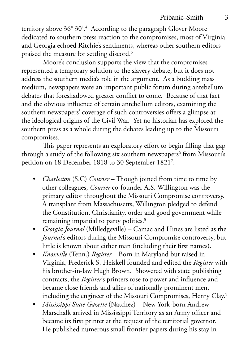territory above 36° 30'.4 According to the paragraph Glover Moore dedicated to southern press reaction to the compromises, most of Virginia and Georgia echoed Ritchie's sentiments, whereas other southern editors praised the measure for settling discord.<sup>5</sup>

Moore's conclusion supports the view that the compromises represented a temporary solution to the slavery debate, but it does not address the southern media's role in the argument. As a budding mass medium, newspapers were an important public forum during antebellum debates that foreshadowed greater conflict to come. Because of that fact and the obvious influence of certain antebellum editors, examining the southern newspapers' coverage of such controversies offers a glimpse at the ideological origins of the Civil War. Yet no historian has explored the southern press as a whole during the debates leading up to the Missouri compromises.

This paper represents an exploratory effort to begin filling that gap through a study of the following six southern newspapers<sup>6</sup> from Missouri's petition on 18 December 1818 to 30 September 18217 :

- *Charleston* (S.C) *Courier* Though joined from time to time by other colleagues, *Courier* co-founder A.S. Willington was the primary editor throughout the Missouri Compromise controversy. A transplant from Massachusetts, Willington pledged to defend the Constitution, Christianity, order and good government while remaining impartial to party politics.<sup>8</sup>
- *Georgia Journal* (Milledgeville) Camac and Hines are listed as the *Journal*'s editors during the Missouri Compromise controversy, but little is known about either man (including their first names).
- *Knoxville* (Tenn.) *Register* Born in Maryland but raised in Virginia, Frederick S. Heiskell founded and edited the *Register* with his brother-in-law Hugh Brown. Showered with state publishing contracts, the *Register'*s printers rose to power and influence and became close friends and allies of nationally prominent men, including the engineer of the Missouri Compromises, Henry Clay.<sup>9</sup>
- *Mississippi State Gazette* (Natchez) New York-born Andrew Marschalk arrived in Mississippi Territory as an Army officer and became its first printer at the request of the territorial governor. He published numerous small frontier papers during his stay in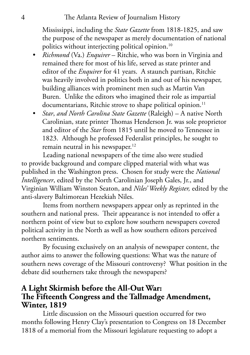Mississippi, including the *State Gazette* from 1818-1825, and saw the purpose of the newspaper as merely documentation of national politics without interjecting political opinion.<sup>10</sup>

- *Richmond* (Va.) *Enquirer* Ritchie, who was born in Virginia and remained there for most of his life, served as state printer and editor of the *Enquirer* for 41 years. A staunch partisan, Ritchie was heavily involved in politics both in and out of his newspaper, building alliances with prominent men such as Martin Van Buren. Unlike the editors who imagined their role as impartial documentarians, Ritchie strove to shape political opinion.<sup>11</sup>
- *Star*, *and North Carolina State Gazette* (Raleigh) A native North Carolinian, state printer Thomas Henderson Jr. was sole proprietor and editor of the *Star* from 1815 until he moved to Tennessee in 1823. Although he professed Federalist principles, he sought to remain neutral in his newspaper.<sup>12</sup>

Leading national newspapers of the time also were studied to provide background and compare clipped material with what was published in the Washington press. Chosen for study were the *National Intelligencer*, edited by the North Carolinian Joseph Gales, Jr., and Virginian William Winston Seaton, and *Niles' Weekly Register,* edited by the anti-slavery Baltimorean Hezekiah Niles.

Items from northern newspapers appear only as reprinted in the southern and national press. Their appearance is not intended to offer a northern point of view but to explore how southern newspapers covered political activity in the North as well as how southern editors perceived northern sentiments.

By focusing exclusively on an analysis of newspaper content, the author aims to answer the following questions: What was the nature of southern news coverage of the Missouri controversy? What position in the debate did southerners take through the newspapers?

#### **A Light Skirmish before the All-Out War: The Fifteenth Congress and the Tallmadge Amendment, Winter, 1819**

Little discussion on the Missouri question occurred for two months following Henry Clay's presentation to Congress on 18 December 1818 of a memorial from the Missouri legislature requesting to adopt a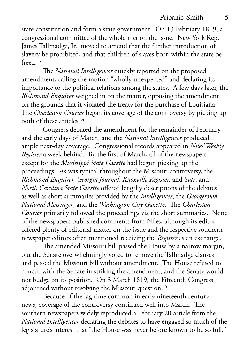state constitution and form a state government. On 13 February 1819, a congressional committee of the whole met on the issue. New York Rep. James Tallmadge, Jr., moved to amend that the further introduction of slavery be prohibited, and that children of slaves born within the state be freed.13

The *National Intelligencer* quickly reported on the proposed amendment, calling the motion "wholly unexpected" and declaring its importance to the political relations among the states. A few days later, the *Richmond Enquirer* weighed in on the matter, opposing the amendment on the grounds that it violated the treaty for the purchase of Louisiana. The *Charleston Courier* began its coverage of the controversy by picking up both of these articles.14

Congress debated the amendment for the remainder of February and the early days of March, and the *National Intelligencer* produced ample next-day coverage. Congressional records appeared in *Niles' Weekly Register* a week behind. By the first of March, all of the newspapers except for the *Mississippi State Gazette* had begun picking up the proceedings. As was typical throughout the Missouri controversy, the *Richmond Enquirer, Georgia Journal, Knoxville Register,* and *Star*, and *North Carolina State Gazette* offered lengthy descriptions of the debates as well as short summaries provided by the *Intelligencer*, the *Georgetown National Messenger*, and the *Washington City Gazette*. The *Charleston Courier* primarily followed the proceedings via the short summaries. None of the newspapers published comments from Niles, although its editor offered plenty of editorial matter on the issue and the respective southern newspaper editors often mentioned receiving the *Register* as an exchange.

The amended Missouri bill passed the House by a narrow margin, but the Senate overwhelmingly voted to remove the Tallmadge clauses and passed the Missouri bill without amendment. The House refused to concur with the Senate in striking the amendment, and the Senate would not budge on its position. On 3 March 1819, the Fifteenth Congress adjourned without resolving the Missouri question.<sup>15</sup>

Because of the lag time common in early nineteenth century news, coverage of the controversy continued well into March. The southern newspapers widely reproduced a February 20 article from the *National Intelligencer* declaring the debates to have engaged so much of the legislature's interest that "the House was never before known to be so full."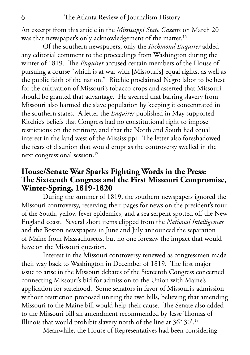An excerpt from this article in the *Mississippi State Gazette* on March 20 was that newspaper's only acknowledgement of the matter.<sup>16</sup>

Of the southern newspapers, only the *Richmond Enquirer* added any editorial comment to the proceedings from Washington during the winter of 1819. The *Enquirer* accused certain members of the House of pursuing a course "which is at war with [Missouri's] equal rights, as well as the public faith of the nation." Ritchie proclaimed Negro labor to be best for the cultivation of Missouri's tobacco crops and asserted that Missouri should be granted that advantage. He averred that barring slavery from Missouri also harmed the slave population by keeping it concentrated in the southern states. A letter the *Enquirer* published in May supported Ritchie's beliefs that Congress had no constitutional right to impose restrictions on the territory, and that the North and South had equal interest in the land west of the Mississippi. The letter also foreshadowed the fears of disunion that would erupt as the controversy swelled in the next congressional session.<sup>17</sup>

#### **House/Senate War Sparks Fighting Words in the Press: The Sixteenth Congress and the First Missouri Compromise, Winter-Spring, 1819-1820**

During the summer of 1819, the southern newspapers ignored the Missouri controversy, reserving their pages for news on the president's tour of the South, yellow fever epidemics, and a sea serpent spotted off the New England coast. Several short items clipped from the *National Intelligencer*  and the Boston newspapers in June and July announced the separation of Maine from Massachusetts, but no one foresaw the impact that would have on the Missouri question.

Interest in the Missouri controversy renewed as congressmen made their way back to Washington in December of 1819. The first major issue to arise in the Missouri debates of the Sixteenth Congress concerned connecting Missouri's bid for admission to the Union with Maine's application for statehood. Some senators in favor of Missouri's admission without restriction proposed uniting the two bills, believing that amending Missouri to the Maine bill would help their cause. The Senate also added to the Missouri bill an amendment recommended by Jesse Thomas of Illinois that would prohibit slavery north of the line at 36° 30'.18

Meanwhile, the House of Representatives had been considering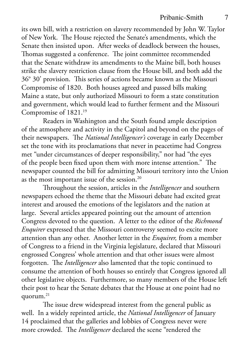its own bill, with a restriction on slavery recommended by John W. Taylor of New York. The House rejected the Senate's amendments, which the Senate then insisted upon. After weeks of deadlock between the houses, Thomas suggested a conference. The joint committee recommended that the Senate withdraw its amendments to the Maine bill, both houses strike the slavery restriction clause from the House bill, and both add the 36° 30' provision. This series of actions became known as the Missouri Compromise of 1820. Both houses agreed and passed bills making Maine a state, but only authorized Missouri to form a state constitution and government, which would lead to further ferment and the Missouri Compromise of 1821.19

Readers in Washington and the South found ample description of the atmosphere and activity in the Capitol and beyond on the pages of their newspapers. The *National Intelligencer's* coverage in early December set the tone with its proclamations that never in peacetime had Congress met "under circumstances of deeper responsibility," nor had "the eyes of the people been fixed upon them with more intense attention." The newspaper counted the bill for admitting Missouri territory into the Union as the most important issue of the session.20

Throughout the session, articles in the *Intelligencer* and southern newspapers echoed the theme that the Missouri debate had excited great interest and aroused the emotions of the legislators and the nation at large. Several articles appeared pointing out the amount of attention Congress devoted to the question. A letter to the editor of the *Richmond Enquirer* expressed that the Missouri controversy seemed to excite more attention than any other. Another letter in the *Enquirer,* from a member of Congress to a friend in the Virginia legislature, declared that Missouri engrossed Congress' whole attention and that other issues were almost forgotten. The *Intelligencer* also lamented that the topic continued to consume the attention of both houses so entirely that Congress ignored all other legislative objects. Furthermore, so many members of the House left their post to hear the Senate debates that the House at one point had no quorum. $^{21}$ 

The issue drew widespread interest from the general public as well. In a widely reprinted article, the *National Intelligencer* of January 14 proclaimed that the galleries and lobbies of Congress never were more crowded. The *Intelligencer* declared the scene "rendered the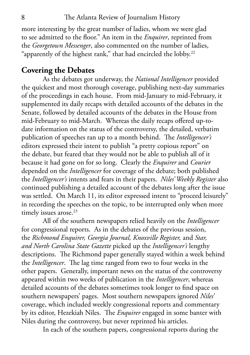more interesting by the great number of ladies, whom we were glad to see admitted to the floor." An item in the *Enquirer*, reprinted from the *Georgetown Messenger*, also commented on the number of ladies, "apparently of the highest rank," that had encircled the lobby.<sup>22</sup>

#### **Covering the Debates**

As the debates got underway, the *National Intelligencer* provided the quickest and most thorough coverage, publishing next-day summaries of the proceedings in each house. From mid-January to mid-February, it supplemented its daily recaps with detailed accounts of the debates in the Senate, followed by detailed accounts of the debates in the House from mid-February to mid-March. Whereas the daily recaps offered up-todate information on the status of the controversy, the detailed, verbatim publication of speeches ran up to a month behind. The *Intelligencer's* editors expressed their intent to publish "a pretty copious report" on the debate, but feared that they would not be able to publish all of it because it had gone on for so long. Clearly the *Enquirer* and *Courier* depended on the *Intelligencer* for coverage of the debate; both published the *Intelligencer's* intents and fears in their papers. *Niles' Weekly Register* also continued publishing a detailed account of the debates long after the issue was settled. On March 11, its editor expressed intent to "proceed leisurely" in recording the speeches on the topic, to be interrupted only when more timely issues arose.<sup>23</sup>

All of the southern newspapers relied heavily on the *Intelligencer* for congressional reports. As in the debates of the previous session, the *Richmond Enquirer, Georgia Journal, Knoxville Register,* and *Star, and North Carolina State Gazette* picked up the *Intelligencer's* lengthy descriptions. The Richmond paper generally stayed within a week behind the *Intelligencer*. The lag time ranged from two to four weeks in the other papers. Generally, important news on the status of the controversy appeared within two weeks of publication in the *Intelligencer*, whereas detailed accounts of the debates sometimes took longer to find space on southern newspapers' pages. Most southern newspapers ignored *Niles'*  coverage, which included weekly congressional reports and commentary by its editor, Hezekiah Niles. The *Enquirer* engaged in some banter with Niles during the controversy, but never reprinted his articles.

In each of the southern papers, congressional reports during the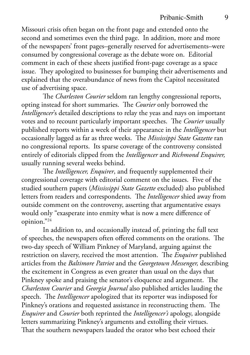Missouri crisis often began on the front page and extended onto the second and sometimes even the third page. In addition, more and more of the newspapers' front pages–generally reserved for advertisements–were consumed by congressional coverage as the debate wore on. Editorial comment in each of these sheets justified front-page coverage as a space issue. They apologized to businesses for bumping their advertisements and explained that the overabundance of news from the Capitol necessitated use of advertising space.

The *Charleston Courier* seldom ran lengthy congressional reports, opting instead for short summaries. The *Courier* only borrowed the *Intelligencer*'s detailed descriptions to relay the yeas and nays on important votes and to recount particularly important speeches. The *Courier* usually published reports within a week of their appearance in the *Intelligencer* but occasionally lagged as far as three weeks. The *Mississippi State Gazette* ran no congressional reports. Its sparse coverage of the controversy consisted entirely of editorials clipped from the *Intelligencer* and *Richmond Enquirer,* usually running several weeks behind.

The *Intelligencer, Enquirer*, and frequently supplemented their congressional coverage with editorial comment on the issues. Five of the studied southern papers (*Mississippi State Gazette* excluded) also published letters from readers and correspondents. The *Intelligencer* shied away from outside comment on the controversy, asserting that argumentative essays would only "exasperate into enmity what is now a mere difference of opinion."24

In addition to, and occasionally instead of, printing the full text of speeches, the newspapers often offered comments on the orations. The two-day speech of William Pinkney of Maryland, arguing against the restriction on slavery, received the most attention. The *Enquirer* published articles from the *Baltimore Patriot* and the *Georgetown Messenger,* describing the excitement in Congress as even greater than usual on the days that Pinkney spoke and praising the senator's eloquence and argument. The *Charleston Courier* and *Georgia Journal* also published articles lauding the speech. The *Intelligencer* apologized that its reporter was indisposed for Pinkney's orations and requested assistance in reconstructing them. The *Enquirer* and *Courier* both reprinted the *Intelligencer's* apology, alongside letters summarizing Pinkney's arguments and extolling their virtues. That the southern newspapers lauded the orator who best echoed their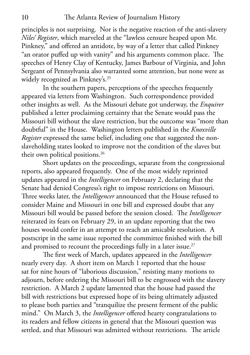principles is not surprising. Nor is the negative reaction of the anti-slavery *Niles' Register*, which marveled at the "lawless censure heaped upon Mr. Pinkney," and offered an antidote, by way of a letter that called Pinkney "an orator puffed up with vanity" and his arguments common place. The speeches of Henry Clay of Kentucky, James Barbour of Virginia, and John Sergeant of Pennsylvania also warranted some attention, but none were as widely recognized as Pinkney's.<sup>25</sup>

In the southern papers, perceptions of the speeches frequently appeared via letters from Washington. Such correspondence provided other insights as well. As the Missouri debate got underway, the *Enquirer* published a letter proclaiming certainty that the Senate would pass the Missouri bill without the slave restriction, but the outcome was "more than doubtful" in the House. Washington letters published in the *Knoxville Register* expressed the same belief, including one that suggested the nonslaveholding states looked to improve not the condition of the slaves but their own political positions.<sup>26</sup>

Short updates on the proceedings, separate from the congressional reports, also appeared frequently. One of the most widely reprinted updates appeared in the *Intelligencer* on February 2, declaring that the Senate had denied Congress's right to impose restrictions on Missouri. Three weeks later, the *Intelligencer* announced that the House refused to consider Maine and Missouri in one bill and expressed doubt that any Missouri bill would be passed before the session closed. The *Intelligencer*  reiterated its fears on February 29, in an update reporting that the two houses would confer in an attempt to reach an amicable resolution. A postscript in the same issue reported the committee finished with the bill and promised to recount the proceedings fully in a later issue.<sup>27</sup>

The first week of March, updates appeared in the *Intelligencer*  nearly every day. A short item on March 1 reported that the house sat for nine hours of "laborious discussion," resisting many motions to adjourn, before ordering the Missouri bill to be engrossed with the slavery restriction. A March 2 update lamented that the house had passed the bill with restrictions but expressed hope of its being ultimately adjusted to please both parties and "tranquilize the present ferment of the public mind." On March 3, the *Intelligencer* offered hearty congratulations to its readers and fellow citizens in general that the Missouri question was settled, and that Missouri was admitted without restrictions. The article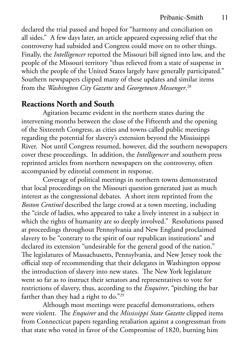declared the trial passed and hoped for "harmony and conciliation on all sides." A few days later, an article appeared expressing relief that the controversy had subsided and Congress could move on to other things. Finally, the *Intelligencer* reported the Missouri bill signed into law, and the people of the Missouri territory "thus relieved from a state of suspense in which the people of the United States largely have generally participated." Southern newspapers clipped many of these updates and similar items from the *Washington City Gazette* and *Georgetown Messenger*. 28

#### **Reactions North and South**

Agitation became evident in the northern states during the intervening months between the close of the Fifteenth and the opening of the Sixteenth Congress, as cities and towns called public meetings regarding the potential for slavery's extension beyond the Mississippi River. Not until Congress resumed, however, did the southern newspapers cover these proceedings. In addition, the *Intelligencer* and southern press reprinted articles from northern newspapers on the controversy, often accompanied by editorial comment in response.

Coverage of political meetings in northern towns demonstrated that local proceedings on the Missouri question generated just as much interest as the congressional debates. A short item reprinted from the *Boston Centinel* described the large crowd at a town meeting, including the "circle of ladies, who appeared to take a lively interest in a subject in which the rights of humanity are so deeply involved." Resolutions passed at proceedings throughout Pennsylvania and New England proclaimed slavery to be "contrary to the spirit of our republican institutions" and declared its extension "undesirable for the general good of the nation." The legislatures of Massachusetts, Pennsylvania, and New Jersey took the official step of recommending that their delegates in Washington oppose the introduction of slavery into new states. The New York legislature went so far as to instruct their senators and representatives to vote for restrictions of slavery, thus, according to the *Enquirer*, "pitching the bar farther than they had a right to do."29

Although most meetings were peaceful demonstrations, others were violent. The *Enquirer* and the *Mississippi State Gazette* clipped items from Connecticut papers regarding retaliation against a congressman from that state who voted in favor of the Compromise of 1820, burning him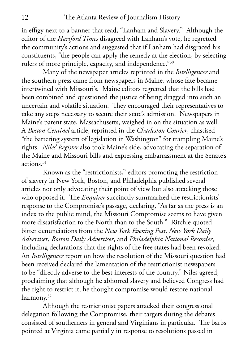in effigy next to a banner that read, "Lanham and Slavery." Although the editor of the *Hartford Times* disagreed with Lanham's vote, he regretted the community's actions and suggested that if Lanham had disgraced his constituents, "the people can apply the remedy at the election, by selecting rulers of more principle, capacity, and independence."30

Many of the newspaper articles reprinted in the *Intelligencer* and the southern press came from newspapers in Maine, whose fate became intertwined with Missouri's. Maine editors regretted that the bills had been combined and questioned the justice of being dragged into such an uncertain and volatile situation. They encouraged their representatives to take any steps necessary to secure their state's admission. Newspapers in Maine's parent state, Massachusetts, weighed in on the situation as well. A *Boston Centinel* article, reprinted in the *Charleston Courier*, chastised "the bartering system of legislation in Washington" for trampling Maine's rights. *Niles' Register* also took Maine's side, advocating the separation of the Maine and Missouri bills and expressing embarrassment at the Senate's actions.31

Known as the "restrictionists," editors promoting the restriction of slavery in New York, Boston, and Philadelphia published several articles not only advocating their point of view but also attacking those who opposed it. The *Enquirer* succinctly summarized the restrictionists' response to the Compromise's passage, declaring, "As far as the press is an index to the public mind, the Missouri Compromise seems to have given more dissatisfaction to the North than to the South." Ritchie quoted bitter denunciations from the *New York Evening Post*, *New York Daily Advertiser*, *Boston Daily Advertiser*, and *Philadelphia National Recorder*, including declarations that the rights of the free states had been revoked. An *Intelligencer* report on how the resolution of the Missouri question had been received declared the lamentation of the restrictionist newspapers to be "directly adverse to the best interests of the country." Niles agreed, proclaiming that although he abhorred slavery and believed Congress had the right to restrict it, he thought compromise would restore national harmony.<sup>32</sup>

Although the restrictionist papers attacked their congressional delegation following the Compromise, their targets during the debates consisted of southerners in general and Virginians in particular. The barbs pointed at Virginia came partially in response to resolutions passed in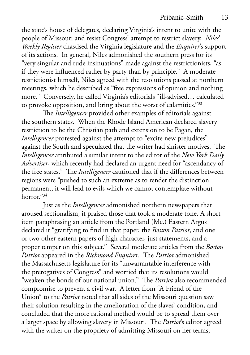the state's house of delegates, declaring Virginia's intent to unite with the people of Missouri and resist Congress' attempt to restrict slavery. *Niles' Weekly Register* chastised the Virginia legislature and the *Enquirer*'s support of its actions. In general, Niles admonished the southern press for its "very singular and rude insinuations" made against the restrictionists, "as if they were influenced rather by party than by principle." A moderate restrictionist himself, Niles agreed with the resolutions passed at northern meetings, which he described as "free expressions of opinion and nothing more." Conversely, he called Virginia's editorials "ill-advised… calculated to provoke opposition, and bring about the worst of calamities."33

The *Intelligencer* provided other examples of editorials against the southern states. When the Rhode Island American declared slavery restriction to be the Christian path and extension to be Pagan, the *Intelligencer* protested against the attempt to "excite new prejudices" against the South and speculated that the writer had sinister motives. The *Intelligencer* attributed a similar intent to the editor of the *New York Daily Advertiser*, which recently had declared an urgent need for "ascendancy of the free states." The *Intelligencer* cautioned that if the differences between regions were "pushed to such an extreme as to render the distinction permanent, it will lead to evils which we cannot contemplate without horror $^{34}$ 

Just as the *Intelligencer* admonished northern newspapers that aroused sectionalism, it praised those that took a moderate tone. A short item paraphrasing an article from the Portland (Me.) Eastern Argus declared it "gratifying to find in that paper, the *Boston Patriot*, and one or two other eastern papers of high character, just statements, and a proper temper on this subject." Several moderate articles from the *Boston Patriot* appeared in the *Richmond Enquirer*. The *Patriot* admonished the Massachusetts legislature for its "unwarrantable interference with the prerogatives of Congress" and worried that its resolutions would "weaken the bonds of our national union." The *Patriot* also recommended compromise to prevent a civil war. A letter from "A Friend of the Union" to the *Patriot* noted that all sides of the Missouri question saw their solution resulting in the amelioration of the slaves' condition, and concluded that the more rational method would be to spread them over a larger space by allowing slavery in Missouri. The *Patriot*'s editor agreed with the writer on the propriety of admitting Missouri on her terms,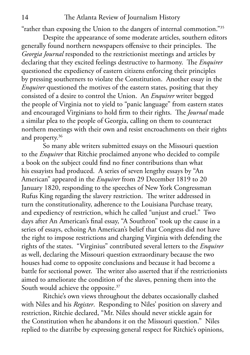"rather than exposing the Union to the dangers of internal commotion."35

Despite the appearance of some moderate articles, southern editors generally found northern newspapers offensive to their principles. The *Georgia Journal* responded to the restrictionist meetings and articles by declaring that they excited feelings destructive to harmony. The *Enquirer* questioned the expediency of eastern citizens enforcing their principles by pressing southerners to violate the Constitution. Another essay in the *Enquirer* questioned the motives of the eastern states, positing that they consisted of a desire to control the Union. An *Enquirer* writer begged the people of Virginia not to yield to "panic language" from eastern states and encouraged Virginians to hold firm to their rights. The *Journal* made a similar plea to the people of Georgia, calling on them to counteract northern meetings with their own and resist encroachments on their rights and property.36

So many able writers submitted essays on the Missouri question to the *Enquirer* that Ritchie proclaimed anyone who decided to compile a book on the subject could find no finer contributions than what his essayists had produced. A series of seven lengthy essays by "An American" appeared in the *Enquirer* from 29 December 1819 to 20 January 1820, responding to the speeches of New York Congressman Rufus King regarding the slavery restriction. The writer addressed in turn the constitutionality, adherence to the Louisiana Purchase treaty, and expediency of restriction, which he called "unjust and cruel." Two days after An American's final essay, "A Southron" took up the cause in a series of essays, echoing An American's belief that Congress did not have the right to impose restrictions and charging Virginia with defending the rights of the states. "Virginius" contributed several letters to the *Enquirer* as well, declaring the Missouri question extraordinary because the two houses had come to opposite conclusions and because it had become a battle for sectional power. The writer also asserted that if the restrictionists aimed to ameliorate the condition of the slaves, penning them into the South would achieve the opposite.<sup>37</sup>

Ritchie's own views throughout the debates occasionally clashed with Niles and his *Register*. Responding to Niles' position on slavery and restriction, Ritchie declared, "Mr. Niles should never stickle again for the Constitution when he abandons it on the Missouri question." Niles replied to the diatribe by expressing general respect for Ritchie's opinions,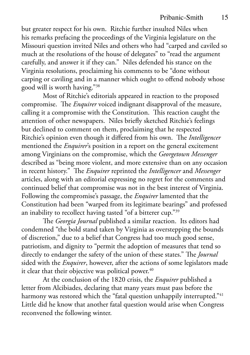but greater respect for his own. Ritchie further insulted Niles when his remarks prefacing the proceedings of the Virginia legislature on the Missouri question invited Niles and others who had "carped and caviled so much at the resolutions of the house of delegates" to "read the argument carefully, and answer it if they can." Niles defended his stance on the Virginia resolutions, proclaiming his comments to be "done without carping or caviling and in a manner which ought to offend nobody whose good will is worth having."38

Most of Ritchie's editorials appeared in reaction to the proposed compromise. The *Enquirer* voiced indignant disapproval of the measure, calling it a compromise with the Constitution. This reaction caught the attention of other newspapers. Niles briefly sketched Ritchie's feelings but declined to comment on them, proclaiming that he respected Ritchie's opinion even though it differed from his own. The *Intelligencer* mentioned the *Enquirer*'s position in a report on the general excitement among Virginians on the compromise, which the *Georgetown Messenger*  described as "being more violent, and more extensive than on any occasion in recent history." The *Enquirer* reprinted the *Intelligencer* and *Messenger* articles, along with an editorial expressing no regret for the comments and continued belief that compromise was not in the best interest of Virginia. Following the compromise's passage, the *Enquirer* lamented that the Constitution had been "warped from its legitimate bearings" and professed an inability to recollect having tasted "of a bitterer cup."39

The *Georgia Journal* published a similar reaction. Its editors had condemned "the bold stand taken by Virginia as overstepping the bounds of discretion," due to a belief that Congress had too much good sense, patriotism, and dignity to "permit the adoption of measures that tend so directly to endanger the safety of the union of these states." The *Journal* sided with the *Enquirer*, however, after the actions of some legislators made it clear that their objective was political power. $40$ 

At the conclusion of the 1820 crisis, the *Enquirer* published a letter from Alcibiades, declaring that many years must pass before the harmony was restored which the "fatal question unhappily interrupted."<sup>41</sup> Little did he know that another fatal question would arise when Congress reconvened the following winter.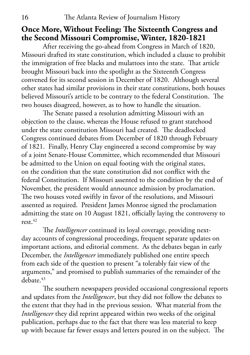#### **Once More, Without Feeling: The Sixteenth Congress and the Second Missouri Compromise, Winter, 1820-1821**

After receiving the go-ahead from Congress in March of 1820, Missouri drafted its state constitution, which included a clause to prohibit the immigration of free blacks and mulattoes into the state. That article brought Missouri back into the spotlight as the Sixteenth Congress convened for its second session in December of 1820. Although several other states had similar provisions in their state constitutions, both houses believed Missouri's article to be contrary to the federal Constitution. The two houses disagreed, however, as to how to handle the situation.

The Senate passed a resolution admitting Missouri with an objection to the clause, whereas the House refused to grant statehood under the state constitution Missouri had created. The deadlocked Congress continued debates from December of 1820 through February of 1821. Finally, Henry Clay engineered a second compromise by way of a joint Senate-House Committee, which recommended that Missouri be admitted to the Union on equal footing with the original states, on the condition that the state constitution did not conflict with the federal Constitution. If Missouri assented to the condition by the end of November, the president would announce admission by proclamation. The two houses voted swiftly in favor of the resolutions, and Missouri assented as required. President James Monroe signed the proclamation admitting the state on 10 August 1821, officially laying the controversy to rest.42

The *Intelligencer* continued its loyal coverage, providing nextday accounts of congressional proceedings, frequent separate updates on important actions, and editorial comment. As the debates began in early December, the *Intelligencer* immediately published one entire speech from each side of the question to present "a tolerably fair view of the arguments," and promised to publish summaries of the remainder of the debate.<sup>43</sup>

The southern newspapers provided occasional congressional reports and updates from the *Intelligencer*, but they did not follow the debates to the extent that they had in the previous session. What material from the *Intelligencer* they did reprint appeared within two weeks of the original publication, perhaps due to the fact that there was less material to keep up with because far fewer essays and letters poured in on the subject. The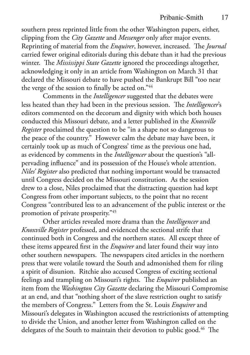southern press reprinted little from the other Washington papers, either, clipping from the *City Gazette* and *Messenger* only after major events. Reprinting of material from the *Enquirer*, however, increased. The *Journal* carried fewer original editorials during this debate than it had the previous winter. The *Mississippi State Gazette* ignored the proceedings altogether, acknowledging it only in an article from Washington on March 31 that declared the Missouri debate to have pushed the Bankrupt Bill "too near the verge of the session to finally be acted on."44

Comments in the *Intelligencer* suggested that the debates were less heated than they had been in the previous session. The *Intelligencer*'s editors commented on the decorum and dignity with which both houses conducted this Missouri debate, and a letter published in the *Knoxville Register* proclaimed the question to be "in a shape not so dangerous to the peace of the country." However calm the debate may have been, it certainly took up as much of Congress' time as the previous one had, as evidenced by comments in the *Intelligencer* about the question's "allpervading influence" and its possession of the House's whole attention. *Niles' Register* also predicted that nothing important would be transacted until Congress decided on the Missouri constitution. As the session drew to a close, Niles proclaimed that the distracting question had kept Congress from other important subjects, to the point that no recent Congress "contributed less to an advancement of the public interest or the promotion of private prosperity."45

Other articles revealed more drama than the *Intelligencer* and *Knoxville Register* professed, and evidenced the sectional strife that continued both in Congress and the northern states. All except three of these items appeared first in the *Enquirer* and later found their way into other southern newspapers. The newspapers cited articles in the northern press that were volatile toward the South and admonished them for riling a spirit of disunion. Ritchie also accused Congress of exciting sectional feelings and trampling on Missouri's rights. The *Enquirer* published an item from the *Washington City Gazette* declaring the Missouri Compromise at an end, and that "nothing short of the slave restriction ought to satisfy the members of Congress." Letters from the St. Louis *Enquirer* and Missouri's delegates in Washington accused the restrictionists of attempting to divide the Union, and another letter from Washington called on the delegates of the South to maintain their devotion to public good.<sup>46</sup> The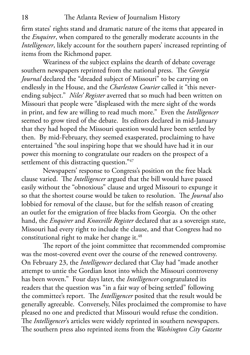firm states' rights stand and dramatic nature of the items that appeared in the *Enquirer*, when compared to the generally moderate accounts in the *Intelligencer*, likely account for the southern papers' increased reprinting of items from the Richmond paper.

Weariness of the subject explains the dearth of debate coverage southern newspapers reprinted from the national press. The *Georgia Journal* declared the "dreaded subject of Missouri" to be carrying on endlessly in the House, and the *Charleston Courier* called it "this neverending subject." *Niles' Register* averred that so much had been written on Missouri that people were "displeased with the mere sight of the words in print, and few are willing to read much more." Even the *Intelligencer* seemed to grow tired of the debate. Its editors declared in mid-January that they had hoped the Missouri question would have been settled by then. By mid-February, they seemed exasperated, proclaiming to have entertained "the soul inspiring hope that we should have had it in our power this morning to congratulate our readers on the prospect of a settlement of this distracting question."47

Newspapers' response to Congress's position on the free black clause varied. The *Intelligencer* argued that the bill would have passed easily without the "obnoxious" clause and urged Missouri to expunge it so that the shortest course would be taken to resolution. The *Journal* also lobbied for removal of the clause, but for the selfish reason of creating an outlet for the emigration of free blacks from Georgia. On the other hand, the *Enquirer* and *Knoxville Register* declared that as a sovereign state, Missouri had every right to include the clause, and that Congress had no constitutional right to make her change it.<sup>48</sup>

The report of the joint committee that recommended compromise was the most-covered event over the course of the renewed controversy. On February 23, the *Intelligencer* declared that Clay had "made another attempt to untie the Gordian knot into which the Missouri controversy has been woven." Four days later, the *Intelligencer* congratulated its readers that the question was "in a fair way of being settled" following the committee's report. The *Intelligencer* posited that the result would be generally agreeable. Conversely, Niles proclaimed the compromise to have pleased no one and predicted that Missouri would refuse the condition. The *Intelligencer*'s articles were widely reprinted in southern newspapers. The southern press also reprinted items from the *Washington City Gazette*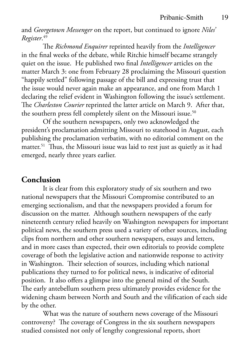and *Georgetown Messenger* on the report, but continued to ignore *Niles' Register*. 49

The *Richmond Enquirer* reprinted heavily from the *Intelligencer* in the final weeks of the debate, while Ritchie himself became strangely quiet on the issue. He published two final *Intelligencer* articles on the matter March 3: one from February 28 proclaiming the Missouri question "happily settled" following passage of the bill and expressing trust that the issue would never again make an appearance, and one from March 1 declaring the relief evident in Washington following the issue's settlement. The *Charleston Courier* reprinted the latter article on March 9. After that, the southern press fell completely silent on the Missouri issue.<sup>50</sup>

Of the southern newspapers, only two acknowledged the president's proclamation admitting Missouri to statehood in August, each publishing the proclamation verbatim, with no editorial comment on the matter.<sup>51</sup> Thus, the Missouri issue was laid to rest just as quietly as it had emerged, nearly three years earlier.

#### **Conclusion**

It is clear from this exploratory study of six southern and two national newspapers that the Missouri Compromise contributed to an emerging sectionalism, and that the newspapers provided a forum for discussion on the matter. Although southern newspapers of the early nineteenth century relied heavily on Washington newspapers for important political news, the southern press used a variety of other sources, including clips from northern and other southern newspapers, essays and letters, and in more cases than expected, their own editorials to provide complete coverage of both the legislative action and nationwide response to activity in Washington. Their selection of sources, including which national publications they turned to for political news, is indicative of editorial position. It also offers a glimpse into the general mind of the South. The early antebellum southern press ultimately provides evidence for the widening chasm between North and South and the vilification of each side by the other.

What was the nature of southern news coverage of the Missouri controversy? The coverage of Congress in the six southern newspapers studied consisted not only of lengthy congressional reports, short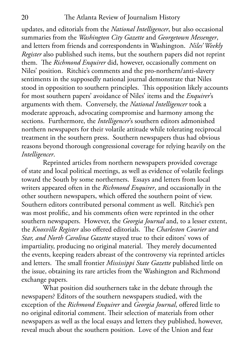updates, and editorials from the *National Intelligencer*, but also occasional summaries from the *Washington City Gazette* and *Georgetown Messenger*, and letters from friends and correspondents in Washington. *Niles' Weekly Register* also published such items, but the southern papers did not reprint them. The *Richmond Enquirer* did, however, occasionally comment on Niles' position. Ritchie's comments and the pro-northern/anti-slavery sentiments in the supposedly national journal demonstrate that Niles stood in opposition to southern principles. This opposition likely accounts for most southern papers' avoidance of Niles' items and the *Enquirer*'s arguments with them. Conversely, the *National Intelligencer* took a moderate approach, advocating compromise and harmony among the sections. Furthermore, the *Intelligencer*'s southern editors admonished northern newspapers for their volatile attitude while tolerating reciprocal treatment in the southern press. Southern newspapers thus had obvious reasons beyond thorough congressional coverage for relying heavily on the *Intelligencer*.

Reprinted articles from northern newspapers provided coverage of state and local political meetings, as well as evidence of volatile feelings toward the South by some northerners. Essays and letters from local writers appeared often in the *Richmond Enquirer*, and occasionally in the other southern newspapers, which offered the southern point of view. Southern editors contributed personal comment as well. Ritchie's pen was most prolific, and his comments often were reprinted in the other southern newspapers. However, the *Georgia Journal* and, to a lesser extent, the *Knoxville Register* also offered editorials. The *Charleston Courier* and *Star, and North Carolina Gazette* stayed true to their editors' vows of impartiality, producing no original material. They merely documented the events, keeping readers abreast of the controversy via reprinted articles and letters. The small frontier *Mississippi State Gazette* published little on the issue, obtaining its rare articles from the Washington and Richmond exchange papers.

What position did southerners take in the debate through the newspapers? Editors of the southern newspapers studied, with the exception of the *Richmond Enquirer* and *Georgia Journal*, offered little to no original editorial comment. Their selection of materials from other newspapers as well as the local essays and letters they published, however, reveal much about the southern position. Love of the Union and fear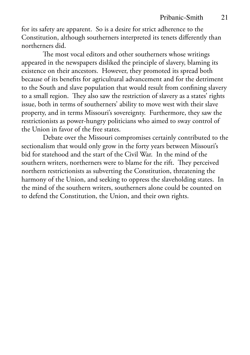for its safety are apparent. So is a desire for strict adherence to the Constitution, although southerners interpreted its tenets differently than northerners did.

The most vocal editors and other southerners whose writings appeared in the newspapers disliked the principle of slavery, blaming its existence on their ancestors. However, they promoted its spread both because of its benefits for agricultural advancement and for the detriment to the South and slave population that would result from confining slavery to a small region. They also saw the restriction of slavery as a states' rights issue, both in terms of southerners' ability to move west with their slave property, and in terms Missouri's sovereignty. Furthermore, they saw the restrictionists as power-hungry politicians who aimed to sway control of the Union in favor of the free states.

Debate over the Missouri compromises certainly contributed to the sectionalism that would only grow in the forty years between Missouri's bid for statehood and the start of the Civil War. In the mind of the southern writers, northerners were to blame for the rift. They perceived northern restrictionists as subverting the Constitution, threatening the harmony of the Union, and seeking to oppress the slaveholding states. In the mind of the southern writers, southerners alone could be counted on to defend the Constitution, the Union, and their own rights.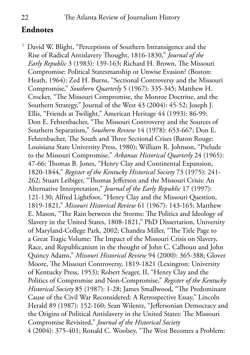## **Endnotes**

David W. Blight, "Perceptions of Southern Intransigence and the Rise of Radical Antislavery Thought, 1816-1830," *Journal of the Early Republic* 3 (1983): 139-163; Richard H. Brown, The Missouri Compromise: Political Statesmanship or Unwise Evasion? (Boston: Heath, 1964); Zed H. Burns, "Sectional Controversy and the Missouri Compromise," *Southern Quarterly* 5 (1967): 335-345; Matthew H. Crocker, "The Missouri Compromise, the Monroe Doctrine, and the Southern Strategy," Journal of the West 43 (2004): 45-52; Joseph J. Ellis, "Friends at Twilight," American Heritage 44 (1993): 86-99; Don E. Fehrenbacher, "The Missouri Controversy and the Sources of Southern Separatism," *Southern Review* 14 (1978): 653-667; Don E. Fehrenbacher, The South and Three Sectional Crises (Baton Rouge: Louisiana State University Press, 1980); William R. Johnson, "Prelude to the Missouri Compromise," *Arkansas Historical Quarterly* 24 (1965): 47-66; Thomas B. Jones, "Henry Clay and Continental Expansion, 1820-1844," *Register of the Kentucky Historical Society* 73 (1975): 241- 262; Stuart Leibiger, "Thomas Jefferson and the Missouri Crisis: An Alternative Interpretation," *Journal of the Early Republic* 17 (1997): 121-130; Alfred Lightfoot, "Henry Clay and the Missouri Question, 1819-1821," *Missouri Historical Review* 61 (1967): 143-165; Matthew E. Mason, "The Rain between the Storms: The Politics and Ideology of Slavery in the United States, 1808-1821," PhD Dissertation, University of Maryland-College Park, 2002; Chandra Miller, "The Title Page to a Great Tragic Volume: The Impact of the Missouri Crisis on Slavery, Race, and Republicanism in the thought of John C. Calhoun and John Quincy Adams," *Missouri Historical Review* 94 (2000): 365-388; Glover Moore, The Missouri Controversy, 1819-1821 (Lexington: University of Kentucky Press, 1953); Robert Seager, II, "Henry Clay and the Politics of Compromise and Non-Compromise," *Register of the Kentucky Historical Society* 85 (1987): 1-28; James Smallwood, "The Predominant Cause of the Civil War Reconsidered: A Retrospective Essay," Lincoln Herald 89 (1987): 152-160; Sean Wilentz, "Jeffersonian Democracy and the Origins of Political Antislavery in the United States: The Missouri Compromise Revisited," *Journal of the Historical Society* 4 (2004): 375-401; Ronald C. Woolsey, "The West Becomes a Problem: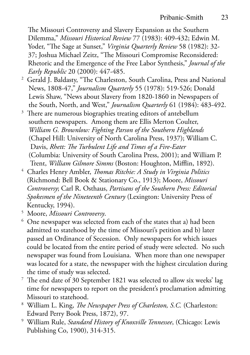The Missouri Controversy and Slavery Expansion as the Southern Dilemma," *Missouri Historical Review* 77 (1983): 409-432; Edwin M. Yoder, "The Sage at Sunset," *Virginia Quarterly Review* 58 (1982): 32- 37; Joshua Michael Zeitz, "The Missouri Compromise Reconsidered: Rhetoric and the Emergence of the Free Labor Synthesis," *Journal of the Early Republic* 20 (2000): 447-485.

- 2 Gerald J. Baldasty, "The Charleston, South Carolina, Press and National News, 1808-47," *Journalism Quarterly* 55 (1978): 519-526; Donald Lewis Shaw, "News about Slavery from 1820-1860 in Newspapers of the South, North, and West," *Journalism Quarterly* 61 (1984): 483-492.
- <sup>3</sup> There are numerous biographies treating editors of antebellum southern newspapers. Among them are Ellis Merton Coulter, *William G. Brownlow: Fighting Parson of the Southern Highlands* (Chapel Hill: University of North Carolina Press, 1937); William C. Davis, *Rhett: The Turbulent Life and Times of a Fire-Eater* (Columbia: University of South Carolina Press, 2001); and William P. Trent, *William Gilmore Simms* (Boston: Houghton, Mifflin, 1892).
- 4 Charles Henry Ambler, *Thomas Ritchie: A Study in Virginia Politics* (Richmond: Bell Book & Stationary Co., 1913); Moore, *Missouri Controversy*; Carl R. Osthaus, *Partisans of the Southern Press: Editorial Spokesmen of the Nineteenth Century* (Lexington: University Press of Kentucky, 1994).
- 5 Moore, *Missouri Controversy*.
- $^6$  One newspaper was selected from each of the states that a) had been admitted to statehood by the time of Missouri's petition and b) later passed an Ordinance of Secession. Only newspapers for which issues could be located from the entire period of study were selected. No such newspaper was found from Louisiana. When more than one newspaper was located for a state, the newspaper with the highest circulation during the time of study was selected.
- <sup>7</sup> The end date of 30 September 1821 was selected to allow six weeks' lag time for newspapers to report on the president's proclamation admitting Missouri to statehood.
- 8 William L. King, *The Newspaper Press of Charleston, S.C.* (Charleston: Edward Perry Book Press, 1872), 97.
- 9 William Rule, *Standard History of Knoxville Tennessee*, (Chicago: Lewis Publishing Co, 1900), 314-315.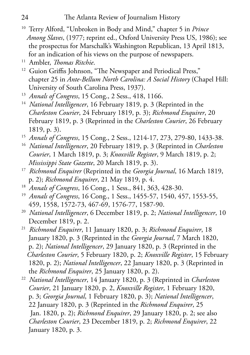- 10 Terry Alford, "Unbroken in Body and Mind," chapter 5 in *Prince Among Slaves*, (1977; reprint ed., Oxford University Press US, 1986); see the prospectus for Marschalk's Washington Republican, 13 April 1813, for an indication of his views on the purpose of newspapers.
- 11 Ambler, *Thomas Ritchie*.
- <sup>12</sup> Guion Griffis Johnson, "The Newspaper and Periodical Press," chapter 25 in *Ante-Bellum North Carolina: A Social History* (Chapel Hill: University of South Carolina Press, 1937).
- 13 *Annals of Congress*, 15 Cong., 2 Sess., 418, 1166.
- 14 *National Intelligencer*, 16 February 1819, p. 3 (Reprinted in the *Charleston Courier*, 24 February 1819, p. 3); *Richmond Enquirer*, 20 February 1819, p. 3 (Reprinted in the *Charleston Courier*, 26 February 1819, p. 3).
- 15 *Annals of Congress*, 15 Cong., 2 Sess., 1214-17, 273, 279-80, 1433-38.
- 16 *National Intelligencer*, 20 February 1819, p. 3 (Reprinted in *Charleston Courier*, 1 March 1819, p. 3; *Knoxville Register*, 9 March 1819, p. 2; *Mississippi State Gazette*, 20 March 1819, p. 3).
- 17 *Richmond Enquirer* (Reprinted in the *Georgia Journal*, 16 March 1819, p. 2); *Richmond Enquirer*, 21 May 1819, p. 4.
- 18 *Annals of Congress*, 16 Cong., 1 Sess., 841, 363, 428-30.
- 19 *Annals of Congress*, 16 Cong., 1 Sess., 1455-57, 1540, 457, 1553-55, 459, 1558, 1572-73, 467-69, 1576-77, 1587-90.
- 20 *National Intelligencer*, 6 December 1819, p. 2; *National Intelligencer*, 10 December 1819, p. 2.
- 21 *Richmond Enquirer*, 11 January 1820, p. 3; *Richmond Enquirer*, 18 January 1820, p. 3 (Reprinted in the *Georgia Journal*, 7 March 1820, p. 2); *National Intelligencer*, 29 January 1820, p. 3 (Reprinted in the *Charleston Courier*, 5 February 1820, p. 2; *Knoxville Register*, 15 February 1820, p. 2); *National Intelligencer*, 22 January 1820, p. 3 (Reprinted in the *Richmond Enquirer*, 25 January 1820, p. 2).
- 22 *National Intelligencer*, 14 January 1820, p. 3 (Reprinted in *Charleston Courier*, 21 January 1820, p. 2, *Knoxville Register*, 1 February 1820, p. 3; *Georgia Journal*, 1 February 1820, p. 3); *National Intelligencer*, 22 January 1820, p. 3 (Reprinted in the *Richmond Enquirer*, 25 Jan. 1820, p. 2); *Richmond Enquirer*, 29 January 1820, p. 2; see also *Charleston Courier*, 23 December 1819, p. 2; *Richmond Enquirer*, 22 January 1820, p. 3.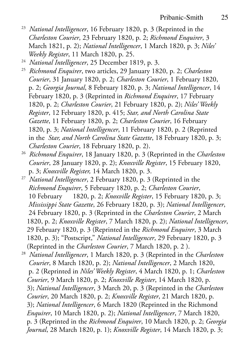- 23 *National Intelligencer*, 16 February 1820, p. 3 (Reprinted in the *Charleston Courier*, 23 February 1820, p. 2; *Richmond Enquirer*, 3 March 1821, p. 2); *National Intelligencer*, 1 March 1820, p. 3; *Niles' Weekly Register*, 11 March 1820, p. 25.
- 24 *National Intelligencer*, 25 December 1819, p. 3.
- 25 *Richmond Enquirer*, two articles, 29 January 1820, p. 2; *Charleston Courier*, 31 January 1820, p. 2; *Charleston Courier*, 1 February 1820, p. 2; *Georgia Journal*, 8 February 1820, p. 3; *National Intelligencer*, 14 February 1820, p. 3 (Reprinted in *Richmond Enquirer*, 17 February 1820, p. 2; *Charleston Courier*, 21 February 1820, p. 2); *Niles' Weekly Register*, 12 February 1820, p. 415; *Star, and North Carolina State Gazette*, 11 February 1820, p. 2; *Charleston Courier*, 16 February 1820, p. 3; *National Intelligencer*, 11 February 1820, p. 2 (Reprinted in the *Star, and North Carolina State Gazette*, 18 February 1820, p. 3; *Charleston Courier*, 18 February 1820, p. 2).
- 26 *Richmond Enquirer*, 18 January 1820, p. 3 (Reprinted in the *Charleston Courier*, 28 January 1820, p. 2); *Knoxville Register*, 15 February 1820, p. 3; *Knoxville Register,* 14 March 1820, p. 3.
- 27 *National Intelligencer*, 2 February 1820, p. 3 (Reprinted in the *Richmond Enquirer*, 5 February 1820, p. 2; *Charleston Courier*, 10 February 1820, p. 2; *Knoxville Register*, 15 February 1820, p. 3; *Mississippi State Gazette*, 26 February 1820, p. 3); *National Intelligencer*, 24 February 1820, p. 3 (Reprinted in the *Charleston Courier*, 2 March 1820, p. 2; *Knoxville Register*, 7 March 1820, p. 2); *National Intelligencer*, 29 February 1820, p. 3 (Reprinted in the *Richmond Enquirer*, 3 March 1820, p. 3); "Postscript," *National Intelligencer*, 29 February 1820, p. 3 (Reprinted in the *Charleston Courier*, 7 March 1820, p. 2 ).
- 28 *National Intelligencer*, 1 March 1820, p. 3 (Reprinted in the *Charleston Courier*, 8 March 1820, p. 2); *National Intelligencer*, 2 March 1820, p. 2 (Reprinted in *Niles' Weekly Register*, 4 March 1820, p. 1; *Charleston Courier*, 9 March 1820, p. 2; *Knoxville Register*, 14 March 1820, p. 3); *National Intelligencer*, 3 March 20, p. 3 (Reprinted in the *Charleston Courier*, 20 March 1820, p. 2; *Knoxville Register*, 21 March 1820, p. 3); *National Intelligencer*, 6 March 1820 (Reprinted in the Richmond *Enquirer*, 10 March 1820, p. 2); *National Intelligencer*, 7 March 1820, p. 3 (Reprinted in the *Richmond Enquirer*, 10 March 1820, p. 2; *Georgia Journal*, 28 March 1820, p. 1); *Knoxville Register*, 14 March 1820, p. 3;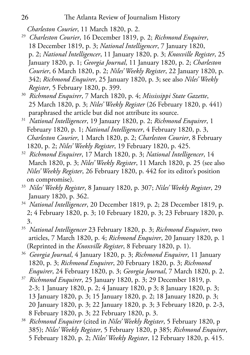*Charleston Courier*, 11 March 1820, p. 2.

- 29 *Charleston Courier*, 16 December 1819, p. 2; *Richmond Enquirer*, 18 December 1819, p. 3; *National Intelligencer*, 7 January 1820, p. 2; *National Intelligencer*, 11 January 1820, p. 3; *Knoxville Register*, 25 January 1820, p. 1; *Georgia Journal*, 11 January 1820, p. 2; *Charleston Courier*, 6 March 1820, p. 2; *Niles' Weekly Register*, 22 January 1820, p. 342; *Richmond Enquirer*, 25 January 1820, p. 3; see also *Niles' Weekly Register*, 5 February 1820, p. 399.
- 30 *Richmond Enquirer*, 7 March 1820, p. 4; *Mississippi State Gazette*, 25 March 1820, p. 3; *Niles' Weekly Register* (26 February 1820, p. 441) paraphrased the article but did not attribute its source.
- 31 *National Intelligencer*, 19 January 1820, p. 2; *Richmond Enquirer*, 1 February 1820, p. 1; *National Intelligencer*, 4 February 1820, p. 3, *Charleston Courier*, 1 March 1820, p. 2; *Charleston Courier*, 8 February 1820, p. 2; *Niles' Weekly Register*, 19 February 1820, p. 425.
- 32 *Richmond Enquirer*, 17 March 1820, p. 3; *National Intelligencer*, 14 March 1820, p. 3; *Niles' Weekly Register*, 11 March 1820, p. 25 (see also *Niles' Weekly Register*, 26 February 1820, p. 442 for its editor's position on compromise).
- 33 *Niles' Weekly Register*, 8 January 1820, p. 307; *Niles' Weekly Register*, 29 January 1820, p. 362.
- 34 *National Intelligencer*, 20 December 1819, p. 2; 28 December 1819, p. 2; 4 February 1820, p. 3; 10 February 1820, p. 3; 23 February 1820, p. 3.
- 35 *National Intelligencer* 23 February 1820, p. 3; *Richmond Enquirer*, two articles, 7 March 1820, p. 4; *Richmond Enquirer*, 20 January 1820, p. 1 (Reprinted in the *Knoxville Register*, 8 February 1820, p. 1).
- <sup>36</sup> *Georgia Journal*, 4 January 1820, p. 3; *Richmond Enquirer*, 11 January 1820, p. 3; *Richmond Enquirer*, 20 February 1820, p. 3; *Richmond Enquirer*, 24 February 1820, p. 3; *Georgia Journal*, 7 March 1820, p. 2.
- 37 *Richmond Enquirer*, 25 January 1820, p. 3; 29 December 1819, p. 2-3; 1 January 1820, p. 2; 4 January 1820, p 3; 8 January 1820, p. 3; 13 January 1820, p. 3; 15 January 1820, p. 2; 18 January 1820, p. 3; 20 January 1820, p. 3; 22 January 1820, p. 3; 3 February 1820, p. 2-3, 8 February 1820, p. 3; 22 February 1820, p. 3.
- 38 *Richmond Enquirer* (cited in *Niles' Weekly Register*, 5 February 1820, p 385); *Niles' Weekly Register*, 5 February 1820, p 385; *Richmond Enquirer*, 5 February 1820, p. 2; *Niles' Weekly Register*, 12 February 1820, p. 415.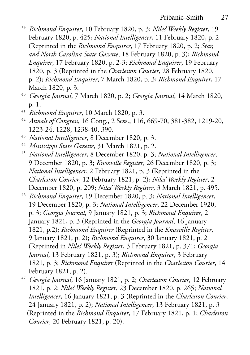- 39 *Richmond Enquirer*, 10 February 1820, p. 3; *Niles' Weekly Register*, 19 February 1820, p. 425; *National Intelligencer*, 11 February 1820, p. 2 (Reprinted in the *Richmond Enquirer*, 17 February 1820, p. 2; *Star, and North Carolina State Gazette*, 18 February 1820, p. 3); *Richmond Enquirer*, 17 February 1820, p. 2-3; *Richmond Enquirer*, 19 February 1820, p. 3 (Reprinted in the *Charleston Courier*, 28 February 1820, p. 2); *Richmond Enquirer*, 7 March 1820, p. 3; *Richmond Enquirer*, 17 March 1820, p. 3.
- 40 *Georgia Journal*, 7 March 1820, p. 2; *Georgia Journal*, 14 March 1820, p. 1.
- 41 *Richmond Enquirer*, 10 March 1820, p. 3.
- 42 *Annals of Congress*, 16 Cong., 2 Sess., 116, 669-70, 381-382, 1219-20, 1223-24, 1228, 1238-40, 390.
- 43 *National Intelligencer*, 8 December 1820, p. 3.
- 44 *Mississippi State Gazette*, 31 March 1821, p. 2.
- 45 *National Intelligencer*, 8 December 1820, p. 3; *National Intelligencer*, 9 December 1820, p. 3; *Knoxville Register*, 26 December 1820, p. 3; *National Intelligencer*, 2 February 1821, p. 3 (Reprinted in the *Charleston Courier*, 12 February 1821, p. 2); *Niles' Weekly Register*, 2 December 1820, p. 209; *Niles' Weekly Register*, 3 March 1821, p. 495.
- 46 *Richmond Enquirer*, 19 December 1820, p. 3; *National Intelligencer*, 19 December 1820, p. 3; *National Intelligencer*, 22 December 1920, p. 3; *Georgia Journal*, 9 January 1821, p. 3; *Richmond Enquirer*, 2 January 1821, p. 3 (Reprinted in the *Georgia Journal*, 16 January 1821, p.2); *Richmond Enquirer* (Reprinted in the *Knoxville Register*, 9 January 1821, p. 2); *Richmond Enquirer*, 30 January 1821, p. 2 (Reprinted in *Niles' Weekly Register*, 3 February 1821, p. 371; *Georgia Journal*, 13 February 1821, p. 3); *Richmond Enquirer*, 3 February 1821, p. 3; *Richmond Enquirer* (Reprinted in the *Charleston Courier*, 14 February 1821, p. 2).
- 47 *Georgia Journal*, 16 January 1821, p. 2; *Charleston Courier*, 12 February 1821, p. 2; *Niles' Weekly Register*, 23 December 1820, p. 265; *National Intelligencer*, 16 January 1821, p. 3 (Reprinted in the *Charleston Courier*, 24 January 1821, p. 2); *National Intelligencer*, 13 February 1821, p. 3 (Reprinted in the *Richmond Enquirer*, 17 February 1821, p. 1; *Charleston Courier*, 20 February 1821, p. 20).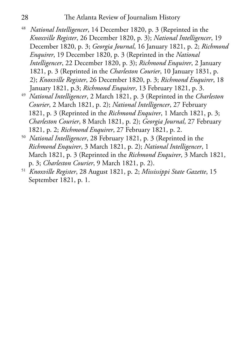- <sup>48</sup>*National Intelligencer*, 14 December 1820, p. 3 (Reprinted in the *Knoxville Register*, 26 December 1820, p. 3); *National Intelligencer*, 19 December 1820, p. 3; *Georgia Journal*, 16 January 1821, p. 2; *Richmond Enquirer*, 19 December 1820, p. 3 (Reprinted in the *National Intelligencer*, 22 December 1820, p. 3); *Richmond Enquirer*, 2 January 1821, p. 3 (Reprinted in the *Charleston Courier*, 10 January 1831, p. 2); *Knoxville Register*, 26 December 1820, p. 3; *Richmond Enquirer*, 18 January 1821, p.3; *Richmond Enquirer*, 13 February 1821, p. 3.
- 49 *National Intelligencer*, 2 March 1821, p. 3 (Reprinted in the *Charleston Courier*, 2 March 1821, p. 2); *National Intelligencer*, 27 February 1821, p. 3 (Reprinted in the *Richmond Enquirer*, 1 March 1821, p. 3; *Charleston Courier*, 8 March 1821, p. 2); *Georgia Journal*, 27 February 1821, p. 2; *Richmond Enquirer*, 27 February 1821, p. 2.
- 50 *National Intelligencer*, 28 February 1821, p. 3 (Reprinted in the *Richmond Enquirer*, 3 March 1821, p. 2); *National Intelligencer*, 1 March 1821, p. 3 (Reprinted in the *Richmond Enquirer*, 3 March 1821, p. 3; *Charleston Courier*, 9 March 1821, p. 2).
- 51 *Knoxville Register*, 28 August 1821, p. 2; *Mississippi State Gazette*, 15 September 1821, p. 1.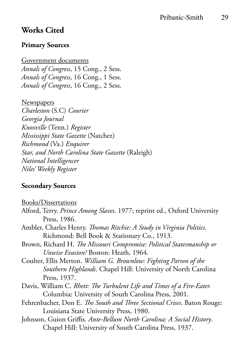# **Works Cited**

### **Primary Sources**

Government documents *Annals of Congress*, 15 Cong., 2 Sess. *Annals of Congress*, 16 Cong., 1 Sess. *Annals of Congress*, 16 Cong., 2 Sess.

**Newspapers** *Charleston* (S.C) *Courier Georgia Journal Knoxville* (Tenn.) *Register Mississippi State Gazette* (Natchez) *Richmond* (Va.) *Enquirer Star, and North Carolina State Gazette* (Raleigh) *National Intelligencer Niles' Weekly Register*

### **Secondary Sources**

Books/Dissertations Alford, Terry. *Prince Among Slaves*. 1977; reprint ed., Oxford University Press, 1986. Ambler, Charles Henry. *Thomas Ritchie: A Study in Virginia Politics.* Richmond: Bell Book & Stationary Co., 1913. Brown, Richard H. *The Missouri Compromise: Political Statesmanship or Unwise Evasion?* Boston: Heath, 1964. Coulter, Ellis Merton. *William G. Brownlow: Fighting Parson of the Southern Highlands*. Chapel Hill: University of North Carolina Press, 1937. Davis, William C. *Rhett: The Turbulent Life and Times of a Fire-Eater.* Columbia: University of South Carolina Press, 2001. Fehrenbacher, Don E. *The South and Three Sectional Crises*. Baton Rouge: Louisiana State University Press, 1980. Johnson, Guion Griffis. *Ante-Bellum North Carolina: A Social History*. Chapel Hill: University of South Carolina Press, 1937.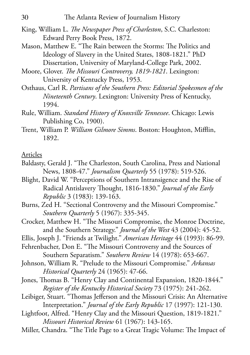- King, William L. *The Newspaper Press of Charleston*, S.C. Charleston: Edward Perry Book Press, 1872.
- Mason, Matthew E. "The Rain between the Storms: The Politics and Ideology of Slavery in the United States, 1808-1821." PhD Dissertation, University of Maryland-College Park, 2002.
- Moore, Glover. *The Missouri Controversy, 1819-1821*. Lexington: University of Kentucky Press, 1953.
- Osthaus, Carl R. *Partisans of the Southern Press: Editorial Spokesmen of the Nineteenth Century*. Lexington: University Press of Kentucky, 1994.
- Rule, William. *Standard History of Knoxville Tennessee*. Chicago: Lewis Publishing Co, 1900).
- Trent, William P. *William Gilmore Simms*. Boston: Houghton, Mifflin, 1892.

#### Articles

- Baldasty, Gerald J. "The Charleston, South Carolina, Press and National News, 1808-47." *Journalism Quarterly* 55 (1978): 519-526.
- Blight, David W. "Perceptions of Southern Intransigence and the Rise of Radical Antislavery Thought, 1816-1830." *Journal of the Early Republic* 3 (1983): 139-163.
- Burns, Zed H. "Sectional Controversy and the Missouri Compromise." *Southern Quarterly* 5 (1967): 335-345.
- Crocker, Matthew H. "The Missouri Compromise, the Monroe Doctrine, and the Southern Strategy." *Journal of the West* 43 (2004): 45-52.
- Ellis, Joseph J. "Friends at Twilight." *American Heritage* 44 (1993): 86-99.
- Fehrenbacher, Don E. "The Missouri Controversy and the Sources of Southern Separatism." *Southern Review* 14 (1978): 653-667.
- Johnson, William R. "Prelude to the Missouri Compromise." *Arkansas Historical Quarterly* 24 (1965): 47-66.
- Jones, Thomas B. "Henry Clay and Continental Expansion, 1820-1844." *Register of the Kentucky Historical Society* 73 (1975): 241-262.
- Leibiger, Stuart. "Thomas Jefferson and the Missouri Crisis: An Alternative Interpretation." *Journal of the Early Republic* 17 (1997): 121-130.
- Lightfoot, Alfred. "Henry Clay and the Missouri Question, 1819-1821." *Missouri Historical Review* 61 (1967): 143-165.
- Miller, Chandra. "The Title Page to a Great Tragic Volume: The Impact of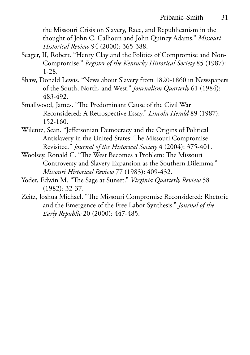the Missouri Crisis on Slavery, Race, and Republicanism in the thought of John C. Calhoun and John Quincy Adams." *Missouri Historical Review* 94 (2000): 365-388.

- Seager, II, Robert. "Henry Clay and the Politics of Compromise and Non-Compromise." *Register of the Kentucky Historical Society* 85 (1987): 1-28.
- Shaw, Donald Lewis. "News about Slavery from 1820-1860 in Newspapers of the South, North, and West." *Journalism Quarterly* 61 (1984): 483-492.
- Smallwood, James. "The Predominant Cause of the Civil War Reconsidered: A Retrospective Essay." *Lincoln Herald* 89 (1987): 152-160.
- Wilentz, Sean. "Jeffersonian Democracy and the Origins of Political Antislavery in the United States: The Missouri Compromise Revisited." *Journal of the Historical Society* 4 (2004): 375-401.
- Woolsey, Ronald C. "The West Becomes a Problem: The Missouri Controversy and Slavery Expansion as the Southern Dilemma." *Missouri Historical Review* 77 (1983): 409-432.
- Yoder, Edwin M. "The Sage at Sunset." *Virginia Quarterly Review* 58 (1982): 32-37.
- Zeitz, Joshua Michael. "The Missouri Compromise Reconsidered: Rhetoric and the Emergence of the Free Labor Synthesis." *Journal of the Early Republic* 20 (2000): 447-485.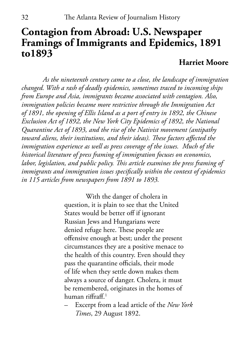# **Contagion from Abroad: U.S. Newspaper Framings of Immigrants and Epidemics, 1891 to1893**

## **Harriet Moore**

*As the nineteenth century came to a close, the landscape of immigration changed. With a rash of deadly epidemics, sometimes traced to incoming ships from Europe and Asia, immigrants became associated with contagion. Also, immigration policies became more restrictive through the Immigration Act of 1891, the opening of Ellis Island as a port of entry in 1892, the Chinese Exclusion Act of 1892, the New York City Epidemics of 1892, the National Quarantine Act of 1893, and the rise of the Nativist movement (antipathy toward aliens, their institutions, and their ideas). These factors affected the immigration experience as well as press coverage of the issues. Much of the historical literature of press framing of immigration focuses on economics, labor, legislation, and public policy. This article examines the press framing of immigrants and immigration issues specifically within the context of epidemics in 115 articles from newspapers from 1891 to 1893.*

> With the danger of cholera in question, it is plain to see that the United States would be better off if ignorant Russian Jews and Hungarians were denied refuge here. These people are offensive enough at best; under the present circumstances they are a positive menace to the health of this country. Even should they pass the quarantine officials, their mode of life when they settle down makes them always a source of danger. Cholera, it must be remembered, originates in the homes of human riffraff.1

– Excerpt from a lead article of the *New York Times*, 29 August 1892.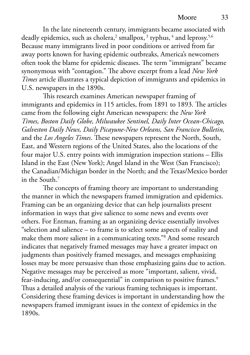In the late nineteenth century, immigrants became associated with deadly epidemics, such as cholera,<sup>2</sup> smallpox,<sup>3</sup> typhus,<sup>4</sup> and leprosy.<sup>5,6</sup> Because many immigrants lived in poor conditions or arrived from far away ports known for having epidemic outbreaks, America's newcomers often took the blame for epidemic diseases. The term "immigrant" became synonymous with "contagion." The above excerpt from a lead *New York Times* article illustrates a typical depiction of immigrants and epidemics in U.S. newspapers in the 1890s.

This research examines American newspaper framing of immigrants and epidemics in 115 articles, from 1891 to 1893. The articles came from the following eight American newspapers: the *New York Times, Boston Daily Globe, Milwaukee Sentinel, Daily Inter Ocean-Chicago, Galveston Daily News, Daily Picayune-New Orleans, San Francisco Bulletin,* and the *Los Angeles Times*. These newspapers represent the North, South, East, and Western regions of the United States, also the locations of the four major U.S. entry points with immigration inspection stations – Ellis Island in the East (New York); Angel Island in the West (San Francisco); the Canadian/Michigan border in the North; and the Texas/Mexico border in the South.7

The concepts of framing theory are important to understanding the manner in which the newspapers framed immigration and epidemics. Framing can be an organizing device that can help journalists present information in ways that give salience to some news and events over others. For Entman, framing as an organizing device essentially involves "selection and salience – to frame is to select some aspects of reality and make them more salient in a communicating texts."8 And some research indicates that negatively framed messages may have a greater impact on judgments than positively framed messages, and messages emphasizing losses may be more persuasive than those emphasizing gains due to action. Negative messages may be perceived as more "important, salient, vivid, fear-inducing, and/or consequential" in comparison to positive frames.<sup>9</sup> Thus a detailed analysis of the various framing techniques is important. Considering these framing devices is important in understanding how the newspapers framed immigrant issues in the context of epidemics in the 1890s.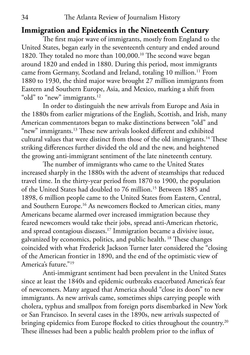# **Immigration and Epidemics in the Nineteenth Century**

The first major wave of immigrants, mostly from England to the United States, began early in the seventeenth century and ended around 1820. They totaled no more than 100,000.10 The second wave began around 1820 and ended in 1880. During this period, most immigrants came from Germany, Scotland and Ireland, totaling 10 million.<sup>11</sup> From 1880 to 1930, the third major wave brought 27 million immigrants from Eastern and Southern Europe, Asia, and Mexico, marking a shift from "old" to "new" immigrants.<sup>12</sup>

In order to distinguish the new arrivals from Europe and Asia in the 1880s from earlier migrations of the English, Scottish, and Irish, many American commentators began to make distinctions between "old" and "new" immigrants.<sup>13</sup> These new arrivals looked different and exhibited cultural values that were distinct from those of the old immigrants.<sup>14</sup> These striking differences further divided the old and the new, and heightened the growing anti-immigrant sentiment of the late nineteenth century.

The number of immigrants who came to the United States increased sharply in the 1880s with the advent of steamships that reduced travel time. In the thirty-year period from 1870 to 1900, the population of the United States had doubled to 76 million.15 Between 1885 and 1898, 6 million people came to the United States from Eastern, Central, and Southern Europe.<sup>16</sup> As newcomers flocked to American cities, many Americans became alarmed over increased immigration because they feared newcomers would take their jobs, spread anti-American rhetoric, and spread contagious diseases.17 Immigration became a divisive issue, galvanized by economics, politics, and public health. 18 These changes coincided with what Frederick Jackson Turner later considered the "closing of the American frontier in 1890, and the end of the optimistic view of America's future."<sup>19</sup>

Anti-immigrant sentiment had been prevalent in the United States since at least the 1840s and epidemic outbreaks exacerbated America's fear of newcomers. Many argued that America should "close its doors" to new immigrants. As new arrivals came, sometimes ships carrying people with cholera, typhus and smallpox from foreign ports disembarked in New York or San Francisco. In several cases in the 1890s, new arrivals suspected of bringing epidemics from Europe flocked to cities throughout the country.<sup>20</sup> These illnesses had been a public health problem prior to the influx of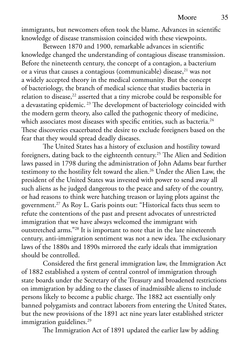immigrants, but newcomers often took the blame. Advances in scientific knowledge of disease transmission coincided with these viewpoints.

Between 1870 and 1900, remarkable advances in scientific knowledge changed the understanding of contagious disease transmission. Before the nineteenth century, the concept of a contagion, a bacterium or a virus that causes a contagious (communicable) disease,<sup>21</sup> was not a widely accepted theory in the medical community. But the concept of bacteriology, the branch of medical science that studies bacteria in relation to disease,<sup>22</sup> asserted that a tiny microbe could be responsible for a devastating epidemic.<sup>23</sup> The development of bacteriology coincided with the modern germ theory, also called the pathogenic theory of medicine, which associates most diseases with specific entities, such as bacteria.<sup>24</sup> These discoveries exacerbated the desire to exclude foreigners based on the fear that they would spread deadly diseases.

The United States has a history of exclusion and hostility toward foreigners, dating back to the eighteenth century.<sup>25</sup> The Alien and Sedition laws passed in 1798 during the administration of John Adams bear further testimony to the hostility felt toward the alien.<sup>26</sup> Under the Alien Law, the president of the United States was invested with power to send away all such aliens as he judged dangerous to the peace and safety of the country, or had reasons to think were hatching treason or laying plots against the government.27 As Roy L. Garis points out: "Historical facts thus seem to refute the contentions of the past and present advocates of unrestricted immigration that we have always welcomed the immigrant with outstretched arms."28 It is important to note that in the late nineteenth century, anti-immigration sentiment was not a new idea. The exclusionary laws of the 1880s and 1890s mirrored the early ideals that immigration should be controlled.

Considered the first general immigration law, the Immigration Act of 1882 established a system of central control of immigration through state boards under the Secretary of the Treasury and broadened restrictions on immigration by adding to the classes of inadmissible aliens to include persons likely to become a public charge. The 1882 act essentially only banned polygamists and contract laborers from entering the United States, but the new provisions of the 1891 act nine years later established stricter immigration guidelines.<sup>29</sup>

The Immigration Act of 1891 updated the earlier law by adding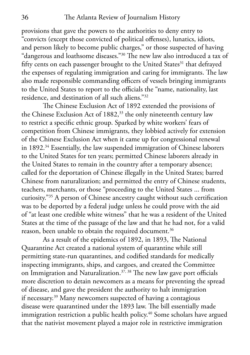provisions that gave the powers to the authorities to deny entry to "convicts (except those convicted of political offenses), lunatics, idiots, and person likely to become public charges," or those suspected of having "dangerous and loathsome diseases."30 The new law also introduced a tax of fifty cents on each passenger brought to the United States $31$  that defrayed the expenses of regulating immigration and caring for immigrants. The law also made responsible commanding officers of vessels bringing immigrants to the United States to report to the officials the "name, nationality, last residence, and destination of all such aliens."32

The Chinese Exclusion Act of 1892 extended the provisions of the Chinese Exclusion Act of  $1882<sup>33</sup>$ , the only nineteenth century law to restrict a specific ethnic group. Sparked by white workers' fears of competition from Chinese immigrants, they lobbied actively for extension of the Chinese Exclusion Act when it came up for congressional renewal in 1892.34 Essentially, the law suspended immigration of Chinese laborers to the United States for ten years; permitted Chinese laborers already in the United States to remain in the country after a temporary absence; called for the deportation of Chinese illegally in the United States; barred Chinese from naturalization; and permitted the entry of Chinese students, teachers, merchants, or those "proceeding to the United States ... from curiosity."35 A person of Chinese ancestry caught without such certification was to be deported by a federal judge unless he could prove with the aid of "at least one credible white witness" that he was a resident of the United States at the time of the passage of the law and that he had not, for a valid reason, been unable to obtain the required document.<sup>36</sup>

As a result of the epidemics of 1892, in 1893, The National Quarantine Act created a national system of quarantine while still permitting state-run quarantines, and codified standards for medically inspecting immigrants, ships, and cargoes, and created the Committee on Immigration and Naturalization.<sup>37, 38</sup> The new law gave port officials more discretion to detain newcomers as a means for preventing the spread of disease, and gave the president the authority to halt immigration if necessary.39 Many newcomers suspected of having a contagious disease were quarantined under the 1893 law. The bill essentially made immigration restriction a public health policy.<sup>40</sup> Some scholars have argued that the nativist movement played a major role in restrictive immigration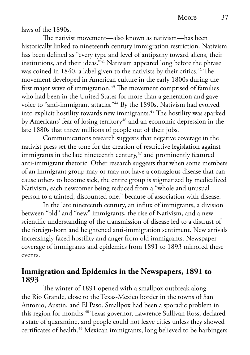laws of the 1890s.

The nativist movement—also known as nativism—has been historically linked to nineteenth century immigration restriction. Nativism has been defined as "every type and level of antipathy toward aliens, their institutions, and their ideas."41 Nativism appeared long before the phrase was coined in 1840, a label given to the nativists by their critics.<sup>42</sup> The movement developed in American culture in the early 1800s during the first major wave of immigration.<sup>43</sup> The movement comprised of families who had been in the United States for more than a generation and gave voice to "anti-immigrant attacks."<sup>44</sup> By the 1890s, Nativism had evolved into explicit hostility towards new immigrants.<sup>45</sup> The hostility was sparked by Americans' fear of losing territory<sup>46</sup> and an economic depression in the late 1880s that threw millions of people out of their jobs.

Communications research suggests that negative coverage in the nativist press set the tone for the creation of restrictive legislation against immigrants in the late nineteenth century,<sup>47</sup> and prominently featured anti-immigrant rhetoric. Other research suggests that when some members of an immigrant group may or may not have a contagious disease that can cause others to become sick, the entire group is stigmatized by medicalized Nativism, each newcomer being reduced from a "whole and unusual person to a tainted, discounted one," because of association with disease.

In the late nineteenth century, an influx of immigrants, a division between "old" and "new" immigrants, the rise of Nativism, and a new scientific understanding of the transmission of disease led to a distrust of the foreign-born and heightened anti-immigration sentiment. New arrivals increasingly faced hostility and anger from old immigrants. Newspaper coverage of immigrants and epidemics from 1891 to 1893 mirrored these events.

## **Immigration and Epidemics in the Newspapers, 1891 to 1893**

The winter of 1891 opened with a smallpox outbreak along the Rio Grande, close to the Texas-Mexico border in the towns of San Antonio, Austin, and El Paso. Smallpox had been a sporadic problem in this region for months.48 Texas governor, Lawrence Sullivan Ross, declared a state of quarantine, and people could not leave cities unless they showed certificates of health.49 Mexican immigrants, long believed to be harbingers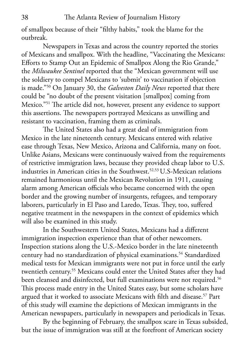of smallpox because of their "filthy habits," took the blame for the outbreak.

Newspapers in Texas and across the country reported the stories of Mexicans and smallpox. With the headline, "Vaccinating the Mexicans: Efforts to Stamp Out an Epidemic of Smallpox Along the Rio Grande," the *Milwaukee Sentinel* reported that the "Mexican government will use the soldiery to compel Mexicans to 'submit' to vaccination if objection is made."50 On January 30, the *Galveston Daily News* reported that there could be "no doubt of the present visitation [smallpox] coming from Mexico."51 The article did not, however, present any evidence to support this assertions. The newspapers portrayed Mexicans as unwilling and resistant to vaccination, framing them as criminals.

The United States also had a great deal of immigration from Mexico in the late nineteenth century. Mexicans entered with relative ease through Texas, New Mexico, Arizona and California, many on foot. Unlike Asians, Mexicans were continuously waived from the requirements of restrictive immigration laws, because they provided cheap labor to U.S. industries in American cities in the Southwest.<sup>52,53</sup> U.S-Mexican relations remained harmonious until the Mexican Revolution in 1911, causing alarm among American officials who became concerned with the open border and the growing number of insurgents, refugees, and temporary laborers, particularly in El Paso and Laredo, Texas. They, too, suffered negative treatment in the newspapers in the context of epidemics which will also be examined in this study.

In the Southwestern United States, Mexicans had a different immigration inspection experience than that of other newcomers. Inspection stations along the U.S.-Mexico border in the late nineteenth century had no standardization of physical examinations.<sup>54</sup> Standardized medical tests for Mexican immigrants were not put in force until the early twentieth century.55 Mexicans could enter the United States after they had been cleansed and disinfected, but full examinations were not required.<sup>56</sup> This process made entry in the United States easy, but some scholars have argued that it worked to associate Mexicans with filth and disease.<sup>57</sup> Part of this study will examine the depictions of Mexican immigrants in the American newspapers, particularly in newspapers and periodicals in Texas.

By the beginning of February, the smallpox scare in Texas subsided, but the issue of immigration was still at the forefront of American society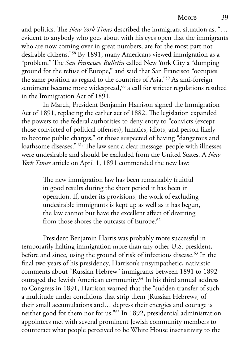and politics. The *New York Times* described the immigrant situation as, "… evident to anybody who goes about with his eyes open that the immigrants who are now coming over in great numbers, are for the most part not desirable citizens."58 By 1891, many Americans viewed immigration as a "problem." The *San Francisco Bulletin* called New York City a "dumping ground for the refuse of Europe," and said that San Francisco "occupies the same position as regard to the countries of Asia."59 As anti-foreign sentiment became more widespread,<sup>60</sup> a call for stricter regulations resulted in the Immigration Act of 1891.

In March, President Benjamin Harrison signed the Immigration Act of 1891, replacing the earlier act of 1882. The legislation expanded the powers to the federal authorities to deny entry to "convicts (except those convicted of political offenses), lunatics, idiots, and person likely to become public charges," or those suspected of having "dangerous and loathsome diseases." 61, The law sent a clear message: people with illnesses were undesirable and should be excluded from the United States. A *New York Times* article on April 1, 1891 commended the new law:

> The new immigration law has been remarkably fruitful in good results during the short period it has been in operation. If, under its provisions, the work of excluding undesirable immigrants is kept up as well as it has begun, the law cannot but have the excellent affect of diverting from those shores the outcasts of Europe.<sup>62</sup>

President Benjamin Harris was probably more successful in temporarily halting immigration more than any other U.S. president, before and since, using the ground of risk of infectious disease.<sup>63</sup> In the final two years of his presidency, Harrison's unsympathetic, nativistic comments about "Russian Hebrew" immigrants between 1891 to 1892 outraged the Jewish American community.<sup>64</sup> In his third annual address to Congress in 1891, Harrison warned that the "sudden transfer of such a multitude under conditions that strip them [Russian Hebrews] of their small accumulations and… depress their energies and courage is neither good for them nor for us."65 In 1892, presidential administration appointees met with several prominent Jewish community members to counteract what people perceived to be White House insensitivity to the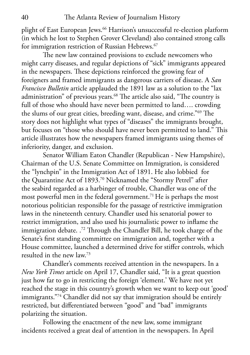plight of East European Jews.<sup>66</sup> Harrison's unsuccessful re-election platform (in which he lost to Stephen Grover Cleveland) also contained strong calls for immigration restriction of Russian Hebrews.<sup>67</sup>

The new law contained provisions to exclude newcomers who might carry diseases, and regular depictions of "sick" immigrants appeared in the newspapers. These depictions reinforced the growing fear of foreigners and framed immigrants as dangerous carriers of disease. A *San Francisco Bulletin* article applauded the 1891 law as a solution to the "lax administration" of previous years.<sup>68</sup> The article also said, "The country is full of those who should have never been permitted to land…. crowding the slums of our great cities, breeding want, disease, and crime."69 The story does not highlight what types of "diseases" the immigrants brought, but focuses on "those who should have never been permitted to land." This article illustrates how the newspapers framed immigrants using themes of inferiority, danger, and exclusion.

Senator William Eaton Chandler (Republican - New Hampshire), Chairman of the U.S. Senate Committee on Immigration, is considered the "lynchpin" in the Immigration Act of 1891. He also lobbied for the Quarantine Act of 1893.<sup>70</sup> Nicknamed the "Stormy Petrel" after the seabird regarded as a harbinger of trouble, Chandler was one of the most powerful men in the federal government.71 He is perhaps the most notorious politician responsible for the passage of restrictive immigration laws in the nineteenth century. Chandler used his senatorial power to restrict immigration, and also used his journalistic power to inflame the immigration debate. .<sup>72</sup> Through the Chandler Bill, he took charge of the Senate's first standing committee on immigration and, together with a House committee, launched a determined drive for stiffer controls, which resulted in the new law.73

Chandler's comments received attention in the newspapers. In a *New York Times* article on April 17, Chandler said, "It is a great question just how far to go in restricting the foreign 'element.' We have not yet reached the stage in this country's growth when we want to keep out 'good' immigrants."74 Chandler did not say that immigration should be entirely restricted, but differentiated between "good" and "bad" immigrants polarizing the situation.

Following the enactment of the new law, some immigrant incidents received a great deal of attention in the newspapers. In April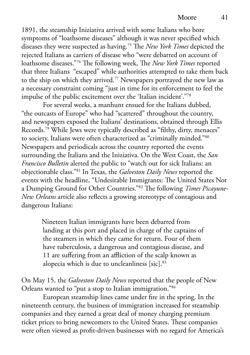1891, the steamship Iniziativa arrived with some Italians who bore symptoms of "loathsome diseases" although it was never specified which diseases they were suspected as having.75 The *New York Times* depicted the rejected Italians as carriers of disease who "were debarred on account of loathsome diseases."76 The following week, The *New York Times* reported that three Italians "escaped" while authorities attempted to take them back to the ship on which they arrived.77 Newspapers portrayed the new law as a necessary constraint coming "just in time for its enforcement to feel the impulse of the public excitement over the 'Italian incident'."78

For several weeks, a manhunt ensued for the Italians dubbed, "the outcasts of Europe" who had "scattered" throughout the country, and newspapers exposed the Italians' destinations, obtained through Ellis Records.79 While Jews were typically described as "filthy, dirty, menaces" to society, Italians were often characterized as "criminally minded."80 Newspapers and periodicals across the country reported the events surrounding the Italians and the Iniziativa. On the West Coast, the *San Francisco Bulletin* alerted the public to "watch out for sick Italians: an objectionable class."81 In Texas, the *Galveston Daily News* reported the events with the headline, "Undesirable Immigrants: The United States Not a Dumping Ground for Other Countries."82 The following *Times Picayune-New Orleans* article also reflects a growing stereotype of contagious and dangerous Italians:

 Nineteen Italian immigrants have been debarred from landing at this port and placed in charge of the captains of the steamers in which they came for return. Four of them have tuberculosis, a dangerous and contagious disease, and 11 are suffering from an affliction of the scalp known as alopecia which is due to uncleanliness [sic].<sup>83</sup>

On May 15, the *Galveston Daily News* reported that the people of New Orleans wanted to "put a stop to Italian immigration."84

European steamship lines came under fire in the spring. In the nineteenth century, the business of immigration increased for steamship companies and they earned a great deal of money charging premium ticket prices to bring newcomers to the United States. These companies were often viewed as profit-driven businesses with no regard for America's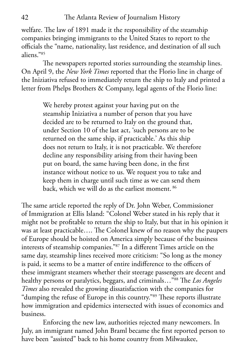welfare. The law of 1891 made it the responsibility of the steamship companies bringing immigrants to the United States to report to the officials the "name, nationality, last residence, and destination of all such aliens."85

The newspapers reported stories surrounding the steamship lines. On April 9, the *New York Times* reported that the Florio line in charge of the Iniziativa refused to immediately return the ship to Italy and printed a letter from Phelps Brothers & Company, legal agents of the Florio line:

> We hereby protest against your having put on the steamship Iniziativa a number of person that you have decided are to be returned to Italy on the ground that, under Section 10 of the last act, 'such persons are to be returned on the same ship, if practicable.' As this ship does not return to Italy, it is not practicable. We therefore decline any responsibility arising from their having been put on board, the same having been done, in the first instance without notice to us. We request you to take and keep them in charge until such time as we can send them back, which we will do as the earliest moment. 86

The same article reported the reply of Dr. John Weber, Commissioner of Immigration at Ellis Island: "Colonel Weber stated in his reply that it might not be profitable to return the ship to Italy, but that in his opinion it was at least practicable…. The Colonel knew of no reason why the paupers of Europe should be hoisted on America simply because of the business interests of steamship companies."87 In a different Times article on the same day, steamship lines received more criticism: "So long as the money is paid, it seems to be a matter of entire indifference to the officers of these immigrant steamers whether their steerage passengers are decent and healthy persons or paralytics, beggars, and criminals…"88 The *Los Angeles Times* also revealed the growing dissatisfaction with the companies for "dumping the refuse of Europe in this country."89 These reports illustrate how immigration and epidemics intersected with issues of economics and business.

Enforcing the new law, authorities rejected many newcomers. In July, an immigrant named John Braml became the first reported person to have been "assisted" back to his home country from Milwaukee,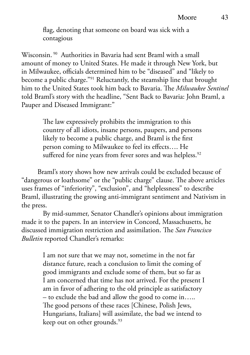flag, denoting that someone on board was sick with a contagious

Wisconsin. 90 Authorities in Bavaria had sent Braml with a small amount of money to United States. He made it through New York, but in Milwaukee, officials determined him to be "diseased" and "likely to become a public charge."91 Reluctantly, the steamship line that brought him to the United States took him back to Bavaria. The *Milwaukee Sentinel* told Braml's story with the headline, "Sent Back to Bavaria: John Braml, a Pauper and Diseased Immigrant:"

> The law expressively prohibits the immigration to this country of all idiots, insane persons, paupers, and persons likely to become a public charge, and Braml is the first person coming to Milwaukee to feel its effects…. He suffered for nine years from fever sores and was helpless.<sup>92</sup>

 Braml's story shows how new arrivals could be excluded because of "dangerous or loathsome" or the "public charge" clause. The above articles uses frames of "inferiority", "exclusion", and "helplessness" to describe Braml, illustrating the growing anti-immigrant sentiment and Nativism in the press.

By mid-summer, Senator Chandler's opinions about immigration made it to the papers. In an interview in Concord, Massachusetts, he discussed immigration restriction and assimilation. The *San Francisco Bulletin* reported Chandler's remarks:

> I am not sure that we may not, sometime in the not far distance future, reach a conclusion to limit the coming of good immigrants and exclude some of them, but so far as I am concerned that time has not arrived. For the present I am in favor of adhering to the old principle as satisfactory – to exclude the bad and allow the good to come in….. The good persons of these races [Chinese, Polish Jews, Hungarians, Italians] will assimilate, the bad we intend to keep out on other grounds.<sup>93</sup>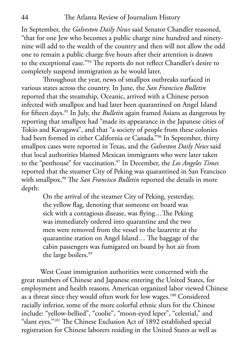In September, the *Galveston Daily News* said Senator Chandler reasoned, "that for one Jew who becomes a public charge nine hundred and ninetynine will add to the wealth of the country and then will not allow the odd one to remain a public charge five hours after their attention is drawn to the exceptional ease."94 The reports do not reflect Chandler's desire to completely suspend immigration as he would later.

Throughout the year, news of smallpox outbreaks surfaced in various states across the country. In June, the *San Francisco Bulletin* reported that the steamship, Oceanic, arrived with a Chinese person infected with smallpox and had later been quarantined on Angel Island for fifteen days.95 In July, the *Bulletin* again framed Asians as dangerous by reporting that smallpox had "made its appearance in the Japanese cities of Tokio and Kavagawa", and that "a society of people from these colonies had been formed in either California or Canada."96 In September, thirty smallpox cases were reported in Texas, and the *Galveston Daily News* said that local authorities blamed Mexican immigrants who were later taken to the "pesthouse" for vaccination.97 In December, the *Los Angeles Times* reported that the steamer City of Peking was quarantined in San Francisco with smallpox.98 The *San Francisco Bulletin* reported the details in more depth:

> On the arrival of the steamer City of Peking, yesterday, the yellow flag, denoting that someone on board was sick with a contagious disease, was flying…The Peking was immediately ordered into quarantine and the two men were removed from the vessel to the lazarette at the quarantine station on Angel Island… The baggage of the cabin passengers was fumigated on board by hot air from the large boilers.<sup>99</sup>

West Coast immigration authorities were concerned with the great numbers of Chinese and Japanese entering the United States, for employment and health reasons. American organized labor viewed Chinese as a threat since they would often work for low wages.<sup>100</sup> Considered racially inferior, some of the more colorful ethnic slurs for the Chinese include: "yellow-bellied", "coolie", "moon-eyed leper", "celestial," and "slant eyes."101 The Chinese Exclusion Act of 1892 established special registration for Chinese laborers residing in the United States as well as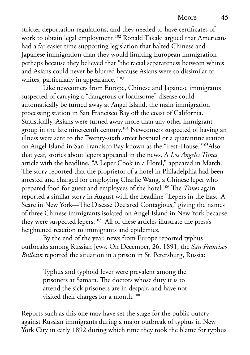stricter deportation regulations, and they needed to have certificates of work to obtain legal employment.<sup>102</sup> Ronald Takaki argued that Americans had a far easier time supporting legislation that halted Chinese and Japanese immigration than they would limiting European immigration, perhaps because they believed that "the racial separateness between whites and Asians could never be blurred because Asians were so dissimilar to whites, particularly in appearance."<sup>103</sup>

Like newcomers from Europe, Chinese and Japanese immigrants suspected of carrying a "dangerous or loathsome" disease could automatically be turned away at Angel Island, the main immigration processing station in San Francisco Bay off the coast of California. Statistically, Asians were turned away more than any other immigrant group in the late nineteenth century.<sup>104</sup> Newcomers suspected of having an illness were sent to the Twenty-sixth street hospital or a quarantine station on Angel Island in San Francisco Bay known as the "Pest-House."105Also that year, stories about lepers appeared in the news. A *Los Angeles Times* article with the headline, "A Leper Cook in a Hotel," appeared in March. The story reported that the proprietor of a hotel in Philadelphia had been arrested and charged for employing Charlie Wang, a Chinese leper who prepared food for guest and employees of the hotel.106 The *Times* again reported a similar story in August with the headline "Lepers in the East: A Scare in New York—The Disease Declared Contagious," giving the names of three Chinese immigrants isolated on Angel Island in New York because they were suspected lepers.<sup>107</sup> All of these articles illustrate the press's heightened reaction to immigrants and epidemics.

By the end of the year, news from Europe reported typhus outbreaks among Russian Jews. On December, 26, 1891, the *San Francisco Bulletin* reported the situation in a prison in St. Petersburg, Russia:

> Typhus and typhoid fever were prevalent among the prisoners at Samara. The doctors whose duty it is to attend the sick prisoners are in despair, and have not visited their charges for a month.<sup>108</sup>

Reports such as this one may have set the stage for the public outcry against Russian immigrants during a major outbreak of typhus in New York City in early 1892 during which time they took the blame for typhus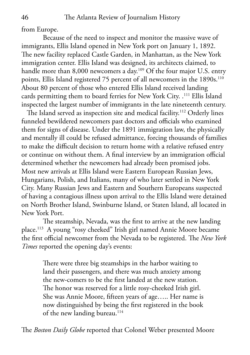from Europe.

Because of the need to inspect and monitor the massive wave of immigrants, Ellis Island opened in New York port on January 1, 1892. The new facility replaced Castle Garden, in Manhattan, as the New York immigration center. Ellis Island was designed, its architects claimed, to handle more than 8,000 newcomers a day.<sup>109</sup> Of the four major U.S. entry points, Ellis Island registered 75 percent of all newcomers in the 1890s.<sup>110</sup> About 80 percent of those who entered Ellis Island received landing cards permitting them to board ferries for New York City. .<sup>111</sup> Ellis Island inspected the largest number of immigrants in the late nineteenth century.

 The Island served as inspection site and medical facility.112 Orderly lines funneled bewildered newcomers past doctors and officials who examined them for signs of disease. Under the 1891 immigration law, the physically and mentally ill could be refused admittance, forcing thousands of families to make the difficult decision to return home with a relative refused entry or continue on without them. A final interview by an immigration official determined whether the newcomers had already been promised jobs. Most new arrivals at Ellis Island were Eastern European Russian Jews, Hungarians, Polish, and Italians, many of who later settled in New York City. Many Russian Jews and Eastern and Southern Europeans suspected of having a contagious illness upon arrival to the Ellis Island were detained on North Brother Island, Swinburne Island, or Staten Island, all located in New York Port.

The steamship, Nevada, was the first to arrive at the new landing place.113 A young "rosy cheeked" Irish girl named Annie Moore became the first official newcomer from the Nevada to be registered. The *New York Times* reported the opening day's events:

> There were three big steamships in the harbor waiting to land their passengers, and there was much anxiety among the new-comers to be the first landed at the new station. The honor was reserved for a little rosy-cheeked Irish girl. She was Annie Moore, fifteen years of age….. Her name is now distinguished by being the first registered in the book of the new landing bureau.<sup>114</sup>

The *Boston Daily Globe* reported that Colonel Weber presented Moore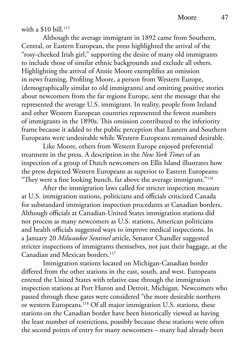with a  $$10$  bill.<sup>115</sup>

Although the average immigrant in 1892 came from Southern, Central, or Eastern European, the press highlighted the arrival of the "rosy-cheeked Irish girl," supporting the desire of many old immigrants to include those of similar ethnic backgrounds and exclude all others. Highlighting the arrival of Annie Moore exemplifies an omission in news framing. Profiling Moore, a person from Western Europe, (demographically similar to old immigrants) and omitting positive stories about newcomers from the far regions Europe, sent the message that she represented the average U.S. immigrant. In reality, people from Ireland and other Western European countries represented the fewest numbers of immigrants in the 1890s. This omission contributed to the inferiority frame because it added to the public perception that Eastern and Southern Europeans were undesirable while Western Europeans remained desirable.

Like Moore, others from Western Europe enjoyed preferential treatment in the press. A description in the *New York Times* of an inspection of a group of Dutch newcomers on Ellis Island illustrates how the press depicted Western Europeans as superior to Eastern Europeans: "They were a fine looking bunch, far above the average immigrant."116

After the immigration laws called for stricter inspection measure at U.S. immigration stations, politicians and officials criticized Canada for substandard immigration inspection procedures at Canadian borders. Although officials at Canadian-United States immigration stations did not process as many newcomers as U.S. stations, American politicians and health officials suggested ways to improve medical inspections. In a January 20 *Milwaukee Sentinel* article, Senator Chandler suggested stricter inspections of immigrants themselves, not just their baggage, at the Canadian and Mexican borders.117

Immigration stations located on Michigan-Canadian border differed from the other stations in the east, south, and west. Europeans entered the United States with relative ease through the immigration inspection stations at Port Huron and Detroit, Michigan. Newcomers who passed through these gates were considered "the more desirable northern or western Europeans.118 Of all major immigration U.S. stations, these stations on the Canadian border have been historically viewed as having the least number of restrictions, possibly because these stations were often the second points of entry for many newcomers – many had already been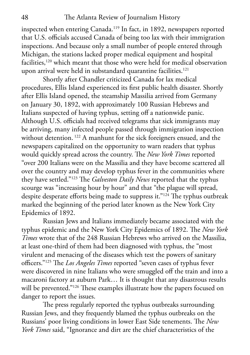inspected when entering Canada.119 In fact, in 1892, newspapers reported that U.S. officials accused Canada of being too lax with their immigration inspections. And because only a small number of people entered through Michigan, the stations lacked proper medical equipment and hospital facilities,<sup>120</sup> which meant that those who were held for medical observation upon arrival were held in substandard quarantine facilities.<sup>121</sup>

Shortly after Chandler criticized Canada for lax medical procedures, Ellis Island experienced its first public health disaster. Shortly after Ellis Island opened, the steamship Massilia arrived from Germany on January 30, 1892, with approximately 100 Russian Hebrews and Italians suspected of having typhus, setting off a nationwide panic. Although U.S. officials had received telegrams that sick immigrants may be arriving, many infected people passed through immigration inspection without detention.<sup>122</sup> A manhunt for the sick foreigners ensued, and the newspapers capitalized on the opportunity to warn readers that typhus would quickly spread across the country. The *New York Times* reported "over 200 Italians were on the Massilia and they have become scattered all over the country and may develop typhus fever in the communities where they have settled."123 The *Galveston Daily News* reported that the typhus scourge was "increasing hour by hour" and that "the plague will spread, despite desperate efforts being made to suppress it."124 The typhus outbreak marked the beginning of the period later known as the New York City Epidemics of 1892.

Russian Jews and Italians immediately became associated with the typhus epidemic and the New York City Epidemics of 1892. The *New York Times* wrote that of the 248 Russian Hebrews who arrived on the Massilia, at least one-third of them had been diagnosed with typhus, the "most virulent and menacing of the diseases which test the powers of sanitary officers."125 The *Los Angeles Times* reported "seven cases of typhus fever were discovered in nine Italians who were smuggled off the train and into a macaroni factory at auburn Park… It is thought that any disastrous results will be prevented."<sup>126</sup> These examples illustrate how the papers focused on danger to report the issues.

The press regularly reported the typhus outbreaks surrounding Russian Jews, and they frequently blamed the typhus outbreaks on the Russians' poor living conditions in lower East Side tenements. The *New York Times* said, "Ignorance and dirt are the chief characteristics of the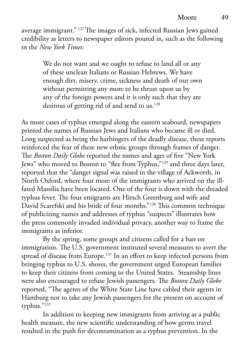average immigrant." 127 The images of sick, infected Russian Jews gained credibility as letters to newspaper editors poured in, such as the following in the *New York Times*:

> We do not want and we ought to refuse to land all or any of these unclean Italians or Russian Hebrews. We have enough dirt, misery, crime, sickness and death of our own without permitting any more to be thrust upon us by any of the foreign powers and it is only such that they are desirous of getting rid of and send to us.<sup>128</sup>

As more cases of typhus emerged along the eastern seaboard, newspapers printed the names of Russian Jews and Italians who became ill or died. Long suspected as being the harbingers of the deadly disease, these reports reinforced the fear of these new ethnic groups through frames of danger. The *Boston Daily Globe* reported the names and ages of five "New York Jews" who moved to Boston to "flee from Typhus,"129 and three days later, reported that the "danger signal was raised in the village of Ackworth, in North Oxford, where four more of the immigrants who arrived on the illfated Massilia have been located. One of the four is down with the dreaded typhus fever. The four emigrants are Hirsch Greenburg and wife and David Scarefski and his bride of four months."130 This common technique of publicizing names and addresses of typhus "suspects" illustrates how the press commonly invaded individual privacy, another way to frame the immigrants as inferior.

By the spring, some groups and citizens called for a ban on immigration. The U.S. government instituted several measures to avert the spread of disease from Europe.<sup>131</sup> In an effort to keep infected persons from bringing typhus to U.S. shores, the government urged European families to keep their citizens from coming to the United States. Steamship lines were also encouraged to refuse Jewish passengers. The *Boston Daily Globe* reported, "The agents of the White State Line have cabled their agents in Hamburg not to take any Jewish passengers for the present on account of typhus."132

In addition to keeping new immigrants from arriving as a public health measure, the new scientific understanding of how germs travel resulted in the push for decontamination as a typhus prevention. In the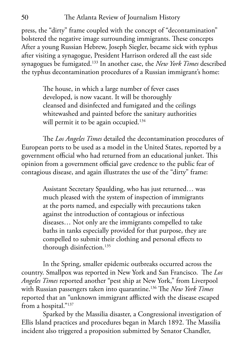press, the "dirty" frame coupled with the concept of "decontamination" bolstered the negative image surrounding immigrants. These concepts After a young Russian Hebrew, Joseph Siegler, became sick with typhus after visiting a synagogue, President Harrison ordered all the east side synagogues be fumigated.133 In another case, the *New York Times* described the typhus decontamination procedures of a Russian immigrant's home:

> The house, in which a large number of fever cases developed, is now vacant. It will be thoroughly cleansed and disinfected and fumigated and the ceilings whitewashed and painted before the sanitary authorities will permit it to be again occupied.<sup>134</sup>

The *Los Angeles Times* detailed the decontamination procedures of European ports to be used as a model in the United States, reported by a government official who had returned from an educational junket. This opinion from a government official gave credence to the public fear of contagious disease, and again illustrates the use of the "dirty" frame:

> Assistant Secretary Spaulding, who has just returned… was much pleased with the system of inspection of immigrants at the ports named, and especially with precautions taken against the introduction of contagious or infectious diseases… Not only are the immigrants compelled to take baths in tanks especially provided for that purpose, they are compelled to submit their clothing and personal effects to thorough disinfection.135

In the Spring, smaller epidemic outbreaks occurred across the country. Smallpox was reported in New York and San Francisco. The *Los Angeles Times* reported another "pest ship at New York," from Liverpool with Russian passengers taken into quarantine.136 The *New York Times* reported that an "unknown immigrant afflicted with the disease escaped from a hospital."137

Sparked by the Massilia disaster, a Congressional investigation of Ellis Island practices and procedures began in March 1892. The Massilia incident also triggered a proposition submitted by Senator Chandler,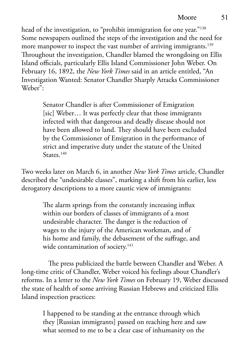head of the investigation, to "prohibit immigration for one year."<sup>138</sup> Some newspapers outlined the steps of the investigation and the need for more manpower to inspect the vast number of arriving immigrants.<sup>139</sup> Throughout the investigation, Chandler blamed the wrongdoing on Ellis Island officials, particularly Ellis Island Commissioner John Weber. On February 16, 1892, the *New York Times* said in an article entitled, "An Investigation Wanted: Senator Chandler Sharply Attacks Commissioner Weber":

> Senator Chandler is after Commissioner of Emigration [sic] Weber… It was perfectly clear that those immigrants infected with that dangerous and deadly disease should not have been allowed to land. They should have been excluded by the Commissioner of Emigration in the performance of strict and imperative duty under the statute of the United States<sup>140</sup>

Two weeks later on March 6, in another *New York Times* article, Chandler described the "undesirable classes", marking a shift from his earlier, less derogatory descriptions to a more caustic view of immigrants:

> The alarm springs from the constantly increasing influx within our borders of classes of immigrants of a most undesirable character. The danger is the reduction of wages to the injury of the American workman, and of his home and family, the debasement of the suffrage, and wide contamination of society.<sup>141</sup>

 The press publicized the battle between Chandler and Weber. A long-time critic of Chandler, Weber voiced his feelings about Chandler's reforms. In a letter to the *New York Times* on February 19, Weber discussed the state of health of some arriving Russian Hebrews and criticized Ellis Island inspection practices:

> I happened to be standing at the entrance through which they [Russian immigrants] passed on reaching here and saw what seemed to me to be a clear case of inhumanity on the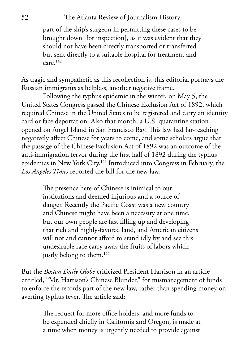part of the ship's surgeon in permitting these cases to be brought down [for inspection], as it was evident that they should not have been directly transported or transferred but sent directly to a suitable hospital for treatment and  $c$ are  $^{142}$ 

As tragic and sympathetic as this recollection is, this editorial portrays the Russian immigrants as helpless, another negative frame.

Following the typhus epidemic in the winter, on May 5, the United States Congress passed the Chinese Exclusion Act of 1892, which required Chinese in the United States to be registered and carry an identity card or face deportation. Also that month, a U.S. quarantine station opened on Angel Island in San Francisco Bay. This law had far-reaching negatively affect Chinese for years to come, and some scholars argue that the passage of the Chinese Exclusion Act of 1892 was an outcome of the anti-immigration fervor during the first half of 1892 during the typhus epidemics in New York City.143 Introduced into Congress in February, the *Los Angeles Times* reported the bill for the new law:

> The presence here of Chinese is inimical to our institutions and deemed injurious and a source of danger. Recently the Pacific Coast was a new country and Chinese might have been a necessity at one time, but our own people are fast filling up and developing that rich and highly-favored land, and American citizens will not and cannot afford to stand idly by and see this undesirable race carry away the fruits of labors which justly belong to them.<sup>144</sup>

But the *Boston Daily Globe* criticized President Harrison in an article entitled, "Mr. Harrison's Chinese Blunder," for mismanagement of funds to enforce the records part of the new law, rather than spending money on averting typhus fever. The article said:

> The request for more office holders, and more funds to be expended chiefly in California and Oregon, is made at a time when money is urgently needed to provide against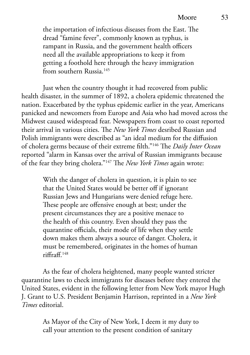the importation of infectious diseases from the East. The dread "famine fever", commonly known as typhus, is rampant in Russia, and the government health officers need all the available appropriations to keep it from getting a foothold here through the heavy immigration from southern Russia.<sup>145</sup>

Just when the country thought it had recovered from public health disaster, in the summer of 1892, a cholera epidemic threatened the nation. Exacerbated by the typhus epidemic earlier in the year, Americans panicked and newcomers from Europe and Asia who had moved across the Midwest caused widespread fear. Newspapers from coast to coast reported their arrival in various cities. The *New York Times* desribed Russian and Polish immigrants were described as "an ideal medium for the diffusion of cholera germs because of their extreme filth."146 The *Daily Inter Ocean* reported "alarm in Kansas over the arrival of Russian immigrants because of the fear they bring cholera."147 The *New York Times* again wrote:

> With the danger of cholera in question, it is plain to see that the United States would be better off if ignorant Russian Jews and Hungarians were denied refuge here. These people are offensive enough at best; under the present circumstances they are a positive menace to the health of this country. Even should they pass the quarantine officials, their mode of life when they settle down makes them always a source of danger. Cholera, it must be remembered, originates in the homes of human riffraff.148

As the fear of cholera heightened, many people wanted stricter quarantine laws to check immigrants for diseases before they entered the United States, evident in the following letter from New York mayor Hugh J. Grant to U.S. President Benjamin Harrison, reprinted in a *New York Times* editorial.

> As Mayor of the City of New York, I deem it my duty to call your attention to the present condition of sanitary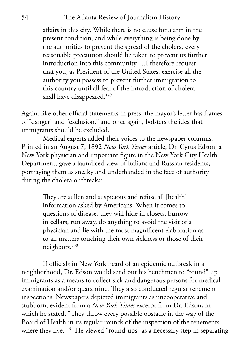### 54 The Atlanta Review of Journalism History

affairs in this city. While there is no cause for alarm in the present condition, and while everything is being done by the authorities to prevent the spread of the cholera, every reasonable precaution should be taken to prevent its further introduction into this community….I therefore request that you, as President of the United States, exercise all the authority you possess to prevent further immigration to this country until all fear of the introduction of cholera shall have disappeared.<sup>149</sup>

Again, like other official statements in press, the mayor's letter has frames of "danger" and "exclusion," and once again, bolsters the idea that immigrants should be excluded.

Medical experts added their voices to the newspaper columns. Printed in an August 7, 1892 *New York Times* article, Dr. Cyrus Edson, a New York physician and important figure in the New York City Health Department, gave a jaundiced view of Italians and Russian residents, portraying them as sneaky and underhanded in the face of authority during the cholera outbreaks:

> They are sullen and suspicious and refuse all [health] information asked by Americans. When it comes to questions of disease, they will hide in closets, burrow in cellars, run away, do anything to avoid the visit of a physician and lie with the most magnificent elaboration as to all matters touching their own sickness or those of their neighbors.150

If officials in New York heard of an epidemic outbreak in a neighborhood, Dr. Edson would send out his henchmen to "round" up immigrants as a means to collect sick and dangerous persons for medical examination and/or quarantine. They also conducted regular tenement inspections. Newspapers depicted immigrants as uncooperative and stubborn, evident from a *New York Times* excerpt from Dr. Edson, in which he stated, "They throw every possible obstacle in the way of the Board of Health in its regular rounds of the inspection of the tenements where they live."<sup>151</sup> He viewed "round-ups" as a necessary step in separating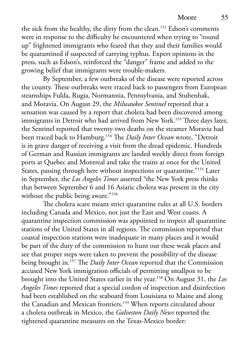the sick from the healthy, the dirty from the clean.<sup>152</sup> Edson's comments were in response to the difficulty he encountered when trying to "round up" frightened immigrants who feared that they and their families would be quarantined if suspected of carrying typhus. Expert opinions in the press, such as Edson's, reinforced the "danger" frame and added to the growing belief that immigrants were trouble-makers.

By September, a few outbreaks of the disease were reported across the county. These outbreaks were traced back to passengers from European steamships Fulda, Rugia, Normannia, Pennsylvania, and Stubenhak, and Moravia. On August 29, the *Milwaukee Sentinel* reported that a sensation was caused by a report that cholera had been discovered among immigrants in Detroit who had arrived from New York.<sup>153</sup> Three days later, the Sentinel reported that twenty-two deaths on the steamer Moravia had been traced back to Hamburg.154 The *Daily Inter Ocean* wrote, "Detroit is in grave danger of receiving a visit from the dread epidemic. Hundreds of German and Russian immigrants are landed weekly direct from foreign ports at Quebec and Montreal and take the trains at once for the United States, passing through here without inspections or quarantine."<sup>155</sup> Later in September, the *Los Angeles Times* asserted "the New York press thinks that between September 6 and 16 Asiatic cholera was present in the city without the public being aware."<sup>156</sup>

The cholera scare meant strict quarantine rules at all U.S. borders including Canada and Mexico, not just the East and West coasts. A quarantine inspection commission was appointed to inspect all quarantine stations of the United States in all regions. The commission reported that coastal inspection stations were inadequate in many places and it would be part of the duty of the commission to hunt out these weak places and see that proper steps were taken to prevent the possibility of the disease being brought in.157 The *Daily Inter Ocean* reported that the Commission accused New York immigration officials of permitting smallpox to be brought into the United States earlier in the year.158 On August 31, the *Los Angeles Times* reported that a special cordon of inspection and disinfection had been established on the seaboard from Louisiana to Maine and along the Canadian and Mexican frontiers.<sup>159</sup> When reports circulated about a cholera outbreak in Mexico, the *Galveston Daily News* reported the tightened quarantine measures on the Texas-Mexico border: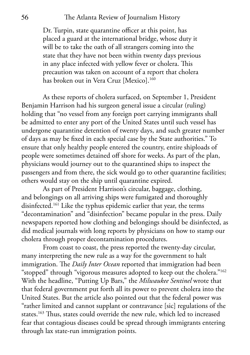Dr. Turpin, state quarantine officer at this point, has placed a guard at the international bridge, whose duty it will be to take the oath of all strangers coming into the state that they have not been within twenty days previous in any place infected with yellow fever or cholera. This precaution was taken on account of a report that cholera has broken out in Vera Cruz [Mexico].<sup>160</sup>

As these reports of cholera surfaced, on September 1, President Benjamin Harrison had his surgeon general issue a circular (ruling) holding that "no vessel from any foreign port carrying immigrants shall be admitted to enter any port of the United States until such vessel has undergone quarantine detention of twenty days, and such greater number of days as may be fixed in each special case by the State authorities." To ensure that only healthy people entered the country, entire shiploads of people were sometimes detained off shore for weeks. As part of the plan, physicians would journey out to the quarantined ships to inspect the passengers and from there, the sick would go to other quarantine facilities; others would stay on the ship until quarantine expired.

As part of President Harrison's circular, baggage, clothing, and belongings on all arriving ships were fumigated and thoroughly disinfected.<sup>161</sup> Like the typhus epidemic earlier that year, the terms "decontamination" and "disinfection" became popular in the press. Daily newspapers reported how clothing and belongings should be disinfected, as did medical journals with long reports by physicians on how to stamp our cholera through proper decontamination procedures.

From coast to coast, the press reported the twenty-day circular, many interpreting the new rule as a way for the government to halt immigration. The *Daily Inter Ocean* reported that immigration had been "stopped" through "vigorous measures adopted to keep out the cholera."162 With the headline, "Putting Up Bars," the *Milwaukee Sentinel* wrote that that federal government put forth all its power to prevent cholera into the United States. But the article also pointed out that the federal power was "rather limited and cannot supplant or contravance [sic] regulations of the states.<sup>163</sup> Thus, states could override the new rule, which led to increased fear that contagious diseases could be spread through immigrants entering through lax state-run immigration points.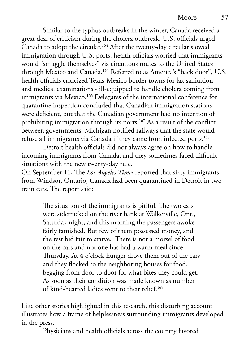Similar to the typhus outbreaks in the winter, Canada received a great deal of criticism during the cholera outbreak. U.S. officials urged Canada to adopt the circular.<sup>164</sup> After the twenty-day circular slowed immigration through U.S. ports, health officials worried that immigrants would "smuggle themselves" via circuitous routes to the United States through Mexico and Canada.165 Referred to as America's "back door", U.S. health officials criticized Texas-Mexico border towns for lax sanitation and medical examinations - ill-equipped to handle cholera coming from immigrants via Mexico.<sup>166</sup> Delegates of the international conference for quarantine inspection concluded that Canadian immigration stations were deficient, but that the Canadian government had no intention of prohibiting immigration through its ports.<sup>167</sup> As a result of the conflict between governments, Michigan notified railways that the state would refuse all immigrants via Canada if they came from infected ports.<sup>168</sup>

Detroit health officials did not always agree on how to handle incoming immigrants from Canada, and they sometimes faced difficult situations with the new twenty-day rule.

On September 11, The *Los Angeles Times* reported that sixty immigrants from Windsor, Ontario, Canada had been quarantined in Detroit in two train cars. The report said:

> The situation of the immigrants is pitiful. The two cars were sidetracked on the river bank at Walkerville, Ont., Saturday night, and this morning the passengers awoke fairly famished. But few of them possessed money, and the rest bid fair to starve. There is not a morsel of food on the cars and not one has had a warm meal since Thursday. At 4 o'clock hunger drove them out of the cars and they flocked to the neighboring houses for food, begging from door to door for what bites they could get. As soon as their condition was made known as number of kind-hearted ladies went to their relief.169

Like other stories highlighted in this research, this disturbing account illustrates how a frame of helplessness surrounding immigrants developed in the press.

Physicians and health officials across the country favored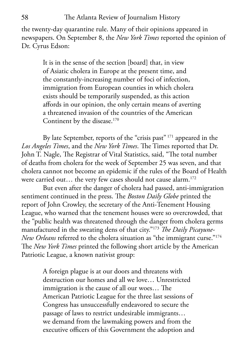the twenty-day quarantine rule. Many of their opinions appeared in newspapers. On September 8, the *New York Times* reported the opinion of Dr. Cyrus Edson:

> It is in the sense of the section [board] that, in view of Asiatic cholera in Europe at the present time, and the constantly-increasing number of foci of infection, immigration from European counties in which cholera exists should be temporarily suspended, as this action affords in our opinion, the only certain means of averting a threatened invasion of the countries of the American Continent by the disease.<sup>170</sup>

By late September, reports of the "crisis past"<sup>171</sup> appeared in the *Los Angeles Times*, and the *New York Times*. The Times reported that Dr. John T. Nagle, The Registrar of Vital Statistics, said, "The total number of deaths from cholera for the week of September 25 was seven, and that cholera cannot not become an epidemic if the rules of the Board of Health were carried out... the very few cases should not cause alarm.<sup>172</sup>

But even after the danger of cholera had passed, anti-immigration sentiment continued in the press. The *Boston Daily Globe* printed the report of John Crowley, the secretary of the Anti-Tenement Housing League, who warned that the tenement houses were so overcrowded, that the "public health was threatened through the danger from cholera germs manufactured in the sweating dens of that city."173 *The Daily Picayune-New Orleans* referred to the cholera situation as "the immigrant curse."174 The *New York Times* printed the following short article by the American Patriotic League, a known nativist group:

> A foreign plague is at our doors and threatens with destruction our homes and all we love… Unrestricted immigration is the cause of all our woes… The American Patriotic League for the three last sessions of Congress has unsuccessfully endeavored to secure the passage of laws to restrict undesirable immigrants… we demand from the lawmaking powers and from the executive officers of this Government the adoption and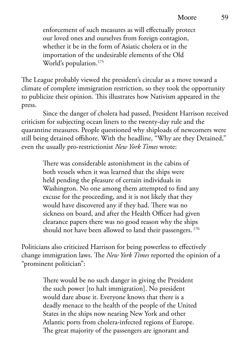enforcement of such measures as will effectually protect our loved ones and ourselves from foreign contagion, whether it be in the form of Asiatic cholera or in the importation of the undesirable elements of the Old World's population.175

The League probably viewed the president's circular as a move toward a climate of complete immigration restriction, so they took the opportunity to publicize their opinion. This illustrates how Nativism appeared in the press.

Since the danger of cholera had passed, President Harrison received criticism for subjecting ocean liners to the twenty-day rule and the quarantine measures. People questioned why shiploads of newcomers were still being detained offshore. With the headline, "Why are they Detained," even the usually pro-restrictionist *New York Times* wrote:

> There was considerable astonishment in the cabins of both vessels when it was learned that the ships were held pending the pleasure of certain individuals in Washington. No one among them attempted to find any excuse for the proceeding, and it is not likely that they would have discovered any if they had. There was no sickness on board, and after the Health Officer had given clearance papers there was no good reason why the ships should not have been allowed to land their passengers.<sup>176</sup>

Politicians also criticized Harrison for being powerless to effectively change immigration laws. The *New York Times* reported the opinion of a "prominent politician":

> There would be no such danger in giving the President the such power [to halt immigration]. No president would dare abuse it. Everyone knows that there is a deadly menace to the health of the people of the United States in the ships now nearing New York and other Atlantic ports from cholera-infected regions of Europe. The great majority of the passengers are ignorant and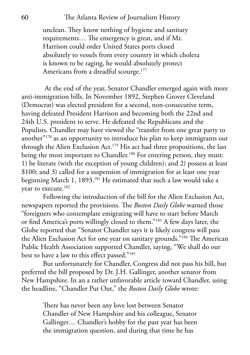unclean. They know nothing of hygiene and sanitary requirements… The emergency is great, and if Mr. Harrison could order United States ports closed absolutely to vessels from every country in which cholera is known to be raging, he would absolutely protect Americans from a dreadful scourge.<sup>177</sup>

 At the end of the year, Senator Chandler emerged again with more anti-immigration bills. In November 1892, Stephen Grover Cleveland (Democrat) was elected president for a second, non-consecutive term, having defeated President Harrison and becoming both the 22nd and 24th U.S. president to serve. He defeated the Republicans and the Populists. Chandler may have viewed the "transfer from one great party to another"178 as an opportunity to introduce his plan to keep immigrants out through the Alien Exclusion Act.<sup>179</sup> His act had three propositions, the last being the most important to Chandler.<sup>180</sup> For entering person, they must: 1) be literate (with the exception of young children); and 2) possess at least \$100; and 3) called for a suspension of immigration for at least one year beginning March 1, 1893.<sup>181</sup> He estimated that such a law would take a year to execute.<sup>182</sup>

Following the introduction of the bill for the Alien Exclusion Act, newspapers reported the provisions. The *Boston Daily Globe* warned those "foreigners who contemplate emigrating will have to start before March or find America's ports willingly closed to them."183 A few days later, the Globe reported that "Senator Chandler says it is likely congress will pass the Alien Exclusion Act for one year on sanitary grounds."184 The American Public Health Association supported Chandler, saying, "We shall do our best to have a law to this effect passed."185

But unfortunately for Chandler, Congress did not pass his bill, but preferred the bill proposed by Dr. J.H. Gallinger, another senator from New Hampshire. In an a rather unfavorable article toward Chandler, using the headline, "Chandler Put Out," the *Boston Daily Globe* wrote:

> There has never been any love lost between Senator Chandler of New Hampshire and his colleague, Senator Gallinger… Chandler's hobby for the past year has been the immigration question, and during that time he has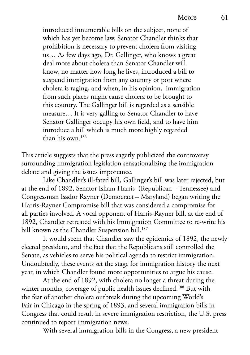introduced innumerable bills on the subject, none of which has yet become law. Senator Chandler thinks that prohibition is necessary to prevent cholera from visiting us… As few days ago, Dr. Gallinger, who knows a great deal more about cholera than Senator Chandler will know, no matter how long he lives, introduced a bill to suspend immigration from any country or port where cholera is raging, and when, in his opinion, immigration from such places might cause cholera to be brought to this country. The Gallinger bill is regarded as a sensible measure… It is very galling to Senator Chandler to have Senator Gallinger occupy his own field, and to have him introduce a bill which is much more highly regarded than his own.186

This article suggests that the press eagerly publicized the controversy surrounding immigration legislation sensationalizing the immigration debate and giving the issues importance.

Like Chandler's ill-fated bill, Gallinger's bill was later rejected, but at the end of 1892, Senator Isham Harris (Republican – Tennessee) and Congressman Isador Rayner (Democract – Maryland) began writing the Harris-Rayner Compromise bill that was considered a compromise for all parties involved. A vocal opponent of Harris-Rayner bill, at the end of 1892, Chandler retreated with his Immigration Committee to re-write his bill known as the Chandler Suspension bill.<sup>187</sup>

It would seem that Chandler saw the epidemics of 1892, the newly elected president, and the fact that the Republicans still controlled the Senate, as vehicles to serve his political agenda to restrict immigration. Undoubtedly, these events set the stage for immigration history the next year, in which Chandler found more opportunities to argue his cause.

At the end of 1892, with cholera no longer a threat during the winter months, coverage of public health issues declined.<sup>188</sup> But with the fear of another cholera outbreak during the upcoming World's Fair in Chicago in the spring of 1893, and several immigration bills in Congress that could result in severe immigration restriction, the U.S. press continued to report immigration news.

With several immigration bills in the Congress, a new president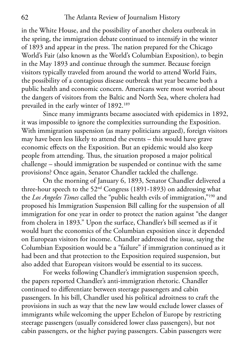in the White House, and the possibility of another cholera outbreak in the spring, the immigration debate continued to intensify in the winter of 1893 and appear in the press. The nation prepared for the Chicago World's Fair (also known as the World's Columbian Exposition), to begin in the May 1893 and continue through the summer. Because foreign visitors typically traveled from around the world to attend World Fairs, the possibility of a contagious disease outbreak that year became both a public health and economic concern. Americans were most worried about the dangers of visitors from the Baltic and North Sea, where cholera had prevailed in the early winter of 1892.<sup>189</sup>

Since many immigrants became associated with epidemics in 1892, it was impossible to ignore the complexities surrounding the Exposition. With immigration suspension (as many politicians argued), foreign visitors may have been less likely to attend the events – this would have grave economic effects on the Exposition. But an epidemic would also keep people from attending. Thus, the situation proposed a major political challenge – should immigration be suspended or continue with the same provisions? Once again, Senator Chandler tackled the challenge.

On the morning of January 6, 1893, Senator Chandler delivered a three-hour speech to the 52nd Congress (1891-1893) on addressing what the *Los Angeles Times* called the "public health evils of immigration,"190 and proposed his Immigration Suspension Bill calling for the suspension of all immigration for one year in order to protect the nation against "the danger from cholera in 1893." Upon the surface, Chandler's bill seemed as if it would hurt the economics of the Columbian exposition since it depended on European visitors for income. Chandler addressed the issue, saying the Columbian Exposition would be a "failure" if immigration continued as it had been and that protection to the Exposition required suspension, but also added that European visitors would be essential to its success.

For weeks following Chandler's immigration suspension speech, the papers reported Chandler's anti-immigration rhetoric. Chandler continued to differentiate between steerage passengers and cabin passengers. In his bill, Chandler used his political adroitness to craft the provisions in such as way that the new law would exclude lower classes of immigrants while welcoming the upper Echelon of Europe by restricting steerage passengers (usually considered lower class passengers), but not cabin passengers, or the higher paying passengers. Cabin passengers were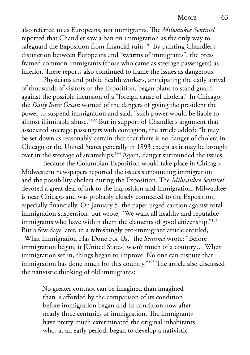also referred to as Europeans, not immigrants. The *Milwaukee Sentinel* reported that Chandler saw a ban on immigration as the only way to safeguard the Exposition from financial ruin.<sup>191</sup> By printing Chandler's distinction between Europeans and "swarms of immigrants", the press framed common immigrants (those who came as steerage passengers) as inferior. These reports also continued to frame the issues as dangerous.

Physicians and public health workers, anticipating the daily arrival of thousands of visitors to the Exposition, began plans to stand guard against the possible incursion of a "foreign cause of cholera." In Chicago, the *Daily Inter Ocean* warned of the dangers of giving the president the power to suspend immigration and said, "such power would be liable to almost illimitable abuse."192 But in support of Chandler's argument that associated steerage passengers with contagion, the article added: "It may be set down as reasonably certain that that there is no danger of cholera in Chicago or the United States generally in 1893 except as it may be brought over in the steerage of steamships.<sup>193</sup> Again, danger surrounded the issues.

Because the Columbian Exposition would take place in Chicago, Midwestern newspapers reported the issues surrounding immigration and the possibility cholera during the Exposition. The *Milwaukee Sentinel* devoted a great deal of ink to the Exposition and immigration. Milwaukee is near Chicago and was probably closely connected to the Exposition, especially financially. On January 5, the paper urged caution against total immigration suspension, but wrote, "We want all healthy and reputable immigrants who have within them the elements of good citizenship."<sup>194</sup> But a few days later, in a refreshingly pro-immigrant article entitled, "What Immigration Has Done For Us," the *Sentinel* wrote: "Before immigration began, it [United States] wasn't much of a country… When immigration set in, things began to improve. No one can dispute that immigration has done much for this country."195 The article also discussed the nativistic thinking of old immigrants:

No greater contrast can be imagined than imagined than is afforded by the comparison of its condition before immigration began and its condition now after nearly three centuries of immigration. The immigrants have pretty much exterminated the original inhabitants who, at an early period, began to develop a nativistic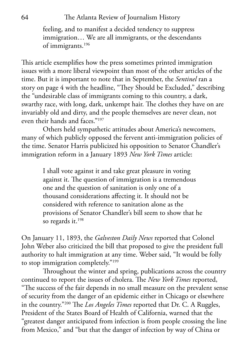64 The Atlanta Review of Journalism History

feeling, and to manifest a decided tendency to suppress immigration… We are all immigrants, or the descendants of immigrants.196

This article exemplifies how the press sometimes printed immigration issues with a more liberal viewpoint than most of the other articles of the time. But it is important to note that in September, the *Sentinel* ran a story on page 4 with the headline, "They Should be Excluded," describing the "undesirable class of immigrants coming to this country, a dark, swarthy race, with long, dark, unkempt hair. The clothes they have on are invariably old and dirty, and the people themselves are never clean, not even their hands and faces."197

Others held sympathetic attitudes about America's newcomers, many of which publicly opposed the fervent anti-immigration policies of the time. Senator Harris publicized his opposition to Senator Chandler's immigration reform in a January 1893 *New York Times* article:

> I shall vote against it and take great pleasure in voting against it. The question of immigration is a tremendous one and the question of sanitation is only one of a thousand considerations affecting it. It should not be considered with reference to sanitation alone as the provisions of Senator Chandler's bill seem to show that he so regards it.<sup>198</sup>

On January 11, 1893, the *Galveston Daily News* reported that Colonel John Weber also criticized the bill that proposed to give the president full authority to halt immigration at any time. Weber said, "It would be folly to stop immigration completely."199

Throughout the winter and spring, publications across the country continued to report the issues of cholera. The *New York Times* reported, "The success of the fair depends in no small measure on the prevalent sense of security from the danger of an epidemic either in Chicago or elsewhere in the country."200 The *Los Angeles Times* reported that Dr. C. A Ruggles, President of the States Board of Health of California, warned that the "greatest danger anticipated from infection is from people crossing the line from Mexico," and "but that the danger of infection by way of China or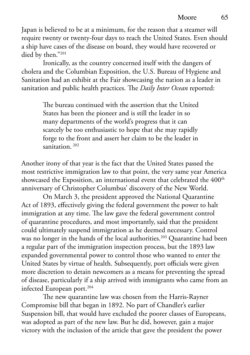Japan is believed to be at a minimum, for the reason that a steamer will require twenty or twenty-four days to reach the United States. Even should a ship have cases of the disease on board, they would have recovered or died by then."201

Ironically, as the country concerned itself with the dangers of cholera and the Columbian Exposition, the U.S. Bureau of Hygiene and Sanitation had an exhibit at the Fair showcasing the nation as a leader in sanitation and public health practices. The *Daily Inter Ocean* reported:

> The bureau continued with the assertion that the United States has been the pioneer and is still the leader in so many departments of the world's progress that it can scarcely be too enthusiastic to hope that she may rapidly forge to the front and assert her claim to be the leader in sanitation. 202

Another irony of that year is the fact that the United States passed the most restrictive immigration law to that point, the very same year America showcased the Exposition, an international event that celebrated the 400<sup>th</sup> anniversary of Christopher Columbus' discovery of the New World.

On March 3, the president approved the National Quarantine Act of 1893, effectively giving the federal government the power to halt immigration at any time. The law gave the federal government control of quarantine procedures, and most importantly, said that the president could ultimately suspend immigration as he deemed necessary. Control was no longer in the hands of the local authorities.<sup>203</sup> Quarantine had been a regular part of the immigration inspection process, but the 1893 law expanded governmental power to control those who wanted to enter the United States by virtue of health. Subsequently, port officials were given more discretion to detain newcomers as a means for preventing the spread of disease, particularly if a ship arrived with immigrants who came from an infected European port.204

The new quarantine law was chosen from the Harris-Rayner Compromise bill that began in 1892. No part of Chandler's earlier Suspension bill, that would have excluded the poorer classes of Europeans, was adopted as part of the new law. But he did, however, gain a major victory with the inclusion of the article that gave the president the power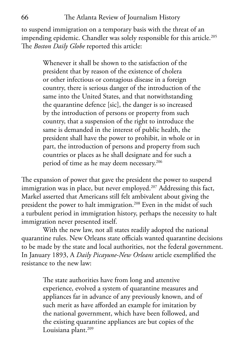to suspend immigration on a temporary basis with the threat of an impending epidemic. Chandler was solely responsible for this article.<sup>205</sup> The *Boston Daily Globe* reported this article:

> Whenever it shall be shown to the satisfaction of the president that by reason of the existence of cholera or other infectious or contagious disease in a foreign country, there is serious danger of the introduction of the same into the United States, and that notwithstanding the quarantine defence [sic], the danger is so increased by the introduction of persons or property from such country, that a suspension of the right to introduce the same is demanded in the interest of public health, the president shall have the power to prohibit, in whole or in part, the introduction of persons and property from such countries or places as he shall designate and for such a period of time as he may deem necessary.206

The expansion of power that gave the president the power to suspend immigration was in place, but never employed.<sup>207</sup> Addressing this fact, Markel asserted that Americans still felt ambivalent about giving the president the power to halt immigration.<sup>208</sup> Even in the midst of such a turbulent period in immigration history, perhaps the necessity to halt immigration never presented itself.

With the new law, not all states readily adopted the national quarantine rules. New Orleans state officials wanted quarantine decisions to be made by the state and local authorities, not the federal government. In January 1893, A *Daily Picayune-New Orleans* article exemplified the resistance to the new law:

> The state authorities have from long and attentive experience, evolved a system of quarantine measures and appliances far in advance of any previously known, and of such merit as have afforded an example for imitation by the national government, which have been followed, and the existing quarantine appliances are but copies of the Louisiana plant.<sup>209</sup>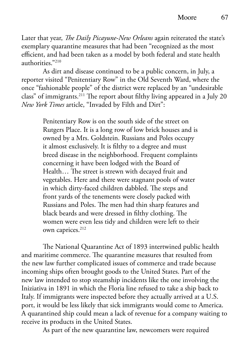Later that year, *The Daily Picayune-New Orleans* again reiterated the state's exemplary quarantine measures that had been "recognized as the most efficient, and had been taken as a model by both federal and state health authorities."210

As dirt and disease continued to be a public concern, in July, a reporter visited "Penitentiary Row" in the Old Seventh Ward, where the once "fashionable people" of the district were replaced by an "undesirable class" of immigrants.211 The report about filthy living appeared in a July 20 *New York Times* article, "Invaded by Filth and Dirt":

> Penitentiary Row is on the south side of the street on Rutgers Place. It is a long row of low brick houses and is owned by a Mrs. Goldstein. Russians and Poles occupy it almost exclusively. It is filthy to a degree and must breed disease in the neighborhood. Frequent complaints concerning it have been lodged with the Board of Health… The street is strewn with decayed fruit and vegetables. Here and there were stagnant pools of water in which dirty-faced children dabbled. The steps and front yards of the tenements were closely packed with Russians and Poles. The men had thin sharp features and black beards and were dressed in filthy clothing. The women were even less tidy and children were left to their own caprices.<sup>212</sup>

The National Quarantine Act of 1893 intertwined public health and maritime commerce. The quarantine measures that resulted from the new law further complicated issues of commerce and trade because incoming ships often brought goods to the United States. Part of the new law intended to stop steamship incidents like the one involving the Iniziativa in 1891 in which the Floria line refused to take a ship back to Italy. If immigrants were inspected before they actually arrived at a U.S. port, it would be less likely that sick immigrants would come to America. A quarantined ship could mean a lack of revenue for a company waiting to receive its products in the United States.

As part of the new quarantine law, newcomers were required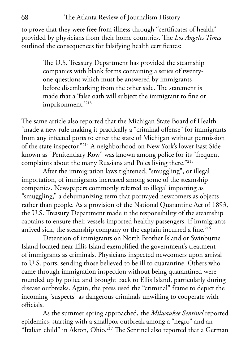to prove that they were free from illness through "certificates of health" provided by physicians from their home countries. The *Los Angeles Times* outlined the consequences for falsifying health certificates:

> The U.S. Treasury Department has provided the steamship companies with blank forms containing a series of twentyone questions which must be answered by immigrants before disembarking from the other side. The statement is made that a 'false oath will subject the immigrant to fine or imprisonment.'213

The same article also reported that the Michigan State Board of Health "made a new rule making it practically a "criminal offense" for immigrants from any infected ports to enter the state of Michigan without permission of the state inspector."214 A neighborhood on New York's lower East Side known as "Penitentiary Row" was known among police for its "frequent complaints about the many Russians and Poles living there."215

After the immigration laws tightened, "smuggling", or illegal importation, of immigrants increased among some of the steamship companies. Newspapers commonly referred to illegal importing as "smuggling," a dehumanizing term that portrayed newcomers as objects rather than people. As a provision of the National Quarantine Act of 1893, the U.S. Treasury Department made it the responsibility of the steamship captains to ensure their vessels imported healthy passengers. If immigrants arrived sick, the steamship company or the captain incurred a fine.<sup>216</sup>

Detention of immigrants on North Brother Island or Swinburne Island located near Ellis Island exemplified the government's treatment of immigrants as criminals. Physicians inspected newcomers upon arrival to U.S. ports, sending those believed to be ill to quarantine. Others who came through immigration inspection without being quarantined were rounded up by police and brought back to Ellis Island, particularly during disease outbreaks. Again, the press used the "criminal" frame to depict the incoming "suspects" as dangerous criminals unwilling to cooperate with officials.

As the summer spring approached, the *Milwaukee Sentinel* reported epidemics, starting with a smallpox outbreak among a "negro" and an "Italian child" in Akron, Ohio.<sup>217</sup> The Sentinel also reported that a German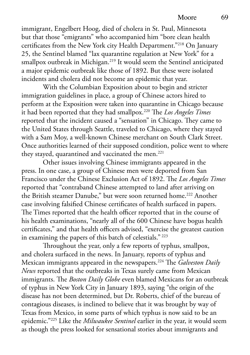immigrant, Engelbert Hoog, died of cholera in St. Paul, Minnesota but that those "emigrants" who accompanied him "bore clean health certificates from the New York city Health Department."218 On January 25, the Sentinel blamed "lax quarantine regulation at New York" for a smallpox outbreak in Michigan.<sup>219</sup> It would seem the Sentinel anticipated a major epidemic outbreak like those of 1892. But these were isolated incidents and cholera did not become an epidemic that year.

With the Columbian Exposition about to begin and stricter immigration guidelines in place, a group of Chinese actors hired to perform at the Exposition were taken into quarantine in Chicago because it had been reported that they had smallpox.220 The *Los Angeles Times* reported that the incident caused a "sensation" in Chicago. They came to the United States through Seattle, traveled to Chicago, where they stayed with a Sam Moy, a well-known Chinese merchant on South Clark Street. Once authorities learned of their supposed condition, police went to where they stayed, quarantined and vaccinated the men.<sup>221</sup>

Other issues involving Chinese immigrants appeared in the press. In one case, a group of Chinese men were deported from San Francisco under the Chinese Exclusion Act of 1892. The *Los Angeles Times* reported that "contraband Chinese attempted to land after arriving on the British steamer Danube," but were soon returned home.<sup>222</sup> Another case involving falsified Chinese certificates of health surfaced in papers. The Times reported that the health officer reported that in the course of his health examinations, "nearly all of the 600 Chinese have bogus health certificates," and that health officers advised, "exercise the greatest caution in examining the papers of this batch of celestials." 223

Throughout the year, only a few reports of typhus, smallpox, and cholera surfaced in the news. In January, reports of typhus and Mexican immigrants appeared in the newspapers.224 The *Galveston Daily News* reported that the outbreaks in Texas surely came from Mexican immigrants. The *Boston Daily Globe* even blamed Mexicans for an outbreak of typhus in New York City in January 1893, saying "the origin of the disease has not been determined, but Dr. Roberts, chief of the bureau of contagious diseases, is inclined to believe that it was brought by way of Texas from Mexico, in some parts of which typhus is now said to be an epidemic."225 Like the *Milwaukee Sentinel* earlier in the year, it would seem as though the press looked for sensational stories about immigrants and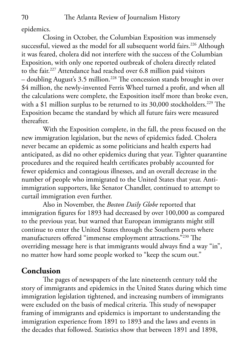epidemics.

Closing in October, the Columbian Exposition was immensely successful, viewed as the model for all subsequent world fairs.<sup>226</sup> Although it was feared, cholera did not interfere with the success of the Columbian Exposition, with only one reported outbreak of cholera directly related to the fair.<sup>227</sup> Attendance had reached over 6.8 million paid visitors – doubling August's 3.5 million.228 The concession stands brought in over \$4 million, the newly-invented Ferris Wheel turned a profit, and when all the calculations were complete, the Exposition itself more than broke even, with a \$1 million surplus to be returned to its 30,000 stockholders.<sup>229</sup> The Exposition became the standard by which all future fairs were measured thereafter.

With the Exposition complete, in the fall, the press focused on the new immigration legislation, but the news of epidemics faded. Cholera never became an epidemic as some politicians and health experts had anticipated, as did no other epidemics during that year. Tighter quarantine procedures and the required health certificates probably accounted for fewer epidemics and contagious illnesses, and an overall decrease in the number of people who immigrated to the United States that year. Antiimmigration supporters, like Senator Chandler, continued to attempt to curtail immigration even further.

Also in November, the *Boston Daily Globe* reported that immigration figures for 1893 had decreased by over 100,000 as compared to the previous year, but warned that European immigrants might still continue to enter the United States through the Southern ports where manufacturers offered "immense employment attractions."230 The overriding message here is that immigrants would always find a way "in", no matter how hard some people worked to "keep the scum out."

### **Conclusion**

The pages of newspapers of the late nineteenth century told the story of immigrants and epidemics in the United States during which time immigration legislation tightened, and increasing numbers of immigrants were excluded on the basis of medical criteria. This study of newspaper framing of immigrants and epidemics is important to understanding the immigration experience from 1891 to 1893 and the laws and events in the decades that followed. Statistics show that between 1891 and 1898,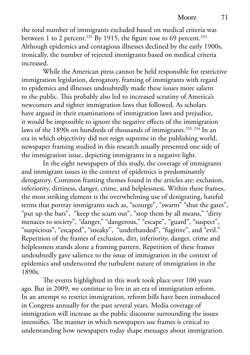the total number of immigrants excluded based on medical criteria was between 1 to 2 percent.<sup>231</sup> By 1915, the figure rose to 69 percent.<sup>232</sup> Although epidemics and contagious illnesses declined by the early 1900s, ironically, the number of rejected immigrants based on medical criteria increased.

While the American press cannot be held responsible for restrictive immigration legislation, derogatory, framing of immigrants with regard to epidemics and illnesses undoubtedly made these issues more salient to the public. This probably also led to increased scrutiny of America's newcomers and tighter immigration laws that followed. As scholars have argued in their examinations of immigration laws and prejudice, it would be impossible to ignore the negative effects of the immigration laws of the 1890s on hundreds of thousands of immigrants.<sup>233, 234</sup> In an era in which objectivity did not reign supreme in the publishing world, newspaper framing studied in this research usually presented one side of the immigration issue, depicting immigrants in a negative light.

In the eight newspapers of this study, the coverage of immigrants and immigrant issues in the context of epidemics is predominantly derogatory. Common framing themes found in the articles are: exclusion, inferiority, dirtiness, danger, crime, and helplessness. Within these frames, the most striking element is the overwhelming use of denigrating, hateful terms that portray immigrants such as, "scourge", "swarm" "shut the gates", "put up the bars", "keep the scum out", "stop them by all means," "dirty menaces to society", "danger," "dangerous," "escape", "guard", "suspect", "suspicious", "escaped", "sneaky", "underhanded", "fugitive", and "evil." Repetition of the frames of exclusion, dirt, inferiority, danger, crime and helplessness stands alone a framing pattern. Repetition of these frames undoubtedly gave salience to the issue of immigration in the context of epidemics and underscored the turbulent nature of immigration in the 1890s.

The events highlighted in this work took place over 100 years ago. But in 2009, we continue to live in an era of immigration reform. In an attempt to restrict immigration, reform bills have been introduced in Congress annually for the past several years. Media coverage of immigration will increase as the public discourse surrounding the issues intensifies. The manner in which newspapers use frames is critical to understanding how newspapers today shape messages about immigration.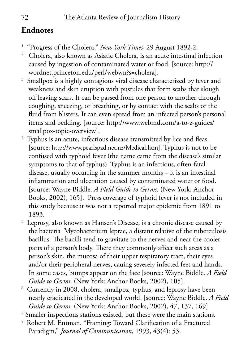# **Endnotes**

- <sup>1</sup> "Progress of the Cholera," *New York Times*, 29 August 1892,2.<br><sup>2</sup> Cholera also known as Asiatic Cholera, is an acute intestinal i
- Cholera, also known as Asiatic Cholera, is an acute intestinal infection caused by ingestion of contaminated water or food. [source: http:// wordnet.princeton.edu/perl/webwn?s=cholera].
- <sup>3</sup> Smallpox is a highly contagious viral disease characterized by fever and weakness and skin eruption with pustules that form scabs that slough off leaving scars. It can be passed from one person to another through coughing, sneezing, or breathing, or by contact with the scabs or the fluid from blisters. It can even spread from an infected person's personal items and bedding. [source: http://www.webmd.com/a-to-z-guides/ smallpox-topic-overview].
- <sup>4</sup> Typhus is an acute, infectious disease transmitted by lice and fleas. [source: http://www.pearlspad.net.nz/Medical.htm]. Typhus is not to be confused with typhoid fever (the name came from the disease's similar symptoms to that of typhus). Typhus is an infectious, often-fatal disease, usually occurring in the summer months – it is an intestinal inflammation and ulceration caused by contaminated water or food. [source: Wayne Biddle. *A Field Guide to Germs*. (New York: Anchor Books, 2002), 165]. Press coverage of typhoid fever is not included in this study because it was not a reported major epidemic from 1891 to 1893.
- 5 Leprosy, also known as Hansen's Disease, is a chronic disease caused by the bacteria Mycobacterium leprae, a distant relative of the tuberculosis bacillus. The bacilli tend to gravitate to the nerves and near the cooler parts of a person's body. There they commonly affect such areas as a person's skin, the mucosa of their upper respiratory tract, their eyes and/or their peripheral nerves, cauing severely infected feet and hands. In some cases, bumps appear on the face [source: Wayne Biddle. *A Field Guide to Germs*. (New York: Anchor Books, 2002), 105].
- $^6$  Currently in 2008, cholera, smallpox, typhus, and leprosy have been nearly eradicated in the developed world. [source: Wayne Biddle. *A Field Guide to Germs*. (New York: Anchor Books, 2002), 47, 137, 169]
- $^7$  Smaller inspections stations existed, but these were the main stations.
- 8 Robert M. Entman. "Framing: Toward Clarification of a Fractured Paradigm," *Journal of Communication*, 1993, 43(4): 53.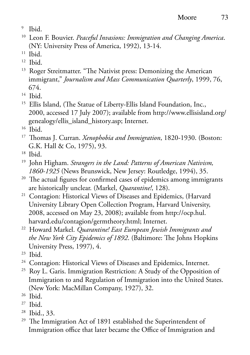- 9 Ibid.
- 10 Leon F. Bouvier. *Peaceful Invasions: Immigration and Changing America*. (NY: University Press of America, 1992), 13-14.
- $11$  Ibid.
- $12$  Ibid.
- <sup>13</sup> Roger Streitmatter. "The Nativist press: Demonizing the American immigrant," *Journalism and Mass Communication Quarterly*, 1999, 76, 674.
- 14 Ibid.
- 15 Ellis Island, (The Statue of Liberty-Ellis Island Foundation, Inc., 2000, accessed 17 July 2007); available from http://www.ellisisland.org/ genealogy/ellis\_island\_history.asp; Internet.
- $16$  Ibid.
- 17 Thomas J. Curran. *Xenophobia and Immigration*, 1820-1930. (Boston: G.K. Hall & Co, 1975), 93.
- $18$  Ibid.
- 19 John Higham. *Strangers in the Land: Patterns of American Nativism, 1860-1925* (News Brunswick, New Jersey: Routledge, 1994), 35.
- <sup>20</sup> The actual figures for confirmed cases of epidemics among immigrants are historically unclear. (Markel, *Quarantine!*, 128).
- <sup>21</sup> Contagion: Historical Views of Diseases and Epidemics, (Harvard University Library Open Collection Program, Harvard University, 2008, accessed on May 23, 2008); available from http://ocp.hul.
- harvard.edu/contagion/germtheory.html; Internet. 22 Howard Markel. *Quarantine! East European Jewish Immigrants and the New York City Epidemics of 1892*. (Baltimore: The Johns Hopkins University Press, 1997), 4.
- $23$  Ibid.
- <sup>24</sup> Contagion: Historical Views of Diseases and Epidemics, Internet.
- <sup>25</sup> Roy L. Garis. Immigration Restriction: A Study of the Opposition of Immigration to and Regulation of Immigration into the United States. (New York: MacMillan Company, 1927), 32.
- $26$  Ibid.
- 27 Ibid.
- 28 Ibid., 33.
- $29$  The Immigration Act of 1891 established the Superintendent of Immigration office that later became the Office of Immigration and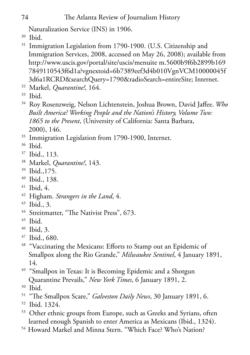Naturalization Service (INS) in 1906.

- 30 Ibid.
- <sup>31</sup> Immigration Legislation from 1790-1900. (U.S. Citizenship and Immigration Services, 2008, accessed on May 26, 2008); available from http://www.uscis.gov/portal/site/uscis/menuite m.5600b9f6b2899b169 7849110543f6d1a?vgnextoid=6b7389eef3d4b010VgnVCM10000045f 3d6a1RCRD&searchQuery=1790&radioSearch=entireSite; Internet.
- 32 Markel, *Quarantine!*, 164.
- 33 Ibid.
- 34 Roy Rosenzweig, Nelson Lichtenstein, Joshua Brown, David Jaffee. *Who Built America? Working People and the Nation's History, Volume Two: 1865 to the Present*, (University of California: Santa Barbara, 2000), 146.
- <sup>35</sup> Immigration Legislation from 1790-1900, Internet.
- 36 Ibid.
- 37 Ibid., 113.
- 38 Markel, *Quarantine!*, 143.
- 39 Ibid.,175.
- 40 Ibid., 138.
- 41 Ibid, 4.
- 42 Higham. *Strangers in the Land*, 4.
- $43$  Ibid., 3.
- <sup>44</sup> Streitmatter, "The Nativist Press", 673.
- 45 Ibid.
- 46 Ibid, 3.
- 47 Ibid., 680.
- <sup>48</sup> "Vaccinating the Mexicans: Efforts to Stamp out an Epidemic of Smallpox along the Rio Grande," *Milwaukee Sentinel*, 4 January 1891, 14.
- <sup>49</sup> "Smallpox in Texas: It is Becoming Epidemic and a Shotgun Quarantine Prevails," *New York Times*, 6 January 1891, 2.
- 50 Ibid.
- 51 "The Smallpox Scare," *Galveston Daily News*, 30 January 1891, 6.
- 52 Ibid. 1324.
- 53 Other ethnic groups from Europe, such as Greeks and Syrians, often learned enough Spanish to enter America as Mexicans (Ibid., 1324).
- 54 Howard Markel and Minna Stern. "Which Face? Who's Nation?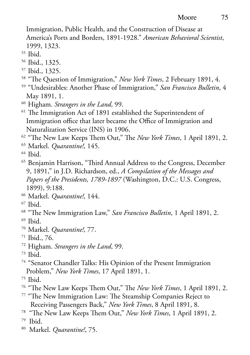#### Moore 75

 Immigration, Public Health, and the Construction of Disease at America's Ports and Borders, 1891-1928." *American Behavioral Scientist*, 1999, 1323.

- $55$  Ibid.
- 56 Ibid., 1325.
- 57 Ibid., 1325.
- 58 "The Question of Immigration," *New York Times*, 2 February 1891, 4.
- 59 "Undesirables: Another Phase of Immigration," *San Francisco Bulletin*, 4 May 1891, 1.
- 60 Higham. *Strangers in the Land*, 99.

<sup>61</sup> The Immigration Act of 1891 established the Superintendent of Immigration office that later became the Office of Immigration and Naturalization Service (INS) in 1906.

62 "The New Law Keeps Them Out," The *New York Times*, 1 April 1891, 2.

- 63 Markel. *Quarantine!*, 145.
- $64$  Ibid.
- 65 Benjamin Harrison, "Third Annual Address to the Congress, December 9, 1891," in J.D. Richardson, ed., *A Compilation of the Messages and Papers of the Presidents, 1789-1897* (Washington, D.C.: U.S. Congress, 1899), 9:188.
- 66 Markel. *Quarantine!*, 144.

- 68 "The New Immigration Law," *San Francisco Bulletin*, 1 April 1891, 2.  $69$  Ibid.
- 70 Markel. *Quarantine!*, 77.
- 71 Ibid., 76.
- 72 Higham. *Strangers in the Land*, 99.
- $73$  Ihid.
- 74 "Senator Chandler Talks: His Opinion of the Present Immigration Problem," *New York Times*, 17 April 1891, 1.
- $75$  Ibid.
- 76 "The New Law Keeps Them Out," The *New York Times*, 1 April 1891, 2.
- 77 "The New Immigration Law: The Steamship Companies Reject to Receiving Passengers Back," *New York Times*, 8 April 1891, 8.
- 78 "The New Law Keeps Them Out," *New York Times*, 1 April 1891, 2.
- 79 Ibid.
- 80 Markel. *Quarantine!*, 75.

<sup>67</sup> Ibid.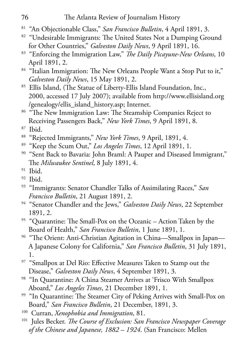#### 76 The Atlanta Review of Journalism History

- 81 "An Objectionable Class," *San Francisco Bulletin*, 4 April 1891, 3.
- <sup>82</sup> "Undesirable Immigrants: The United States Not a Dumping Ground for Other Countries," *Galveston Daily News*, 9 April 1891, 16.
- 83 "Enforcing the Immigration Law," *The Daily Picayune-New Orleans*, 10 April 1891, 2.
- <sup>84</sup> "Italian Immigration: The New Orleans People Want a Stop Put to it," *Galveston Daily News*, 15 May 1891, 2.
- 85 Ellis Island, (The Statue of Liberty-Ellis Island Foundation, Inc., 2000, accessed 17 July 2007); available from http://www.ellisisland.org /genealogy/ellis\_island\_history.asp; Internet.
- <sup>86</sup> "The New Immigration Law: The Steamship Companies Reject to Receiving Passengers Back," *New York Times*, 9 April 1891, 8.
- 87 Ibid.
- 88 "Rejected Immigrants," *New York Times*, 9 April, 1891, 4.
- 89 "Keep the Scum Out," *Los Angeles Times*, 12 April 1891, 1.
- <sup>90</sup> "Sent Back to Bavaria: John Braml: A Pauper and Diseased Immigrant," The *Milwaukee Sentinel*, 8 July 1891, 4.
- $91$  Ibid.
- $92$  Ibid.
- 93 "Immigrants: Senator Chandler Talks of Assimilating Races," *San Francisco Bulletin*, 21 August 1891, 2.
- 94 "Senator Chandler and the Jews," *Galveston Daily News*, 22 September 1891, 2.
- <sup>95</sup> "Quarantine: The Small-Pox on the Oceanic Action Taken by the Board of Health," *San Francisco Bulletin*, 1 June 1891, 1.
- <sup>96</sup> "The Orient: Anti-Christian Agitation in China—Smallpox in Japan— A Japanese Colony for California," *San Francisco Bulletin*, 31 July 1891, 1.
- 97 "Smallpox at Del Rio: Effective Measures Taken to Stamp out the Disease," *Galveston Daily News*, 4 September 1891, 3.
- 98 "In Quarantine: A China Steamer Arrives at 'Frisco With Smallpox Aboard," *Los Angeles Times*, 21 December 1891, 1.
- <sup>99</sup> "In Quarantine: The Steamer City of Peking Arrives with Small-Pox on Board," *San Francisco Bulletin*, 21 December, 1891, 3.
- 100 Curran, *Xenophobia and Immigration*, 81.
- 101 Jules Becker. *The Course of Exclusion: San Francisco Newspaper Coverage of the Chinese and Japanese, 1882 – 1924*. (San Francisco: Mellen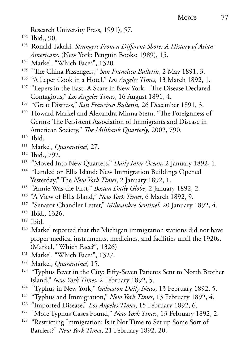#### Moore 77

Research University Press, 1991), 57.

- 102 Ibid., 90.
- 103 Ronald Takaki. *Strangers From a Different Shore: A History of Asian- Americans*. (New York: Penguin Books: 1989), 15.
- <sup>104</sup> Markel. "Which Face?", 1320.
- 105 "The China Passengers," *San Francisco Bulletin*, 2 May 1891, 3.
- 106 "A Leper Cook in a Hotel," *Los Angeles Times*, 13 March 1892, 1.
- <sup>107</sup> "Lepers in the East: A Scare in New York—The Disease Declared Contagious," *Los Angeles Times*, 16 August 1891, 4.
- 108 "Great Distress," *San Francisco Bulletin*, 26 December 1891, 3.
- 109 Howard Markel and Alexandra Minna Stern. "The Foreignness of Germs: The Persistent Association of Immigrants and Disease in American Society," *The Milibank Quarterly*, 2002, 790.

- 111 Markel, *Quarantine!*, 27.
- 112 Ibid., 792.
- 113 "Moved Into New Quarters," *Daily Inter Ocean*, 2 January 1892, 1.
- <sup>114</sup> "Landed on Ellis Island: New Immigration Buildings Opened Yesterday," The *New York Times*, 2 January 1892, 1.
- 115 "Annie Was the First," *Boston Daily Globe*, 2 January 1892, 2.
- 116 "A View of Ellis Island," *New York Times*, 6 March 1892, 9.
- <sup>117</sup> "Senator Chandler Letter," *Milwaukee Sentinel*, 20 January 1892, 4.
- 118 Ibid., 1326.
- 119 Ibid.
- <sup>120</sup> Markel reported that the Michigan immigration stations did not have proper medical instruments, medicines, and facilities until the 1920s. (Markel, "Which Face?", 1326)
- <sup>121</sup> Markel. "Which Face?", 1327.
- 122 Markel, *Quarantine!*, 15.
- <sup>123</sup> "Typhus Fever in the City: Fifty-Seven Patients Sent to North Brother Island," *New York Times*, 2 February 1892, 5.
- <sup>124</sup> "Typhus in New York," *Galveston Daily News*, 13 February 1892, 5.
- 125 "Typhus and Immigration," *New York Times*, 13 February 1892, 4.
- 126 "Imported Disease," *Los Angeles Times*, 15 February 1892, 6.
- 127 "More Typhus Cases Found," *New York Times*, 13 February 1892, 2.
- <sup>128</sup> "Restricting Immigration: Is it Not Time to Set up Some Sort of Barriers?" *New York Times*, 21 February 1892, 20.

 $110$  Ibid.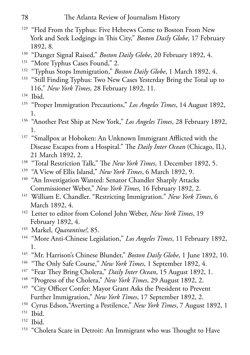- <sup>129</sup> "Fled From the Typhus: Five Hebrews Come to Boston From New York and Seek Lodgings in This City," *Boston Daily Globe*, 17 February 1892, 8.
- <sup>130</sup> "Danger Signal Raised," *Boston Daily Globe*, 20 February 1892, 4.
- <sup>131</sup> "More Typhus Cases Found," 2.
- <sup>132</sup> "Typhus Stops Immigration," *Boston Daily Globe*, 1 March 1892, 4.
- <sup>133</sup> "Still Finding Typhus: Two New Cases Yesterday Bring the Total up to 116," *New York Times*, 28 February 1892, 11.
- 134 Ibid.
- 135 "Proper Immigration Precautions," *Los Angeles Times*, 14 August 1892, 1.
- 136 "Another Pest Ship at New York," *Los Angeles Times*, 28 February 1892, 1.
- <sup>137</sup> "Smallpox at Hoboken: An Unknown Immigrant Afflicted with the Disease Escapes from a Hospital." The *Daily Inter Ocean* (Chicago, IL), 21 March 1892, 2.
- 138 "Total Restriction Talk," The *New York Times*, 1 December 1892, 5.
- 139 "A View of Ellis Island," *New York Times*, 6 March 1892, 9.
- <sup>140</sup> "An Investigation Wanted: Senator Chandler Sharply Attacks Commissioner Weber," *New York Times*, 16 February 1892, 2.
- 141 William E. Chandler. "Restricting Immigration." *New York Times*, 6 March 1892, 4.
- 142 Letter to editor from Colonel John Weber, *New York Times*, 19 February 1892, 4.
- 143 Markel, *Quarantine!*, 85.
- 144 "More Anti-Chinese Legislation," *Los Angeles Times*, 11 February 1892, 1.
- <sup>145</sup> "Mr. Harrison's Chinese Blunder," *Boston Daily Globe*, 1 June 1892, 10.
- 146 "The Only Safe Course," *New York Times*, 1 September 1892, 4.
- <sup>147</sup> "Fear They Bring Cholera," *Daily Inter Ocean*, 15 August 1892, 1.
- 148 "Progress of the Cholera," *New York Times*, 29 August 1892, 2.
- <sup>149</sup> "City Officer Confer: Mayor Grant Asks the President to Prevent Further Immigration," *New York Times*, 17 September 1892, 2.
- 150 Cyrus Edson,"Averting a Pestilence," *New York Times*, 7 August 1892, 1
- 151 Ibid.
- 152 Ibid.
- <sup>153</sup> "Cholera Scare in Detroit: An Immigrant who was Thought to Have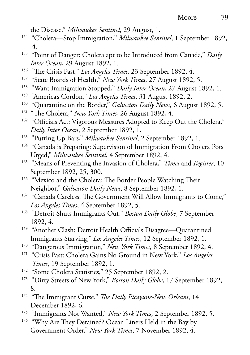the Disease." *Milwaukee Sentinel*, 29 August, 1.

- 154 "Cholera—Stop Immigration," *Milwaukee Sentinel*, 1 September 1892, 4.
- 155 "Point of Danger: Cholera apt to be Introduced from Canada," *Daily Inter Ocean*, 29 August 1892, 1.
- 156 "The Crisis Past," *Los Angeles Times*, 23 September 1892, 4.
- 157 "State Boards of Health," *New York Times*, 27 August 1892, 5.
- 158 "Want Immigration Stopped," *Daily Inter Ocean*, 27 August 1892, 1.
- 159 "America's Cordon," *Los Angeles Times*, 31 August 1892, 2.
- <sup>160</sup> "Quarantine on the Border," *Galveston Daily News*, 6 August 1892, 5.
- 161 "The Cholera," *New York Times*, 26 August 1892, 4.
- <sup>162</sup> "Officials Act: Vigorous Measures Adopted to Keep Out the Cholera," *Daily Inter Ocean*, 2 September 1892, 1.
- 163 "Putting Up Bars," *Milwaukee Sentinel*, 2 September 1892, 1.
- <sup>164</sup> "Canada is Preparing: Supervision of Immigration From Cholera Pots Urged," *Milwaukee Sentinel*, 4 September 1892, 4.
- 165 "Means of Preventing the Invasion of Cholera," *Times* and *Register*, 10 September 1892, 25, 300.
- <sup>166</sup> "Mexico and the Cholera: The Border People Watching Their Neighbor," *Galveston Daily News*, 8 September 1892, 1.
- <sup>167</sup> "Canada Careless: The Government Will Allow Immigrants to Come," *Los Angeles Times*, 4 September 1892, 5.
- 168 "Detroit Shuts Immigrants Out," *Boston Daily Globe*, 7 September 1892, 4.
- <sup>169</sup> "Another Clash: Detroit Health Officials Disagree-Quarantined Immigrants Starving," *Los Angeles Times*, 12 September 1892, 1.
- 170 "Dangerous Immigration," *New York Times*, 8 September 1892, 4.
- 171 "Crisis Past: Cholera Gains No Ground in New York," *Los Angeles Times*, 19 September 1892, 1.
- <sup>172</sup> "Some Cholera Statistics," 25 September 1892, 2.
- <sup>173</sup> "Dirty Streets of New York," *Boston Daily Globe*, 17 September 1892, 8.
- 174 "The Immigrant Curse," *The Daily Picayune-New Orleans*, 14 December 1892, 6.
- 175 "Immigrants Not Wanted," *New York Times*, 2 September 1892, 5.
- <sup>176</sup> "Why Are They Detained? Ocean Liners Held in the Bay by Government Order," *New York Times*, 7 November 1892, 4.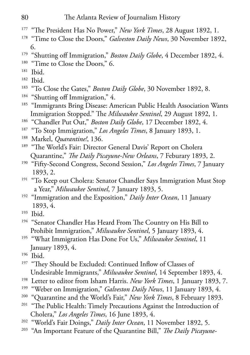- 177 "The President Has No Power," *New York Times*, 28 August 1892, 1.
- <sup>178</sup> "Time to Close the Doors," *Galveston Daily News*, 30 November 1892, 6.
- <sup>179</sup> "Shutting off Immigration," *Boston Daily Globe*, 4 December 1892, 4.
- <sup>180</sup> "Time to Close the Doors," 6.
- 181 Ibid.
- 182 Ibid.
- 183 "To Close the Gates," *Boston Daily Globe*, 30 November 1892, 8.
- <sup>184</sup> "Shutting off Immigration," 4.
- <sup>185</sup> "Immigrants Bring Disease: American Public Health Association Wants Immigration Stopped." The *Milwaukee Sentinel*, 29 August 1892, 1.
- 186 "Chandler Put Out," *Boston Daily Globe*, 17 December 1892, 4.
- 187 "To Stop Immigration," *Los Angeles Times*, 8 January 1893, 1.
- 188 Markel, *Quarantine!*, 136.
- <sup>189</sup> "The World's Fair: Director General Davis' Report on Cholera Quarantine," *The Daily Picayune-New Orleans*, 7 Feburary 1893, 2.
- 190 "Fifty-Second Congress, Second Session," *Los Angeles Times*, 7 January 1893, 2.
- <sup>191</sup> "To Keep out Cholera: Senator Chandler Says Immigration Must Stop a Year," *Milwaukee Sentinel*, 7 January 1893, 5.
- 192 "Immigration and the Exposition," *Daily Inter Ocean*, 11 January 1893, 4.
- 193 Ibid.
- <sup>194</sup> "Senator Chandler Has Heard From The Country on His Bill to Prohibit Immigration," *Milwaukee Sentinel*, 5 January 1893, 4.
- 195 "What Immigration Has Done For Us," *Milwaukee Sentinel*, 11 January 1893, 4.
- 196 Ibid.
- <sup>197</sup> "They Should be Excluded: Continued Inflow of Classes of Undesirable Immigrants," *Milwaukee Sentinel*, 14 September 1893, 4.
- 198 Letter to editor from Isham Harris. *New York Times*, 1 January 1893, 7.
- <sup>199</sup> "Weber on Immigration," *Galveston Daily News*, 11 January 1893, 4.
- 200 "Quarantine and the World's Fair," *New York Times*, 8 February 1893.
- <sup>201</sup> "The Public Health: Timely Precautions Against the Introduction of Cholera," *Los Angeles Times*, 16 June 1893, 4.
- 202 "World's Fair Doings," *Daily Inter Ocean*, 11 November 1892, 5.
- 203 "An Important Feature of the Quarantine Bill," *The Daily Picayune-*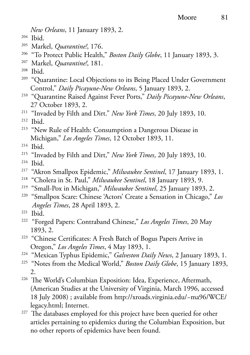*New Orleans*, 11 January 1893, 2.

- 205 Markel, *Quarantine!*, 176.
- 206 "To Protect Public Health," *Boston Daily Globe*, 11 January 1893, 3.
- 207 Markel, *Quarantine!*, 181.
- 208 Ibid.
- <sup>209</sup> "Quarantine: Local Objections to its Being Placed Under Government Control," *Daily Picayune-New Orleans*, 5 January 1893, 2.
- 210 "Quarantine Raised Against Fever Ports," *Daily Picayune-New Orleans*, 27 October 1893, 2.
- 211 "Invaded by Filth and Dirt." *New York Times*, 20 July 1893, 10.
- 212 Ibid.
- <sup>213</sup> "New Rule of Health: Consumption a Dangerous Disease in Michigan," *Los Angeles Times*, 12 October 1893, 11.
- 214 Ibid.
- 215 "Invaded by Filth and Dirt," *New York Times*, 20 July 1893, 10.
- 216 Ibid.
- 217 "Akron Smallpox Epidemic," *Milwaukee Sentinel*, 17 January 1893, 1.
- 218 "Cholera in St. Paul," *Milwaukee Sentinel*, 18 January 1893, 9.
- 219 "Small-Pox in Michigan," *Milwaukee Sentinel*, 25 January 1893, 2.
- 220 "Smallpox Scare: Chinese 'Actors' Create a Sensation in Chicago," *Los Angeles Times*, 28 April 1893, 2.
- 221 Ibid.
- 222 "Forged Papers: Contraband Chinese," *Los Angeles Times*, 20 May 1893, 2.
- <sup>223</sup> "Chinese Certificates: A Fresh Batch of Bogus Papers Arrive in Oregon," *Los Angeles Times*, 4 May 1893, 1.
- 224 "Mexican Typhus Epidemic," *Galveston Daily News*, 2 January 1893, 1.
- <sup>225</sup> "Notes from the Medical World," *Boston Daily Globe*, 15 January 1893, 2.
- 226 The World's Columbian Exposition: Idea, Experience, Aftermath, (American Studies at the University of Virginia, March 1996, accessed 18 July 2008) ; available from http://xroads.virginia.edu/~ma96/WCE/ legacy.html; Internet.
- <sup>227</sup> The databases employed for this project have been queried for other articles pertaining to epidemics during the Columbian Exposition, but no other reports of epidemics have been found.

<sup>204</sup> Ibid.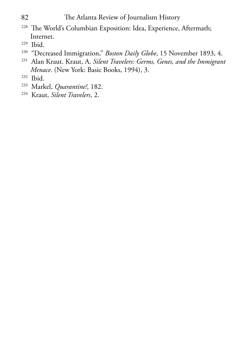- 228 The World's Columbian Exposition: Idea, Experience, Aftermath; Internet.
- 229 Ibid.
- <sup>230</sup> "Decreased Immigration," *Boston Daily Globe*, 15 November 1893, 4.
- 231 Alan Kraut. Kraut, A. *Silent Travelers: Germs, Genes, and the Immigrant Menace*. (New York: Basic Books, 1994), 3.
- 232 Ibid.
- 233 Markel, *Quarantine!*, 182.
- 234 Kraut, *Silent Travelers*, 2.

<sup>82</sup> The Atlanta Review of Journalism History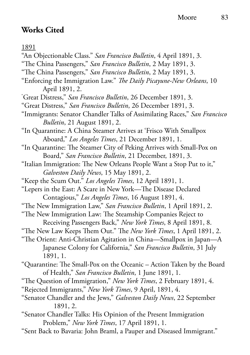## **Works Cited**

#### 1891

- "An Objectionable Class." *San Francisco Bulletin*, 4 April 1891, 3.
- "The China Passengers," *San Francisco Bulletin*, 2 May 1891, 3.
- "The China Passengers," *San Francisco Bulletin*, 2 May 1891, 3.
- "Enforcing the Immigration Law." *The Daily Picayune-New Orleans*, 10 April 1891, 2.
- " Great Distress," *San Francisco Bulletin*, 26 December 1891, 3.
- "Great Distress," *San Francisco Bulletin*, 26 December 1891, 3.
- "Immigrants: Senator Chandler Talks of Assimilating Races," *San Francisco Bulletin*, 21 August 1891, 2.
- "In Quarantine: A China Steamer Arrives at 'Frisco With Smallpox Aboard," *Los Angeles Times*, 21 December 1891, 1.
- "In Quarantine: The Steamer City of Peking Arrives with Small-Pox on Board," *San Francisco Bulletin*, 21 December, 1891, 3.
- "Italian Immigration: The New Orleans People Want a Stop Put to it," *Galveston Daily News*, 15 May 1891, 2.
- "Keep the Scum Out." *Los Angeles Times*, 12 April 1891, 1.
- "Lepers in the East: A Scare in New York—The Disease Declared Contagious," *Los Angeles Times*, 16 August 1891, 4.
- "The New Immigration Law," *San Francisco Bulletin*, 1 April 1891, 2.
- "The New Immigration Law: The Steamship Companies Reject to Receiving Passengers Back," *New York Times*, 8 April 1891, 8.
- "The New Law Keeps Them Out." The *New York Times*, 1 April 1891, 2.
- "The Orient: Anti-Christian Agitation in China—Smallpox in Japan—A Japanese Colony for California," *San Francisco Bulletin*, 31 July 1891, 1.
- "Quarantine: The Small-Pox on the Oceanic Action Taken by the Board of Health," *San Francisco Bulletin*, 1 June 1891, 1.
- "The Question of Immigration," *New York Times*, 2 February 1891, 4.
- "Rejected Immigrants," *New York Times*, 9 April, 1891, 4.
- "Senator Chandler and the Jews," *Galveston Daily News*, 22 September 1891, 2.
- "Senator Chandler Talks: His Opinion of the Present Immigration Problem," *New York Times*, 17 April 1891, 1.
- "Sent Back to Bavaria: John Braml, a Pauper and Diseased Immigrant."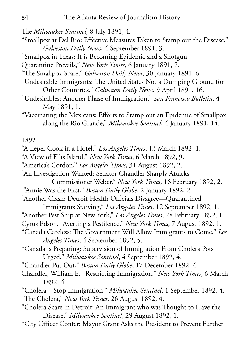- The *Milwaukee Sentinel*, 8 July 1891, 4.
- "Smallpox at Del Rio: Effective Measures Taken to Stamp out the Disease," *Galveston Daily News*, 4 September 1891, 3.
- "Smallpox in Texas: It is Becoming Epidemic and a Shotgun
- Quarantine Prevails," *New York Times*, 6 January 1891, 2.
- "The Smallpox Scare," *Galveston Daily News*, 30 January 1891, 6.
- "Undesirable Immigrants: The United States Not a Dumping Ground for Other Countries," *Galveston Daily News*, 9 April 1891, 16.
- "Undesirables: Another Phase of Immigration," *San Francisco Bulletin*, 4 May 1891, 1.
- "Vaccinating the Mexicans: Efforts to Stamp out an Epidemic of Smallpox along the Rio Grande," *Milwaukee Sentinel*, 4 January 1891, 14.

#### 1892

- "A Leper Cook in a Hotel," *Los Angeles Times*, 13 March 1892, 1.
- "A View of Ellis Island." *New York Times*, 6 March 1892, 9.
- "America's Cordon," *Los Angeles Times*, 31 August 1892, 2.
- "An Investigation Wanted: Senator Chandler Sharply Attacks
- Commissioner Weber," *New York Times*, 16 February 1892, 2. "Annie Was the First," *Boston Daily Globe*, 2 January 1892, 2.
- "Another Clash: Detroit Health Officials Disagree—Quarantined Immigrants Starving," *Los Angeles Times*, 12 September 1892, 1.
- "Another Pest Ship at New York," *Los Angeles Times*, 28 February 1892, 1.
- Cyrus Edson. "Averting a Pestilence." *New York Times*, 7 August 1892, 1.
- "Canada Careless: The Government Will Allow Immigrants to Come," *Los Angeles Times*, 4 September 1892, 5.
- "Canada is Preparing: Supervision of Immigration From Cholera Pots Urged," *Milwaukee Sentinel*, 4 September 1892, 4.
- "Chandler Put Out," *Boston Daily Globe*, 17 December 1892, 4.
- Chandler, William E. "Restricting Immigration." *New York Times*, 6 March 1892, 4.
- "Cholera—Stop Immigration," *Milwaukee Sentinel*, 1 September 1892, 4. "The Cholera," *New York Times*, 26 August 1892, 4.
- "Cholera Scare in Detroit: An Immigrant who was Thought to Have the Disease." *Milwaukee Sentinel*, 29 August 1892, 1.
- "City Officer Confer: Mayor Grant Asks the President to Prevent Further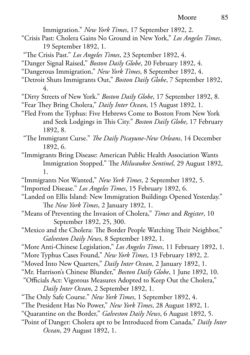Immigration." *New York Times*, 17 September 1892, 2.

- "Crisis Past: Cholera Gains No Ground in New York," *Los Angeles Times*, 19 September 1892, 1.
- "The Crisis Past." *Los Angeles Times*, 23 September 1892, 4.
- "Danger Signal Raised," *Boston Daily Globe*, 20 February 1892, 4.
- "Dangerous Immigration," *New York Times*, 8 September 1892, 4.
- "Detroit Shuts Immigrants Out," *Boston Daily Globe*, 7 September 1892, 4.
- "Dirty Streets of New York." *Boston Daily Globe*, 17 September 1892, 8. "Fear They Bring Cholera," *Daily Inter Ocean*, 15 August 1892, 1.
- "Fled From the Typhus: Five Hebrews Come to Boston From New York and Seek Lodgings in This City." *Boston Daily Globe*, 17 February 1892, 8.
- "The Immigrant Curse." *The Daily Picayune-New Orleans*, 14 December 1892, 6.
- "Immigrants Bring Disease: American Public Health Association Wants Immigration Stopped." The *Milwaukee Sentinel*, 29 August 1892, 1.
- "Immigrants Not Wanted," *New York Times*, 2 September 1892, 5.
- "Imported Disease." *Los Angeles Times*, 15 February 1892, 6.
- "Landed on Ellis Island: New Immigration Buildings Opened Yesterday." The *New York Times*, 2 January 1892, 1.
- "Means of Preventing the Invasion of Cholera," *Times* and *Register*, 10 September 1892, 25, 300.
- "Mexico and the Cholera: The Border People Watching Their Neighbor," *Galveston Daily News*, 8 September 1892, 1.
- "More Anti-Chinese Legislation," *Los Angeles Times*, 11 February 1892, 1.
- "More Typhus Cases Found," *New York Times*, 13 February 1892, 2.
- "Moved Into New Quarters," *Daily Inter Ocean*, 2 January 1892, 1.
- "Mr. Harrison's Chinese Blunder," *Boston Daily Globe*, 1 June 1892, 10.
- "Officials Act: Vigorous Measures Adopted to Keep Out the Cholera," *Daily Inter Ocean*, 2 September 1892, 1.
- "The Only Safe Course." *New York Times*, 1 September 1892, 4.
- "The President Has No Power," *New York Times*, 28 August 1892, 1.
- "Quarantine on the Border," *Galveston Daily News*, 6 August 1892, 5.
- "Point of Danger: Cholera apt to be Introduced from Canada," *Daily Inter Ocean*, 29 August 1892, 1.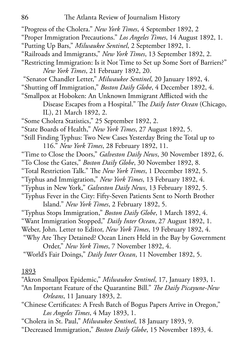"Progress of the Cholera." *New York Times*, 4 September 1892, 2 "Proper Immigration Precautions." *Los Angeles Times*, 14 August 1892, 1. "Putting Up Bars," *Milwaukee Sentinel*, 2 September 1892, 1. "Railroads and Immigrants," *New York Times*, 13 September 1892, 2. "Restricting Immigration: Is it Not Time to Set up Some Sort of Barriers?" *New York Times*, 21 February 1892, 20. "Senator Chandler Letter," *Milwaukee Sentinel*, 20 January 1892, 4. "Shutting off Immigration," *Boston Daily Globe*, 4 December 1892, 4. "Smallpox at Hoboken: An Unknown Immigrant Afflicted with the Disease Escapes from a Hospital." The *Daily Inter Ocean* (Chicago, IL), 21 March 1892, 2. "Some Cholera Statistics," 25 September 1892, 2. "State Boards of Health," *New York Times*, 27 August 1892, 5. "Still Finding Typhus: Two New Cases Yesterday Bring the Total up to 116." *New York Times*, 28 February 1892, 11. "Time to Close the Doors," *Galveston Daily News*, 30 November 1892, 6. "To Close the Gates," *Boston Daily Globe*, 30 November 1892, 8. "Total Restriction Talk." The *New York Times*, 1 December 1892, 5. "Typhus and Immigration," *New York Times*, 13 February 1892, 4. "Typhus in New York," *Galveston Daily News*, 13 February 1892, 5. "Typhus Fever in the City: Fifty-Seven Patients Sent to North Brother Island." *New York Times*, 2 February 1892, 5. "Typhus Stops Immigration," *Boston Daily Globe*, 1 March 1892, 4. "Want Immigration Stopped," *Daily Inter Ocean*, 27 August 1892, 1. Weber, John. Letter to Editor, *New York Times*, 19 February 1892, 4. "Why Are They Detained? Ocean Liners Held in the Bay by Government Order," *New York Times*, 7 November 1892, 4. "World's Fair Doings," *Daily Inter Ocean*, 11 November 1892, 5.

#### 1893

"Akron Smallpox Epidemic," *Milwaukee Sentinel*, 17, January 1893, 1.

- "An Important Feature of the Quarantine Bill." *The Daily Picayune-New Orleans*, 11 January 1893, 2.
- "Chinese Certificates: A Fresh Batch of Bogus Papers Arrive in Oregon," *Los Angeles Times*, 4 May 1893, 1.

"Cholera in St. Paul," *Milwaukee Sentinel*, 18 January 1893, 9.

"Decreased Immigration," *Boston Daily Globe*, 15 November 1893, 4.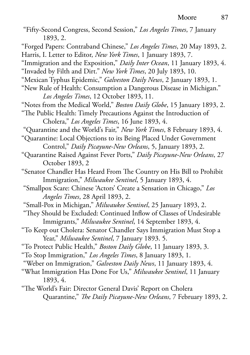- "Fifty-Second Congress, Second Session," *Los Angeles Times*, 7 January 1893, 2.
- "Forged Papers: Contraband Chinese," *Los Angeles Times*, 20 May 1893, 2. Harris, I. Letter to Editor, *New York Times*, 1 January 1893, 7.

"Immigration and the Exposition," *Daily Inter Ocean*, 11 January 1893, 4. "Invaded by Filth and Dirt." *New York Times*, 20 July 1893, 10.

- "Mexican Typhus Epidemic," *Galveston Daily News*, 2 January 1893, 1.
- "New Rule of Health: Consumption a Dangerous Disease in Michigan." *Los Angeles Times*, 12 October 1893, 11.
- "Notes from the Medical World," *Boston Daily Globe*, 15 January 1893, 2.
- "The Public Health: Timely Precautions Against the Introduction of Cholera," *Los Angeles Times*, 16 June 1893, 4.

"Quarantine and the World's Fair," *New York Times*, 8 February 1893, 4.

- "Quarantine: Local Objections to its Being Placed Under Government Control," *Daily Picayune-New Orleans*, 5, January 1893, 2.
- "Quarantine Raised Against Fever Ports," *Daily Picayune-New Orleans*, 27 October 1893, 2
- "Senator Chandler Has Heard From The Country on His Bill to Prohibit Immigration," *Milwaukee Sentinel*, 5 January 1893, 4.
- "Smallpox Scare: Chinese 'Actors' Create a Sensation in Chicago," *Los Angeles Times*, 28 April 1893, 2.
- "Small-Pox in Michigan," *Milwaukee Sentinel*, 25 January 1893, 2.
- "They Should be Excluded: Continued Inflow of Classes of Undesirable Immigrants," *Milwaukee Sentinel*, 14 September 1893, 4.
- "To Keep out Cholera: Senator Chandler Says Immigration Must Stop a Year," *Milwaukee Sentinel*, 7 January 1893. 5.
- "To Protect Public Health," *Boston Daily Globe*, 11 January 1893, 3.
- "To Stop Immigration," *Los Angeles Times*, 8 January 1893, 1.
- "Weber on Immigration," *Galveston Daily News*, 11 January 1893, 4.
- "What Immigration Has Done For Us," *Milwaukee Sentinel*, 11 January 1893, 4.
- "The World's Fair: Director General Davis' Report on Cholera Quarantine," *The Daily Picayune-New Orleans*, 7 February 1893, 2.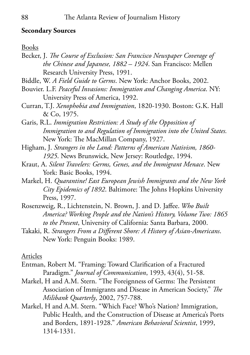#### **Secondary Sources**

Books

- Becker, J. *The Course of Exclusion: San Francisco Newspaper Coverage of the Chinese and Japanese, 1882 – 1924*. San Francisco: Mellen Research University Press, 1991.
- Biddle, W. *A Field Guide to Germs*. New York: Anchor Books, 2002.
- Bouvier. L.F. *Peaceful Invasions: Immigration and Changing America*. NY: University Press of America, 1992.
- Curran, T.J. *Xenophobia and Immigration*, 1820-1930. Boston: G.K. Hall & Co, 1975.
- Garis, R.L. *Immigration Restriction: A Study of the Opposition of Immigration to and Regulation of Immigration into the United States.* New York: The MacMillan Company, 1927.
- Higham, J. *Strangers in the Land: Patterns of American Nativism, 1860- 1925*. News Brunswick, New Jersey: Routledge, 1994.
- Kraut, A. *Silent Travelers: Germs, Genes, and the Immigrant Menace*. New York: Basic Books, 1994.
- Markel, H. *Quarantine! East European Jewish Immigrants and the New York City Epidemics of 1892*. Baltimore: The Johns Hopkins University Press, 1997.
- Rosenzweig, R., Lichtenstein, N. Brown, J. and D. Jaffee. *Who Built America? Working People and the Nation's History, Volume Two: 1865 to the Present*, University of California: Santa Barbara, 2000.
- Takaki, R. *Strangers From a Different Shore: A History of Asian-Americans*. New York: Penguin Books: 1989.

Articles

- Entman, Robert M. "Framing: Toward Clarification of a Fractured Paradigm." *Journal of Communication*, 1993, 43(4), 51-58.
- Markel, H and A.M. Stern. "The Foreignness of Germs: The Persistent Association of Immigrants and Disease in American Society," *The Milibank Quarterly*, 2002, 757-788.
- Markel, H and A.M. Stern. "Which Face? Who's Nation? Immigration, Public Health, and the Construction of Disease at America's Ports and Borders, 1891-1928." *American Behavioral Scientist*, 1999, 1314-1331.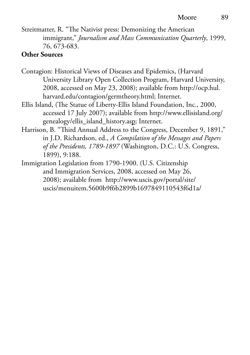Streitmatter, R. "The Nativist press: Demonizing the American immigrant," *Journalism and Mass Communication Quarterly*, 1999, 76, 673-683.

### **Other Sources**

- Contagion: Historical Views of Diseases and Epidemics, (Harvard University Library Open Collection Program, Harvard University, 2008, accessed on May 23, 2008); available from http://ocp.hul. harvard.edu/contagion/germtheory.html; Internet.
- Ellis Island, (The Statue of Liberty-Ellis Island Foundation, Inc., 2000, accessed 17 July 2007); available from http://www.ellisisland.org/ genealogy/ellis\_island\_history.asp; Internet.
- Harrison, B. "Third Annual Address to the Congress, December 9, 1891," in J.D. Richardson, ed., *A Compilation of the Messages and Papers of the Presidents, 1789-1897* (Washington, D.C.: U.S. Congress, 1899), 9:188.
- Immigration Legislation from 1790-1900. (U.S. Citizenship and Immigration Services, 2008, accessed on May 26, 2008); available from http://www.uscis.gov/portal/site/ uscis/menuitem.5600b9f6b2899b1697849110543f6d1a/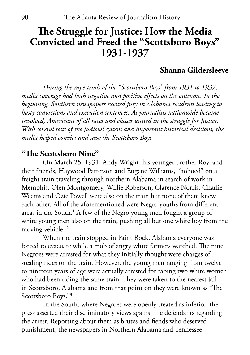# **The Struggle for Justice: How the Media Convicted and Freed the "Scottsboro Boys" 1931-1937**

### **Shanna Gildersleeve**

*During the rape trials of the "Scottsboro Boys" from 1931 to 1937, media coverage had both negative and positive effects on the outcome. In the beginning, Southern newspapers excited fury in Alabama residents leading to hasty convictions and execution sentences. As journalists nationwide became involved, Americans of all races and classes united in the struggle for Justice. With several tests of the judicial system and important historical decisions, the media helped convict and save the Scottsboro Boys.* 

### **"The Scottsboro Nine"**

On March 25, 1931, Andy Wright, his younger brother Roy, and their friends, Haywood Patterson and Eugene Williams, "hoboed" on a freight train traveling through northern Alabama in search of work in Memphis. Olen Montgomery, Willie Roberson, Clarence Norris, Charlie Weems and Ozie Powell were also on the train but none of them knew each other. All of the aforementioned were Negro youths from different areas in the South.<sup>1</sup> A few of the Negro young men fought a group of white young men also on the train, pushing all but one white boy from the moving vehicle.<sup>2</sup>

When the train stopped in Paint Rock, Alabama everyone was forced to evacuate while a mob of angry white farmers watched. The nine Negroes were arrested for what they initially thought were charges of stealing rides on the train. However, the young men ranging from twelve to nineteen years of age were actually arrested for raping two white women who had been riding the same train. They were taken to the nearest jail in Scottsboro, Alabama and from that point on they were known as "The Scottsboro Boys."3

In the South, where Negroes were openly treated as inferior, the press asserted their discriminatory views against the defendants regarding the arrest. Reporting about them as brutes and fiends who deserved punishment, the newspapers in Northern Alabama and Tennessee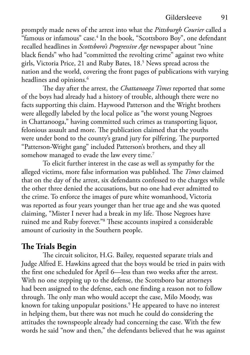promptly made news of the arrest into what the *Pittsburgh Courier* called a "famous or infamous" case.4 In the book, "Scottsboro Boy", one defendant recalled headlines in *Scottsboro's Progressive Age* newspaper about "nine black fiends" who had "committed the revolting crime" against two white girls, Victoria Price, 21 and Ruby Bates, 18.5 News spread across the nation and the world, covering the front pages of publications with varying headlines and opinions.<sup>6</sup>

The day after the arrest, the *Chattanooga Times* reported that some of the boys had already had a history of trouble, although there were no facts supporting this claim. Haywood Patterson and the Wright brothers were allegedly labeled by the local police as "the worst young Negroes in Chattanooga," having committed such crimes as transporting liquor, felonious assault and more. The publication claimed that the youths were under bond to the county's grand jury for pilfering. The purported "Patterson-Wright gang" included Patterson's brothers, and they all somehow managed to evade the law every time.<sup>7</sup>

To elicit further interest in the case as well as sympathy for the alleged victims, more false information was published. The *Times* claimed that on the day of the arrest, six defendants confessed to the charges while the other three denied the accusations, but no one had ever admitted to the crime. To enforce the images of pure white womanhood, Victoria was reported as four years younger than her true age and she was quoted claiming, "Mister I never had a break in my life. Those Negroes have ruined me and Ruby forever."8 These accounts inspired a considerable amount of curiosity in the Southern people.

### **The Trials Begin**

The circuit solicitor, H.G. Bailey, requested separate trials and Judge Alfred E. Hawkins agreed that the boys would be tried in pairs with the first one scheduled for April 6—less than two weeks after the arrest. With no one stepping up to the defense, the Scottsboro bar attorneys had been assigned to the defense, each one finding a reason not to follow through. The only man who would accept the case, Milo Moody, was known for taking unpopular positions.<sup>9</sup> He appeared to have no interest in helping them, but there was not much he could do considering the attitudes the townspeople already had concerning the case. With the few words he said "now and then," the defendants believed that he was against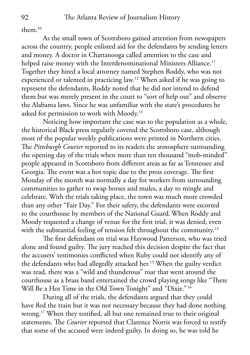them.10

As the small town of Scottsboro gained attention from newspapers across the country, people enlisted aid for the defendants by sending letters and money. A doctor in Chattanooga called attention to the case and helped raise money with the Interdenominational Ministers Alliance.<sup>11</sup> Together they hired a local attorney named Stephen Roddy, who was not experienced or talented in practicing law.12 When asked if he was going to represent the defendants, Roddy noted that he did not intend to defend them but was merely present in the court to "sort of help out" and observe the Alabama laws. Since he was unfamiliar with the state's procedures he asked for permission to work with Moody.<sup>13</sup>

Noticing how important the case was to the population as a whole, the historical Black press regularly covered the Scottsboro case, although most of the popular weekly publications were printed in Northern cities. The *Pittsburgh Courier* reported to its readers the atmosphere surrounding the opening day of the trials when more than ten thousand "mob-minded" people appeared in Scottsboro from different areas as far as Tennessee and Georgia. The event was a hot topic due to the press coverage. The first Monday of the month was normally a day for workers from surrounding communities to gather to swap horses and mules, a day to mingle and celebrate. With the trials taking place, the town was much more crowded than any other "Fair Day." For their safety, the defendants were escorted to the courthouse by members of the National Guard.When Roddy and Moody requested a change of venue for the first trial, it was denied, even with the substantial feeling of tension felt throughout the community.<sup>14</sup>

The first defendant on trial was Haywood Patterson, who was tried alone and found guilty. The jury reached this decision despite the fact that the accusers' testimonies conflicted when Ruby could not identify any of the defendants who had allegedly attacked her.15 When the guilty verdict was read, there was a "wild and thunderous" roar that went around the courthouse as a brass band entertained the crowd playing songs like "There Will Be a Hot Time in the Old Town Tonight" and "Dixie." 16

During all of the trials, the defendants argued that they could have fled the train but it was not necessary because they had done nothing wrong.<sup>17</sup> When they testified, all but one remained true to their original statements. The *Courier* reported that Clarence Norris was forced to testify that some of the accused were indeed guilty. In doing so, he was told he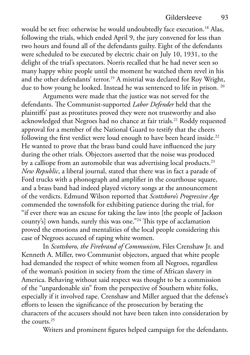would be set free: otherwise he would undoubtedly face execution.<sup>18</sup> Alas, following the trials, which ended April 9, the jury convened for less than two hours and found all of the defendants guilty. Eight of the defendants were scheduled to be executed by electric chair on July 10, 1931, to the delight of the trial's spectators. Norris recalled that he had never seen so many happy white people until the moment he watched them revel in his and the other defendants' terror.<sup>19</sup> A mistrial was declared for Roy Wright, due to how young he looked. Instead he was sentenced to life in prison.<sup>20</sup>

Arguments were made that the justice was not served for the defendants. The Communist-supported *Labor Defender* held that the plaintiffs' past as prostitutes proved they were not trustworthy and also acknowledged that Negroes had no chance at fair trials.<sup>21</sup> Roddy requested approval for a member of the National Guard to testify that the cheers following the first verdict were loud enough to have been heard inside.<sup>22</sup> He wanted to prove that the brass band could have influenced the jury during the other trials. Objectors asserted that the noise was produced by a calliope from an automobile that was advertising local products.<sup>23</sup> *New Republic*, a liberal journal, stated that there was in fact a parade of Ford trucks with a phonograph and amplifier in the courthouse square, and a brass band had indeed played victory songs at the announcement of the verdicts. Edmund Wilson reported that *Scottsboro's Progressive Age* commended the townsfolk for exhibiting patience during the trial, for "if ever there was an excuse for taking the law into [the people of Jackson county's] own hands, surely this was one."24 This type of acclamation proved the emotions and mentalities of the local people considering this case of Negroes accused of raping white women.

In *Scottsboro, the Firebrand of Communism*, Files Crenshaw Jr. and Kenneth A. Miller, two Communist objectors, argued that white people had demanded the respect of white women from all Negroes, regardless of the woman's position in society from the time of African slavery in America. Behaving without said respect was thought to be a commission of the "unpardonable sin" from the perspective of Southern white folks, especially if it involved rape. Crenshaw and Miller argued that the defense's efforts to lessen the significance of the prosecution by berating the characters of the accusers should not have been taken into consideration by the courts.<sup>25</sup>

Writers and prominent figures helped campaign for the defendants.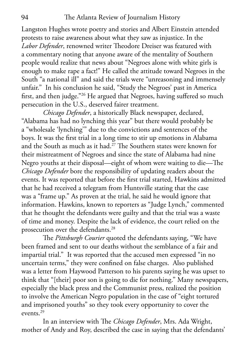Langston Hughes wrote poetry and stories and Albert Einstein attended protests to raise awareness about what they saw as injustice. In the *Labor Defender*, renowned writer Theodore Dreiser was featured with a commentary noting that anyone aware of the mentality of Southern people would realize that news about "Negroes alone with white girls is enough to make rape a fact!" He called the attitude toward Negroes in the South "a national ill" and said the trials were "unreasoning and immensely unfair." In his conclusion he said, "Study the Negroes' past in America first, and then judge."26 He argued that Negroes, having suffered so much persecution in the U.S., deserved fairer treatment.

*Chicago Defender*, a historically Black newspaper, declared, "Alabama has had no lynching this year" but there would probably be a "wholesale 'lynching'" due to the convictions and sentences of the boys. It was the first trial in a long time to stir up emotions in Alabama and the South as much as it had.<sup> $27$ </sup> The Southern states were known for their mistreatment of Negroes and since the state of Alabama had nine Negro youths at their disposal—eight of whom were waiting to die—The *Chicago Defender* bore the responsibility of updating readers about the events. It was reported that before the first trial started, Hawkins admitted that he had received a telegram from Huntsville stating that the case was a "frame up." As proven at the trial, he said he would ignore that information. Hawkins, known to reporters as "Judge Lynch," commented that he thought the defendants were guilty and that the trial was a waste of time and money. Despite the lack of evidence, the court relied on the prosecution over the defendants.<sup>28</sup>

The *Pittsburgh Courier* quoted the defendants saying, "We have been framed and sent to our deaths without the semblance of a fair and impartial trial." It was reported that the accused men expressed "in no uncertain terms," they were confined on false charges. Also published was a letter from Haywood Patterson to his parents saying he was upset to think that "[their] poor son is going to die for nothing." Many newspapers, especially the black press and the Communist press, realized the position to involve the American Negro population in the case of "eight tortured and imprisoned youths" so they took every opportunity to cover the events.29

In an interview with The *Chicago Defender*, Mrs. Ada Wright, mother of Andy and Roy, described the case in saying that the defendants'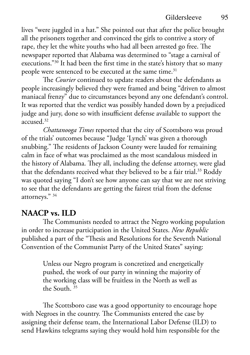lives "were juggled in a hat." She pointed out that after the police brought all the prisoners together and convinced the girls to contrive a story of rape, they let the white youths who had all been arrested go free. The newspaper reported that Alabama was determined to "stage a carnival of executions."30 It had been the first time in the state's history that so many people were sentenced to be executed at the same time.<sup>31</sup>

The *Courier* continued to update readers about the defendants as people increasingly believed they were framed and being "driven to almost maniacal frenzy" due to circumstances beyond any one defendant's control. It was reported that the verdict was possibly handed down by a prejudiced judge and jury, done so with insufficient defense available to support the accused.32

*Chattanooga Times* reported that the city of Scottsboro was proud of the trials' outcomes because "Judge 'Lynch' was given a thorough snubbing." The residents of Jackson County were lauded for remaining calm in face of what was proclaimed as the most scandalous misdeed in the history of Alabama. They all, including the defense attorney, were glad that the defendants received what they believed to be a fair trial.<sup>33</sup> Roddy was quoted saying "I don't see how anyone can say that we are not striving to see that the defendants are getting the fairest trial from the defense attorneys." 34

# **NAACP vs. ILD**

The Communists needed to attract the Negro working population in order to increase participation in the United States. *New Republic* published a part of the "Thesis and Resolutions for the Seventh National Convention of the Communist Party of the United States" saying:

> Unless our Negro program is concretized and energetically pushed, the work of our party in winning the majority of the working class will be fruitless in the North as well as the South. 35

The Scottsboro case was a good opportunity to encourage hope with Negroes in the country. The Communists entered the case by assigning their defense team, the International Labor Defense (ILD) to send Hawkins telegrams saying they would hold him responsible for the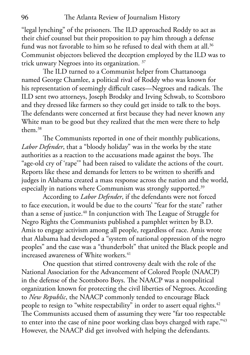"legal lynching" of the prisoners. The ILD approached Roddy to act as their chief counsel but their proposition to pay him through a defense fund was not favorable to him so he refused to deal with them at all.<sup>36</sup> Communist objectors believed the deception employed by the ILD was to trick unwary Negroes into its organization. 37

The ILD turned to a Communist helper from Chattanooga named George Chamlee, a political rival of Roddy who was known for his representation of seemingly difficult cases—Negroes and radicals. The ILD sent two attorneys, Joseph Brodsky and Irving Schwab, to Scottsboro and they dressed like farmers so they could get inside to talk to the boys. The defendants were concerned at first because they had never known any White man to be good but they realized that the men were there to help them.38

The Communists reported in one of their monthly publications, *Labor Defender*, that a "bloody holiday" was in the works by the state authorities as a reaction to the accusations made against the boys. The "age-old cry of 'rape'" had been raised to validate the actions of the court. Reports like these and demands for letters to be written to sheriffs and judges in Alabama created a mass response across the nation and the world, especially in nations where Communism was strongly supported.<sup>39</sup>

According to *Labor Defender*, if the defendants were not forced to face execution, it would be due to the courts' "fear for the state" rather than a sense of justice.<sup>40</sup> In conjunction with The League of Struggle for Negro Rights the Communists published a pamphlet written by B.D. Amis to engage activism among all people, regardless of race. Amis wrote that Alabama had developed a "system of national oppression of the negro peoples" and the case was a "thunderbolt" that united the Black people and increased awareness of White workers.<sup>41</sup>

One question that stirred controversy dealt with the role of the National Association for the Advancement of Colored People (NAACP) in the defense of the Scottsboro Boys. The NAACP was a nonpolitical organization known for protecting the civil liberties of Negroes. According to *New Republic*, the NAACP commonly tended to encourage Black people to resign to "white respectability" in order to assert equal rights.<sup>42</sup> The Communists accused them of assuming they were "far too respectable to enter into the case of nine poor working class boys charged with rape."43 However, the NAACP did get involved with helping the defendants.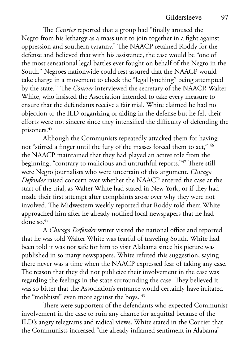The *Courier* reported that a group had "finally aroused the Negro from his lethargy as a mass unit to join together in a fight against oppression and southern tyranny." The NAACP retained Roddy for the defense and believed that with his assistance, the case would be "one of the most sensational legal battles ever fought on behalf of the Negro in the South." Negroes nationwide could rest assured that the NAACP would take charge in a movement to check the "legal lynching" being attempted by the state.44 The *Courier* interviewed the secretary of the NAACP, Walter White, who insisted the Association intended to take every measure to ensure that the defendants receive a fair trial. White claimed he had no objection to the ILD organizing or aiding in the defense but he felt their efforts were not sincere since they intensified the difficulty of defending the prisoners.45

Although the Communists repeatedly attacked them for having not "stirred a finger until the fury of the masses forced them to act," <sup>46</sup> the NAACP maintained that they had played an active role from the beginning, "contrary to malicious and untruthful reports."47 There still were Negro journalists who were uncertain of this argument. *Chicago Defender* raised concern over whether the NAACP entered the case at the start of the trial, as Walter White had stated in New York, or if they had made their first attempt after complaints arose over why they were not involved. The Midwestern weekly reported that Roddy told them White approached him after he already notified local newspapers that he had done so.48

A *Chicago Defender* writer visited the national office and reported that he was told Walter White was fearful of traveling South. White had been told it was not safe for him to visit Alabama since his picture was published in so many newspapers. White refuted this suggestion, saying there never was a time when the NAACP expressed fear of taking any case. The reason that they did not publicize their involvement in the case was regarding the feelings in the state surrounding the case. They believed it was so bitter that the Association's entrance would certainly have irritated the "mobbists" even more against the boys. 49

There were supporters of the defendants who expected Communist involvement in the case to ruin any chance for acquittal because of the ILD's angry telegrams and radical views. White stated in the Courier that the Communists increased "the already inflamed sentiment in Alabama"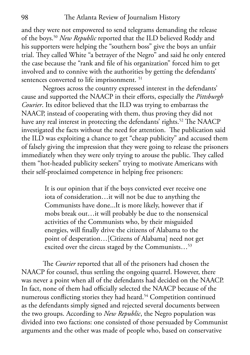and they were not empowered to send telegrams demanding the release of the boys.50 *New Republic* reported that the ILD believed Roddy and his supporters were helping the "southern boss" give the boys an unfair trial. They called White "a betrayer of the Negro" and said he only entered the case because the "rank and file of his organization" forced him to get involved and to connive with the authorities by getting the defendants' sentences converted to life imprisonment.<sup>51</sup>

Negroes across the country expressed interest in the defendants' cause and supported the NAACP in their efforts, especially the *Pittsburgh Courier*. Its editor believed that the ILD was trying to embarrass the NAACP, instead of cooperating with them, thus proving they did not have any real interest in protecting the defendants' rights.<sup>52</sup> The NAACP investigated the facts without the need for attention. The publication said the ILD was exploiting a chance to get "cheap publicity" and accused them of falsely giving the impression that they were going to release the prisoners immediately when they were only trying to arouse the public. They called them "hot-headed publicity seekers" trying to motivate Americans with their self-proclaimed competence in helping free prisoners:

> It is our opinion that if the boys convicted ever receive one iota of consideration…it will not be due to anything the Communists have done...It is more likely, however that if mobs break out…it will probably be due to the nonsensical activities of the Communists who, by their misguided energies, will finally drive the citizens of Alabama to the point of desperation…[Citizens of Alabama] need not get excited over the circus staged by the Communists…53

The *Courier* reported that all of the prisoners had chosen the NAACP for counsel, thus settling the ongoing quarrel. However, there was never a point when all of the defendants had decided on the NAACP. In fact, none of them had officially selected the NAACP because of the numerous conflicting stories they had heard.<sup>54</sup> Competition continued as the defendants simply signed and rejected several documents between the two groups. According to *New Republic*, the Negro population was divided into two factions: one consisted of those persuaded by Communist arguments and the other was made of people who, based on conservative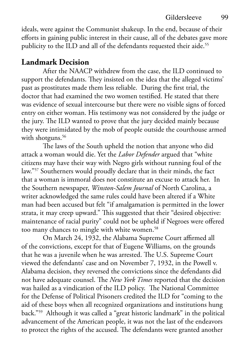ideals, were against the Communist shakeup. In the end, because of their efforts in gaining public interest in their cause, all of the debates gave more publicity to the ILD and all of the defendants requested their aide.<sup>55</sup>

### **Landmark Decision**

After the NAACP withdrew from the case, the ILD continued to support the defendants. They insisted on the idea that the alleged victims' past as prostitutes made them less reliable. During the first trial, the doctor that had examined the two women testified. He stated that there was evidence of sexual intercourse but there were no visible signs of forced entry on either woman. His testimony was not considered by the judge or the jury. The ILD wanted to prove that the jury decided mainly because they were intimidated by the mob of people outside the courthouse armed with shotguns.<sup>56</sup>

The laws of the South upheld the notion that anyone who did attack a woman would die. Yet the *Labor Defender* argued that "white citizens may have their way with Negro girls without running foul of the law."57 Southerners would proudly declare that in their minds, the fact that a woman is immoral does not constitute an excuse to attack her. In the Southern newspaper, *Winston-Salem Journal* of North Carolina, a writer acknowledged the same rules could have been altered if a White man had been accused but felt "if amalgamation is permitted in the lower strata, it may creep upward." This suggested that their "desired objective: maintenance of racial purity" could not be upheld if Negroes were offered too many chances to mingle with white women.<sup>58</sup>

On March 24, 1932, the Alabama Supreme Court affirmed all of the convictions, except for that of Eugene Williams, on the grounds that he was a juvenile when he was arrested. The U.S. Supreme Court viewed the defendants' case and on November 7, 1932, in the Powell v. Alabama decision, they reversed the convictions since the defendants did not have adequate counsel. The *New York Times* reported that the decision was hailed as a vindication of the ILD policy. The National Committee for the Defense of Political Prisoners credited the ILD for "coming to the aid of these boys when all recognized organizations and institutions hung back."59 Although it was called a "great historic landmark" in the political advancement of the American people, it was not the last of the endeavors to protect the rights of the accused. The defendants were granted another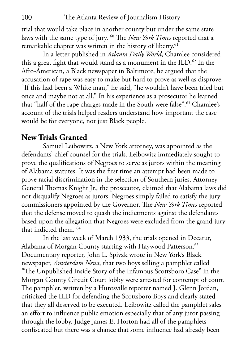trial that would take place in another county but under the same state laws with the same type of jury. 60 The *New York Times* reported that a remarkable chapter was written in the history of liberty.<sup>61</sup>

In a letter published in *Atlanta Daily World*, Chamlee considered this a great fight that would stand as a monument in the ILD. $^{62}$  In the Afro-American, a Black newspaper in Baltimore, he argued that the accusation of rape was easy to make but hard to prove as well as disprove. "If this had been a White man," he said, "he wouldn't have been tried but once and maybe not at all." In his experience as a prosecutor he learned that "half of the rape charges made in the South were false".63 Chamlee's account of the trials helped readers understand how important the case would be for everyone, not just Black people.

## **New Trials Granted**

Samuel Leibowitz, a New York attorney, was appointed as the defendants' chief counsel for the trials. Leibowitz immediately sought to prove the qualifications of Negroes to serve as jurors within the meaning of Alabama statutes. It was the first time an attempt had been made to prove racial discrimination in the selection of Southern juries. Attorney General Thomas Knight Jr., the prosecutor, claimed that Alabama laws did not disqualify Negroes as jurors. Negroes simply failed to satisfy the jury commissioners appointed by the Governor. The *New York Times* reported that the defense moved to quash the indictments against the defendants based upon the allegation that Negroes were excluded from the grand jury that indicted them. 64

In the last week of March 1933, the trials opened in Decatur, Alabama of Morgan County starting with Haywood Patterson.<sup>65</sup> Documentary reporter, John L. Spivak wrote in New York's Black newspaper, *Amsterdam News*, that two boys selling a pamphlet called "The Unpublished Inside Story of the Infamous Scottsboro Case" in the Morgan County Circuit Court lobby were arrested for contempt of court. The pamphlet, written by a Huntsville reporter named J. Glenn Jordan, criticized the ILD for defending the Scottsboro Boys and clearly stated that they all deserved to be executed. Leibowitz called the pamphlet sales an effort to influence public emotion especially that of any juror passing through the lobby. Judge James E. Horton had all of the pamphlets confiscated but there was a chance that some influence had already been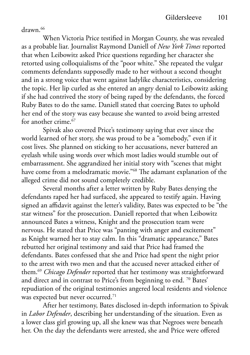drawn<sup>66</sup>

When Victoria Price testified in Morgan County, she was revealed as a probable liar. Journalist Raymond Daniell of *New York Times* reported that when Leibowitz asked Price questions regarding her character she retorted using colloquialisms of the "poor white." She repeated the vulgar comments defendants supposedly made to her without a second thought and in a strong voice that went against ladylike characteristics, considering the topic. Her lip curled as she entered an angry denial to Leibowitz asking if she had contrived the story of being raped by the defendants, the forced Ruby Bates to do the same. Daniell stated that coercing Bates to uphold her end of the story was easy because she wanted to avoid being arrested for another crime.67

Spivak also covered Price's testimony saying that ever since the world learned of her story, she was proud to be a "somebody," even if it cost lives. She planned on sticking to her accusations, never battered an eyelash while using words over which most ladies would stumble out of embarrassment. She aggrandized her initial story with "scenes that might have come from a melodramatic movie."68 The adamant explanation of the alleged crime did not sound completely credible.

Several months after a letter written by Ruby Bates denying the defendants raped her had surfaced, she appeared to testify again. Having signed an affidavit against the letter's validity, Bates was expected to be "the star witness" for the prosecution. Daniell reported that when Leibowitz announced Bates a witness, Knight and the prosecution team were nervous. He stated that Price was "panting with anger and excitement" as Knight warned her to stay calm. In this "dramatic appearance," Bates rebutted her original testimony and said that Price had framed the defendants. Bates confessed that she and Price had spent the night prior to the arrest with two men and that the accused never attacked either of them.69 *Chicago Defender* reported that her testimony was straightforward and direct and in contrast to Price's from beginning to end. <sup>70</sup> Bates' repudiation of the original testimonies angered local residents and violence was expected but never occurred.<sup>71</sup>

After her testimony, Bates disclosed in-depth information to Spivak in *Labor Defender*, describing her understanding of the situation. Even as a lower class girl growing up, all she knew was that Negroes were beneath her. On the day the defendants were arrested, she and Price were offered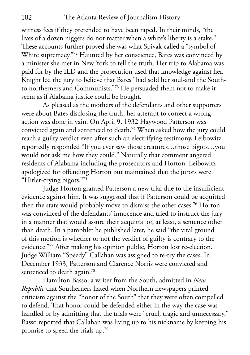witness fees if they pretended to have been raped. In their minds, "the lives of a dozen niggers do not matter when a white's liberty is a stake." These accounts further proved she was what Spivak called a "symbol of White supremacy."72 Haunted by her conscience, Bates was convinced by a minister she met in New York to tell the truth. Her trip to Alabama was paid for by the ILD and the prosecution used that knowledge against her. Knight led the jury to believe that Bates "had sold her soul-and the Southto northerners and Communists."73 He persuaded them not to make it seem as if Alabama justice could be bought.

As pleased as the mothers of the defendants and other supporters were about Bates disclosing the truth, her attempt to correct a wrong action was done in vain. On April 9, 1932 Haywood Patterson was convicted again and sentenced to death.<sup>74</sup> When asked how the jury could reach a guilty verdict even after such an electrifying testimony, Leibowitz reportedly responded "If you ever saw those creatures…those bigots…you would not ask me how they could." Naturally that comment angered residents of Alabama including the prosecutors and Horton. Leibowitz apologized for offending Horton but maintained that the jurors were "Hitler-crying bigots."75

Judge Horton granted Patterson a new trial due to the insufficient evidence against him. It was suggested that if Patterson could be acquitted then the state would probably move to dismiss the other cases.<sup>76</sup> Horton was convinced of the defendants' innocence and tried to instruct the jury in a manner that would assure their acquittal or, at least, a sentence other than death. In a pamphlet he published later, he said "the vital ground of this motion is whether or not the verdict of guilty is contrary to the evidence."77 After making his opinion public, Horton lost re-election. Judge William "Speedy" Callahan was assigned to re-try the cases. In December 1933, Patterson and Clarence Norris were convicted and sentenced to death again.<sup>78</sup>

Hamilton Basso, a writer from the South, admitted in *New Republic* that Southerners hated when Northern newspapers printed criticism against the "honor of the South" that they were often compelled to defend. That honor could be defended either in the way the case was handled or by admitting that the trials were "cruel, tragic and unnecessary." Basso reported that Callahan was living up to his nickname by keeping his promise to speed the trials up.79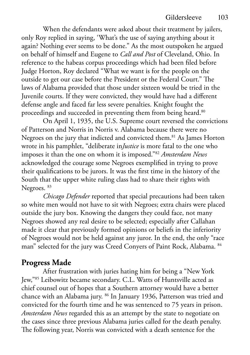When the defendants were asked about their treatment by jailers, only Roy replied in saying, 'What's the use of saying anything about it again? Nothing ever seems to be done." As the most outspoken he argued on behalf of himself and Eugene to *Call and Post* of Cleveland, Ohio. In reference to the habeas corpus proceedings which had been filed before Judge Horton, Roy declared "What we want is for the people on the outside to get our case before the President or the Federal Court." The laws of Alabama provided that those under sixteen would be tried in the Juvenile courts. If they were convicted, they would have had a different defense angle and faced far less severe penalties. Knight fought the proceedings and succeeded in preventing them from being heard.<sup>80</sup>

On April 1, 1935, the U.S. Supreme court reversed the convictions of Patterson and Norris in Norris v. Alabama because there were no Negroes on the jury that indicted and convicted them.<sup>81</sup> As James Horton wrote in his pamphlet, "deliberate in*Justice* is more fatal to the one who imposes it than the one on whom it is imposed."82 *Amsterdam News* acknowledged the courage some Negroes exemplified in trying to prove their qualifications to be jurors. It was the first time in the history of the South that the upper white ruling class had to share their rights with Negroes. 83

*Chicago Defender* reported that special precautions had been taken so white men would not have to sit with Negroes; extra chairs were placed outside the jury box. Knowing the dangers they could face, not many Negroes showed any real desire to be selected; especially after Callahan made it clear that previously formed opinions or beliefs in the inferiority of Negroes would not be held against any juror. In the end, the only "race man" selected for the jury was Creed Conyers of Paint Rock, Alabama. 84

### **Progress Made**

After frustration with juries hating him for being a "New York Jew,"85 Leibowitz became secondary. C.L. Watts of Huntsville acted as chief counsel out of hopes that a Southern attorney would have a better chance with an Alabama jury. 86 In January 1936, Patterson was tried and convicted for the fourth time and he was sentenced to 75 years in prison. *Amsterdam News* regarded this as an attempt by the state to negotiate on the cases since three previous Alabama juries called for the death penalty. The following year, Norris was convicted with a death sentence for the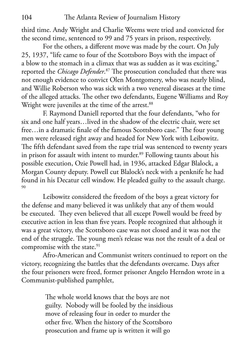third time. Andy Wright and Charlie Weems were tried and convicted for the second time, sentenced to 99 and 75 years in prison, respectively.

For the others, a different move was made by the court. On July 25, 1937, "life came to four of the Scottsboro Boys with the impact of a blow to the stomach in a climax that was as sudden as it was exciting," reported the *Chicago Defender*. 87 The prosecution concluded that there was not enough evidence to convict Olen Montgomery, who was nearly blind, and Willie Roberson who was sick with a two venereal diseases at the time of the alleged attacks. The other two defendants, Eugene Williams and Roy Wright were juveniles at the time of the arrest.<sup>88</sup>

F. Raymond Daniell reported that the four defendants, "who for six and one half years…lived in the shadow of the electric chair, were set free…in a dramatic finale of the famous Scottsboro case." The four young men were released right away and headed for New York with Leibowitz. The fifth defendant saved from the rape trial was sentenced to twenty years in prison for assault with intent to murder.<sup>89</sup> Following taunts about his possible execution, Ozie Powell had, in 1936, attacked Edgar Blalock, a Morgan County deputy. Powell cut Blalock's neck with a penknife he had found in his Decatur cell window. He pleaded guilty to the assault charge. 90

Leibowitz considered the freedom of the boys a great victory for the defense and many believed it was unlikely that any of them would be executed. They even believed that all except Powell would be freed by executive action in less than five years. People recognized that although it was a great victory, the Scottsboro case was not closed and it was not the end of the struggle. The young men's release was not the result of a deal or compromise with the state.<sup>91</sup>

Afro-American and Communist writers continued to report on the victory, recognizing the battles that the defendants overcame. Days after the four prisoners were freed, former prisoner Angelo Herndon wrote in a Communist-published pamphlet,

> The whole world knows that the boys are not guilty. Nobody will be fooled by the insidious move of releasing four in order to murder the other five. When the history of the Scottsboro prosecution and frame up is written it will go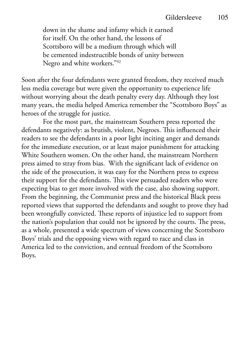down in the shame and infamy which it earned for itself. On the other hand, the lessons of Scottsboro will be a medium through which will be cemented indestructible bonds of unity between Negro and white workers."92

Soon after the four defendants were granted freedom, they received much less media coverage but were given the opportunity to experience life without worrying about the death penalty every day. Although they lost many years, the media helped America remember the "Scottsboro Boys" as heroes of the struggle for justice.

For the most part, the mainstream Southern press reported the defendants negatively: as brutish, violent, Negroes. This influenced their readers to see the defendants in a poor light inciting anger and demands for the immediate execution, or at least major punishment for attacking White Southern women. On the other hand, the mainstream Northern press aimed to stray from bias. With the significant lack of evidence on the side of the prosecution, it was easy for the Northern press to express their support for the defendants. This view persuaded readers who were expecting bias to get more involved with the case, also showing support. From the beginning, the Communist press and the historical Black press reported views that supported the defendants and sought to prove they had been wrongfully convicted. These reports of injustice led to support from the nation's population that could not be ignored by the courts. The press, as a whole, presented a wide spectrum of views concerning the Scottsboro Boys' trials and the opposing views with regard to race and class in America led to the conviction, and eentual freedom of the Scottsboro Boys.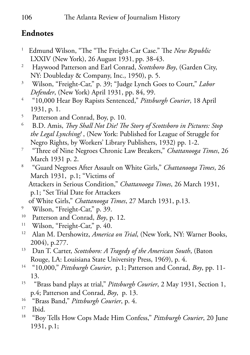## **Endnotes**

- 1 Edmund Wilson, "The "The Freight-Car Case." The *New Republic* LXXIV (New York), 26 August 1931, pp. 38-43.
- 2 Haywood Patterson and Earl Conrad, *Scottsboro Boy*, (Garden City, NY: Doubleday & Company, Inc., 1950), p. 5.
- 3 Wilson, "Freight-Car," p. 39; "Judge Lynch Goes to Court," *Labor Defender*, (New York) April 1931, pp. 84, 99.
- 4 "10,000 Hear Boy Rapists Sentenced," *Pittsburgh Courier*, 18 April 1931, p. 1.
- <sup>5</sup> Patterson and Conrad, Boy, p. 10.<br><sup>6</sup> B.D. Amis *They Shall Not Diel Th*
- 6 B.D. Amis, *They Shall Not Die! The Story of Scottsboro in Pictures: Stop the Legal Lynching!* , (New York: Published for League of Struggle for Negro Rights, by Workers' Library Publishers, 1932) pp. 1-2.
- 7 "Three of Nine Negroes Chronic Law Breakers," *Chattanooga Times*, 26 March 1931 p. 2.
- 8 "Guard Negroes After Assault on White Girls," *Chattanooga Times*, 26 March 1931, p.1; "Victims of

 Attackers in Serious Condition," *Chattanooga Times*, 26 March 1931, p.1; "Set Trial Date for Attackers

of White Girls," *Chattanooga Times*, 27 March 1931, p.13.

- <sup>9</sup> Wilson, "Freight-Car," p. 39.
- 10 Patterson and Conrad, *Boy*, p. 12.
- <sup>11</sup> Wilson, "Freight-Car," p. 40.
- 12 Alan M. Dershowitz, *America on Trial*, (New York, NY: Warner Books, 2004), p.277.
- 13 Dan T. Carter, *Scottsboro: A Tragedy of the American South*, (Baton Rouge, LA: Louisiana State University Press, 1969), p. 4.
- 14 "10,000," *Pittsburgh Courier*, p.1; Patterson and Conrad, *Boy*, pp. 11- 13.
- 15 "Brass band plays at trial," *Pittsburgh Courier*, 2 May 1931, Section 1, p.4; Patterson and Conrad, *Boy*, p. 13.
- 16 "Brass Band," *Pittsburgh Courier*, p. 4.

18 "Boy Tells How Cops Made Him Confess," *Pittsburgh Courier*, 20 June 1931, p.1;

 $17$  Ibid.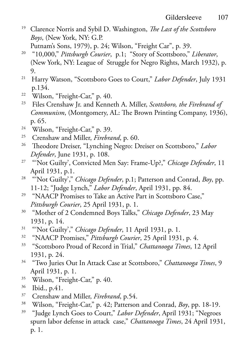<sup>19</sup> Clarence Norris and Sybil D. Washington, *The Last of the Scottsboro Boys*, (New York, NY: G.P.

Putnam's Sons, 1979), p. 24; Wilson, "Freight Car", p. 39.

- 20 "10,000," *Pittsburgh Courier*, p.1; "Story of Scottsboro," *Liberator*, (New York, NY: League of Struggle for Negro Rights, March 1932), p. 9.
- <sup>21</sup> Harry Watson, "Scottsboro Goes to Court," *Labor Defender*, July 1931 p.134.
- 22 Wilson, "Freight-Car," p. 40.
- 23 Files Crenshaw Jr. and Kenneth A. Miller, *Scottsboro, the Firebrand of Communism*, (Montgomery, AL: The Brown Printing Company, 1936), p. 65.
- <sup>24</sup> Wilson, "Freight-Car," p. 39.
- <sup>25</sup> Crenshaw and Miller, *Firebrand*, p. 60.<br><sup>26</sup> Theodore Drejsor, "Lynching Negro: D
- 26 Theodore Dreiser, "Lynching Negro: Dreiser on Scottsboro," *Labor Defender*, June 1931, p. 108.
- 27 "'Not Guilty', Convicted Men Say: Frame-Up?," *Chicago Defender*, 11 April 1931, p.1.
- 28 "'Not Guilty'," *Chicago Defender*, p.1; Patterson and Conrad, *Boy*, pp. 11-12; "Judge Lynch," *Labor Defender*, April 1931, pp. 84.
- <sup>29</sup> "NAACP Promises to Take an Active Part in Scottsboro Case," *Pittsburgh Courier*, 25 April 1931, p. 1.
- 30 "Mother of 2 Condemned Boys Talks," *Chicago Defender*, 23 May 1931, p. 14.
- 31 "'Not Guilty'," *Chicago Defender*, 11 April 1931, p. 1.
- 32 "NAACP Promises," *Pittsburgh Courier*, 25 April 1931, p. 4.
- 33 "Scottsboro Proud of Record in Trial," *Chattanooga Times*, 12 April 1931, p. 24.
- 34 "Two Juries Out In Attack Case at Scottsboro," *Chattanooga Times*, 9 April 1931, p. 1.
- <sup>35</sup> Wilson, "Freight-Car," p. 40.
- 36 Ibid., p.41.
- 37 Crenshaw and Miller, *Firebrand*, p.54.
- 38 Wilson, "Freight-Car," p. 42; Patterson and Conrad, *Boy*, pp. 18-19.
- 39 "Judge Lynch Goes to Court," *Labor Defender*, April 1931; "Negroes spurn labor defense in attack case," *Chattanooga Times*, 24 April 1931, p. 1.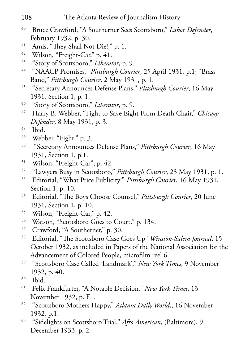#### 108 The Atlanta Review of Journalism History

- 40 Bruce Crawford, "A Southerner Sees Scottsboro," *Labor Defender*, February 1932, p. 30.
- <sup>41</sup> Amis, "They Shall Not Die!," p. 1.<br><sup>42</sup> Wilson "Freight Car" p. 41
- Wilson, "Freight-Car," p. 41.
- 43 "Story of Scottsboro," *Liberator*, p. 9.
- 44 "NAACP Promises," *Pittsburgh Courier*, 25 April 1931, p.1; "Brass Band," *Pittsburgh Courier*, 2 May 1931, p. 1.
- 45 "Secretary Announces Defense Plans," *Pittsburgh Courier*, 16 May 1931, Section 1, p. 1.
- 46 "Story of Scottsboro," *Liberator*, p. 9.
- 47 Harry B. Webber, "Fight to Save Eight From Death Chair," *Chicago Defender*, 8 May 1931, p. 3.
- 48 Ibid.
- 49 Webber, "Fight," p. 3.
- 50 "Secretary Announces Defense Plans," *Pittsburgh Courier*, 16 May 1931, Section 1, p.1.
- 51 Wilson, "Freight-Car", p. 42.
- 52 "Lawyers Busy in Scottsboro," *Pittsburgh Courier*, 23 May 1931, p. 1.
- 53 Editorial, "What Price Publicity!" *Pittsburgh Courier*, 16 May 1931, Section 1, p. 10.
- 54 Editorial, "The Boys Choose Counsel," *Pittsburgh Courier*, 20 June 1931, Section 1, p. 10.
- 55 Wilson, "Freight-Car," p. 42.
- <sup>56</sup> Watson, "Scottsboro Goes to Court," p. 134.
- 57 Crawford, "A Southerner," p. 30.
- 58 Editorial, "The Scottsboro Case Goes Up" *Winston-Salem Journal*, 15 October 1932, as included in Papers of the National Association for the Advancement of Colored People, microfilm reel 6.
- 59 "Scottsboro Case Called 'Landmark'," *New York Times*, 9 November 1932, p. 40.
- 60 Ibid.
- 61 Felix Frankfurter, "A Notable Decision," *New York Times*, 13 November 1932, p. E1.
- 62 "Scottsboro Mothers Happy," *Atlanta Daily World*,, 16 November 1932, p.1.
- 63 "Sidelights on Scottsboro Trial," *Afro American*, (Baltimore), 9 December 1933, p. 2.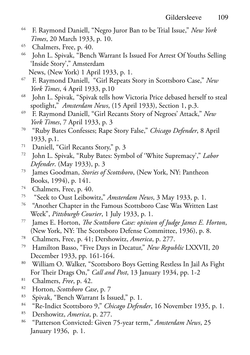- 64 F. Raymond Daniell, "Negro Juror Ban to be Trial Issue," *New York Times*, 20 March 1933, p. 10.
- 65 Chalmers, Free, p. 40.
- 66 John L. Spivak, "Bench Warrant Is Issued For Arrest Of Youths Selling 'Inside Story'," Amsterdam
	- News, (New York) 1 April 1933, p. 1.
- 67 F. Raymond Daniell, "Girl Repeats Story in Scottsboro Case," *New York Times*, 4 April 1933, p.10
- <sup>68</sup> John L. Spivak, "Spivak tells how Victoria Price debased herself to steal spotlight," *Amsterdam News*, (15 April 1933), Section 1, p.3.
- 69 F. Raymond Daniell, "Girl Recants Story of Negroes' Attack," *New York Times*, 7 April 1933, p. 3
- 70 "Ruby Bates Confesses; Rape Story False," *Chicago Defender*, 8 April 1933, p.1.
- 71 Daniell, "Girl Recants Story," p. 3
- 72 John L. Spivak, "Ruby Bates: Symbol of 'White Supremacy'," *Labor Defender*. (May 1933), p. 3
- 73 James Goodman, *Stories of Scottsboro*, (New York, NY: Pantheon Books, 1994), p. 141.<br><sup>74</sup> Chalmers, Free, p. 40
- Chalmers, Free, p. 40.
- 75 "Seek to Oust Leibowitz," *Amsterdam News*, 3 May 1933, p. 1.
- 76 "Another Chapter in the Famous Scottsboro Case Was Written Last Week", *Pittsburgh Courier*, 1 July 1933, p. 1.
- 77 James E. Horton, *The Scottsboro Case: opinion of Judge James E. Horton*, (New York, NY: The Scottsboro Defense Committee, 1936), p. 8.
- 78 Chalmers, Free, p. 41; Dershowitz, *America*, p. 277.
- 79 Hamilton Basso, "Five Days in Decatur," *New Republic* LXXVII, 20 December 1933, pp. 161-164.
- 80 William O. Walker, "Scottsboro Boys Getting Restless In Jail As Fight For Their Drags On," *Call and Post*, 13 January 1934, pp. 1-2
- 81 Chalmers, *Free*, p. 42.
- 82 Horton, *Scottsboro Case*, p. 7
- 83 Spivak, "Bench Warrant Is Issued," p. 1.
- 84 "Re-Indict Scottsboro 9," *Chicago Defender*, 16 November 1935, p. 1.
- 85 Dershowitz, *America*, p. 277.
- 86 "Patterson Convicted: Given 75-year term," *Amsterdam News*, 25 January 1936, p. 1.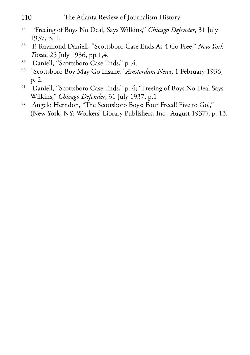#### 110 The Atlanta Review of Journalism History

- 87 "Freeing of Boys No Deal, Says Wilkins," *Chicago Defender*, 31 July 1937, p. 1.
- 88 F. Raymond Daniell, "Scottsboro Case Ends As 4 Go Free," *New York Times*, 25 July 1936, pp.1,4.
- 89 Daniell, "Scottsboro Case Ends," p ,4.
- <sup>90</sup> "Scottsboro Boy May Go Insane," *Amsterdam News*, 1 February 1936, p. 2.
- <sup>91</sup> Daniell, "Scottsboro Case Ends," p. 4; "Freeing of Boys No Deal Says Wilkins," *Chicago Defender*, 31 July 1937, p.1
- <sup>92</sup> Angelo Herndon, "The Scottsboro Boys: Four Freed! Five to Go!," (New York, NY: Workers' Library Publishers, Inc., August 1937), p. 13.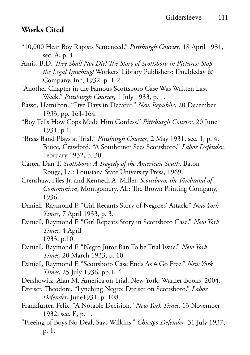# **Works Cited**

- "10,000 Hear Boy Rapists Sentenced." *Pittsburgh Courier*, 18 April 1931, sec. A, p. 1.
- Amis, B.D. *They Shall Not Die! The Story of Scottsboro in Pictures: Stop the Legal Lynching!* Workers' Library Publishers: Doubleday & Company, Inc, 1932, p. 1-2.
- "Another Chapter in the Famous Scottsboro Case Was Written Last Week." *Pittsburgh Courier*, 1 July 1933, p. 1.
- Basso, Hamilton. "Five Days in Decatur." *New Republic*, 20 December 1933, pp. 161-164.
- "Boy Tells How Cops Made Him Confess." *Pittsburgh Courier*, 20 June 1931, p.1.
- "Brass Band Plays at Trial." *Pittsburgh Courier*, 2 May 1931, sec. 1, p. 4. Bruce, Crawford. "A Southerner Sees Scottsboro." *Labor Defender*, February 1932, p. 30.
- Carter, Dan T. *Scottsboro: A Tragedy of the American South*. Baton Rouge, La.: Louisiana State University Press, 1969.
- Crenshaw, Files Jr. and Kenneth A. Miller. *Scottsboro, the Firebrand of Communism*, Montgomery, AL: The Brown Printing Company, 1936.
- Daniell, Raymond F. "Girl Recants Story of Negroes' Attack." *New York Times*, 7 April 1933, p. 3.
- Daniell, Raymond F. "Girl Repeats Story in Scottsboro Case." *New York Times*, 4 April 1933, p.10.
- Daniell, Raymond F. "Negro Juror Ban To be Trial Issue." *New York Times*, 20 March 1933, p. 10.
- Daniell, Raymond F. "Scottsboro Case Ends As 4 Go Free." *New York Times*, 25 July 1936, pp.1, 4.
- Dershowitz, Alan M. America on Trial. New York: Warner Books, 2004.
- Dreiser, Theodore. "Lynching Negro: Dreiser on Scottsboro." *Labor Defender*, June1931, p. 108.
- Frankfurter, Felix. "A Notable Decision." *New York Times*, 13 November 1932, sec. E, p. 1.
- "Freeing of Boys No Deal, Says Wilkins." *Chicago Defender*, 31 July 1937, p. 1.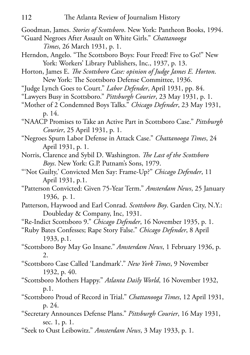- Goodman, James. *Stories of Scottsboro*. New York: Pantheon Books, 1994.
- "Guard Negroes After Assault on White Girls." *Chattanooga Times*, 26 March 1931, p. 1.
- Herndon, Angelo. "The Scottsboro Boys: Four Freed! Five to Go!" New York: Workers' Library Publishers, Inc., 1937, p. 13.
- Horton, James E. *The Scottsboro Case: opinion of Judge James E. Horton*. New York: The Scottsboro Defense Committee, 1936.
- "Judge Lynch Goes to Court." *Labor Defender*, April 1931, pp. 84.
- "Lawyers Busy in Scottsboro." *Pittsburgh Courier*, 23 May 1931, p. 1.
- "Mother of 2 Condemned Boys Talks." *Chicago Defender*, 23 May 1931, p. 14.
- "NAACP Promises to Take an Active Part in Scottsboro Case." *Pittsburgh Courier*, 25 April 1931, p. 1.
- "Negroes Spurn Labor Defense in Attack Case." *Chattanooga Times*, 24 April 1931, p. 1.
- Norris, Clarence and Sybil D. Washington. *The Last of the Scottsboro Boys*. New York: G.P. Putnam's Sons, 1979.
- "'Not Guilty,' Convicted Men Say: Frame-Up?" *Chicago Defender*, 11 April 1931, p.1.
- "Patterson Convicted: Given 75-Year Term." *Amsterdam News*, 25 January 1936, p. 1.
- Patterson, Haywood and Earl Conrad. *Scottsboro Boy*. Garden City, N.Y.: Doubleday & Company, Inc, 1931.
- "Re-Indict Scottsboro 9." *Chicago Defender*, 16 November 1935, p. 1.
- "Ruby Bates Confesses; Rape Story False." *Chicago Defender*, 8 April 1933, p.1.
- "Scottsboro Boy May Go Insane." *Amsterdam News*, 1 February 1936, p. 2.
- "Scottsboro Case Called 'Landmark'." *New York Times*, 9 November 1932, p. 40.
- "Scottsboro Mothers Happy." *Atlanta Daily World*, 16 November 1932, p.1.
- "Scottsboro Proud of Record in Trial." *Chattanooga Times*, 12 April 1931, p. 24.
- "Secretary Announces Defense Plans." *Pittsburgh Courier*, 16 May 1931, sec. 1, p. 1.
- "Seek to Oust Leibowitz." *Amsterdam News*, 3 May 1933, p. 1.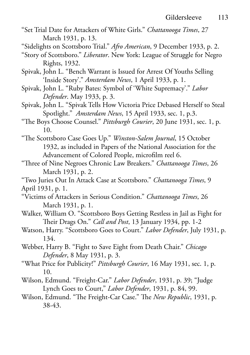- "Set Trial Date for Attackers of White Girls." *Chattanooga Times*, 27 March 1931, p. 13.
- "Sidelights on Scottsboro Trial." *Afro American*, 9 December 1933, p. 2.
- "Story of Scottsboro." *Liberator*. New York: League of Struggle for Negro Rights, 1932.

Spivak, John L. "Bench Warrant is Issued for Arrest Of Youths Selling 'Inside Story'." *Amsterdam News*, 1 April 1933, p. 1.

- Spivak, John L. "Ruby Bates: Symbol of 'White Supremacy'." *Labor Defender*. May 1933, p. 3.
- Spivak, John L. "Spivak Tells How Victoria Price Debased Herself to Steal Spotlight." *Amsterdam News*, 15 April 1933, sec. 1, p.3.
- "The Boys Choose Counsel." *Pittsburgh Courier*, 20 June 1931, sec. 1, p. 10.
- "The Scottsboro Case Goes Up." *Winston-Salem Journal*, 15 October 1932, as included in Papers of the National Association for the Advancement of Colored People, microfilm reel 6.
- "Three of Nine Negroes Chronic Law Breakers." *Chattanooga Times*, 26 March 1931, p. 2.

"Two Juries Out In Attack Case at Scottsboro." *Chattanooga Times*, 9 April 1931, p. 1.

- "Victims of Attackers in Serious Condition." *Chattanooga Times*, 26 March 1931, p. 1.
- Walker, William O. "Scottsboro Boys Getting Restless in Jail as Fight for Their Drags On." *Call and Post*, 13 January 1934, pp. 1-2
- Watson, Harry. "Scottsboro Goes to Court." *Labor Defender*, July 1931, p. 134.
- Webber, Harry B. "Fight to Save Eight from Death Chair." *Chicago Defender*, 8 May 1931, p. 3.
- "What Price for Publicity!" *Pittsburgh Courier*, 16 May 1931, sec. 1, p. 10.
- Wilson, Edmund. "Freight-Car." *Labor Defender*, 1931, p. 39; "Judge Lynch Goes to Court," *Labor Defender*, 1931, p. 84, 99.
- Wilson, Edmund. "The Freight-Car Case." The *New Republic*, 1931, p. 38-43.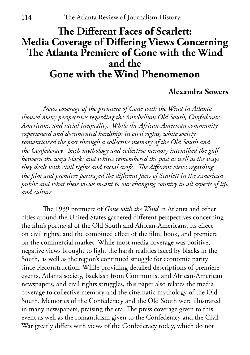# **The Different Faces of Scarlett: Media Coverage of Differing Views Concerning The Atlanta Premiere of Gone with the Wind and the Gone with the Wind Phenomenon**

#### **Alexandra Sowers**

*News coverage of the premiere of Gone with the Wind in Atlanta showed many perspectives regarding the Antebellum Old South, Confederate Americans, and racial inequality. While the African-American community experienced and documented hardships in civil rights, white society romanticized the past through a collective memory of the Old South and the Confederacy. Such mythology and collective memory intensified the gulf between the ways blacks and whites remembered the past as well as the ways they dealt with civil rights and racial strife. The different views regarding the film and premiere portrayed the different faces of Scarlett in the American public and what these views meant to our changing country in all aspects of life and culture.*

The 1939 premiere of *Gone with the Wind* in Atlanta and other cities around the United States garnered different perspectives concerning the film's portrayal of the Old South and African-Americans, its effect on civil rights, and the combined effect of the film, book, and premiere on the commercial market. While most media coverage was positive, negative views brought to light the harsh realities faced by blacks in the South, as well as the region's continued struggle for economic parity since Reconstruction. While providing detailed descriptions of premiere events, Atlanta society, backlash from Communist and African-American newspapers, and civil rights struggles, this paper also relates the media coverage to collective memory and the cinematic mythology of the Old South. Memories of the Confederacy and the Old South were illustrated in many newspapers, praising the era. The press coverage given to this event as well as the romanticism given to the Confederacy and the Civil War greatly differs with views of the Confederacy today, which do not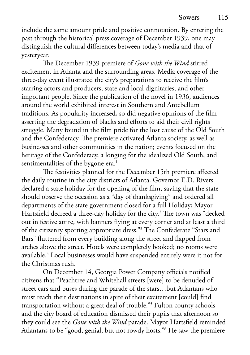include the same amount pride and positive connotation. By entering the past through the historical press coverage of December 1939, one may distinguish the cultural differences between today's media and that of yesteryear.

The December 1939 premiere of *Gone with the Wind* stirred excitement in Atlanta and the surrounding areas. Media coverage of the three-day event illustrated the city's preparations to receive the film's starring actors and producers, state and local dignitaries, and other important people. Since the publication of the novel in 1936, audiences around the world exhibited interest in Southern and Antebellum traditions. As popularity increased, so did negative opinions of the film asserting the degradation of blacks and efforts to aid their civil rights struggle. Many found in the film pride for the lost cause of the Old South and the Confederacy. The premiere activated Atlanta society, as well as businesses and other communities in the nation; events focused on the heritage of the Confederacy, a longing for the idealized Old South, and sentimentalities of the bygone era.<sup>1</sup>

The festivities planned for the December 15th premiere affected the daily routine in the city districts of Atlanta. Governor E.D. Rivers declared a state holiday for the opening of the film, saying that the state should observe the occasion as a "day of thanksgiving" and ordered all departments of the state government closed for a full Holiday; Mayor Hartsfield decreed a three-day holiday for the city.<sup>2</sup> The town was "decked out in festive attire, with banners flying at every corner and at least a third of the citizenry sporting appropriate dress."3 The Confederate "Stars and Bars" fluttered from every building along the street and flapped from arches above the street. Hotels were completely booked; no rooms were available.4 Local businesses would have suspended entirely were it not for the Christmas rush.

On December 14, Georgia Power Company officials notified citizens that "Peachtree and Whitehall streets [were] to be denuded of street cars and buses during the parade of the stars…but Atlantans who must reach their destinations in spite of their excitement [could] find transportation without a great deal of trouble."5 Fulton county schools and the city board of education dismissed their pupils that afternoon so they could see the *Gone with the Wind* parade. Mayor Hartsfield reminded Atlantans to be "good, genial, but not rowdy hosts."6 He saw the premiere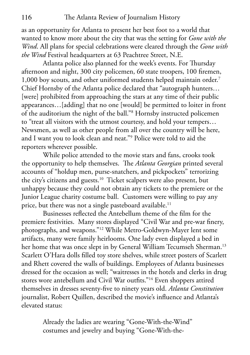as an opportunity for Atlanta to present her best foot to a world that wanted to know more about the city that was the setting for *Gone with the Wind*. All plans for special celebrations were cleared through the *Gone with the Wind* Festival headquarters at 63 Peachtree Street, N.E.

Atlanta police also planned for the week's events. For Thursday afternoon and night, 300 city policemen, 60 state troopers, 100 firemen, 1,000 boy scouts, and other uniformed students helped maintain order.7 Chief Hornsby of the Atlanta police declared that "autograph hunters… [were] prohibited from approaching the stars at any time of their public appearances…[adding] that no one [would] be permitted to loiter in front of the auditorium the night of the ball."8 Hornsby instructed policemen to "treat all visitors with the utmost courtesy, and hold your tempers… Newsmen, as well as other people from all over the country will be here, and I want you to look clean and neat."9 Police were told to aid the reporters wherever possible.

While police attended to the movie stars and fans, crooks took the opportunity to help themselves. The *Atlanta Georgian* printed several accounts of "holdup men, purse-snatchers, and pickpockets" terrorizing the city's citizens and guests.10 Ticket scalpers were also present, but unhappy because they could not obtain any tickets to the premiere or the Junior League charity costume ball. Customers were willing to pay any price, but there was not a single pasteboard available.<sup>11</sup>

Businesses reflected the Antebellum theme of the film for the premiere festivities. Many stores displayed "Civil War and pre-war finery, photographs, and weapons."12 While Metro-Goldwyn-Mayer lent some artifacts, many were family heirlooms. One lady even displayed a bed in her home that was once slept in by General William Tecumseh Sherman.<sup>13</sup> Scarlett O'Hara dolls filled toy store shelves, while street posters of Scarlett and Rhett covered the walls of buildings. Employees of Atlanta businesses dressed for the occasion as well; "waitresses in the hotels and clerks in drug stores wore antebellum and Civil War outfits."14 Even shoppers attired themselves in dresses seventy-five to ninety years old. *Atlanta Constitution* journalist, Robert Quillen, described the movie's influence and Atlanta's elevated status:

> Already the ladies are wearing "Gone-With-the-Wind" costumes and jewelry and buying "Gone-With-the-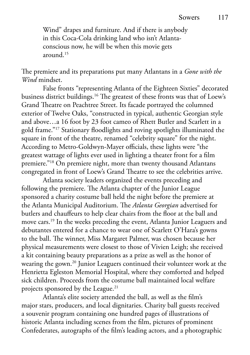Wind" drapes and furniture. And if there is anybody in this Coca-Cola drinking land who isn't Atlantaconscious now, he will be when this movie gets around.15

The premiere and its preparations put many Atlantans in a *Gone with the Wind* mindset.

False fronts "representing Atlanta of the Eighteen Sixties" decorated business district buildings.16 The greatest of these fronts was that of Loew's Grand Theatre on Peachtree Street. Its facade portrayed the columned exterior of Twelve Oaks, "constructed in typical, authentic Georgian style and above…a 16 foot by 23 foot cameo of Rhett Butler and Scarlett in a gold frame."17 Stationary floodlights and roving spotlights illuminated the square in front of the theatre, renamed "celebrity square" for the night. According to Metro-Goldwyn-Mayer officials, these lights were "the greatest wattage of lights ever used in lighting a theater front for a film premiere."18 On premiere night, more than twenty thousand Atlantans congregated in front of Loew's Grand Theatre to see the celebrities arrive.

Atlanta society leaders organized the events preceding and following the premiere. The Atlanta chapter of the Junior League sponsored a charity costume ball held the night before the premiere at the Atlanta Municipal Auditorium. The *Atlanta Georgian* advertised for butlers and chauffeurs to help clear chairs from the floor at the ball and move cars.19 In the weeks preceding the event, Atlanta Junior Leaguers and debutantes entered for a chance to wear one of Scarlett O'Hara's gowns to the ball. The winner, Miss Margaret Palmer, was chosen because her physical measurements were closest to those of Vivien Leigh; she received a kit containing beauty preparations as a prize as well as the honor of wearing the gown.20 Junior Leaguers continued their volunteer work at the Henrietta Egleston Memorial Hospital, where they comforted and helped sick children. Proceeds from the costume ball maintained local welfare projects sponsored by the League.<sup>21</sup>

Atlanta's elite society attended the ball, as well as the film's major stars, producers, and local dignitaries. Charity ball guests received a souvenir program containing one hundred pages of illustrations of historic Atlanta including scenes from the film, pictures of prominent Confederates, autographs of the film's leading actors, and a photographic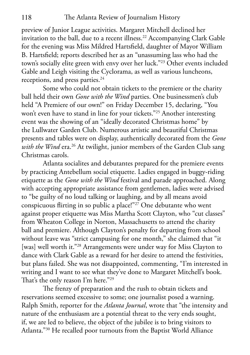preview of Junior League activities. Margaret Mitchell declined her invitation to the ball, due to a recent illness.<sup>22</sup> Accompanying Clark Gable for the evening was Miss Mildred Hartsfield, daughter of Mayor William B. Hartsfield; reports described her as an "unassuming lass who had the town's socially elite green with envy over her luck."23 Other events included Gable and Leigh visiting the Cyclorama, as well as various luncheons, receptions, and press parties.<sup>24</sup>

Some who could not obtain tickets to the premiere or the charity ball held their own *Gone with the Wind* parties. One businessmen's club held "A Premiere of our own!" on Friday December 15, declaring, "You won't even have to stand in line for your tickets."<sup>25</sup> Another interesting event was the showing of an "ideally decorated Christmas home" by the Lullwater Garden Club. Numerous artistic and beautiful Christmas presents and tables were on display, authentically decorated from the *Gone with the Wind* era.<sup>26</sup> At twilight, junior members of the Garden Club sang Christmas carols.

Atlanta socialites and debutantes prepared for the premiere events by practicing Antebellum social etiquette. Ladies engaged in buggy-riding etiquette as the *Gone with the Wind* festival and parade approached. Along with accepting appropriate assistance from gentlemen, ladies were advised to "be guilty of no loud talking or laughing, and by all means avoid conspicuous flirting in so public a place!"27 One debutante who went against proper etiquette was Miss Martha Scott Clayton, who "cut classes" from Wheaton College in Norton, Massachusetts to attend the charity ball and premiere. Although Clayton's penalty for departing from school without leave was "strict campusing for one month," she claimed that "it [was] well worth it."<sup>28</sup> Arrangements were under way for Miss Clayton to dance with Clark Gable as a reward for her desire to attend the festivities, but plans failed. She was not disappointed, commenting, "I'm interested in writing and I want to see what they've done to Margaret Mitchell's book. That's the only reason I'm here."29

The frenzy of preparation and the rush to obtain tickets and reservations seemed excessive to some; one journalist posed a warning. Ralph Smith, reporter for the *Atlanta Journal*, wrote that "the intensity and nature of the enthusiasm are a potential threat to the very ends sought, if, we are led to believe, the object of the jubilee is to bring visitors to Atlanta."30 He recalled poor turnouts from the Baptist World Alliance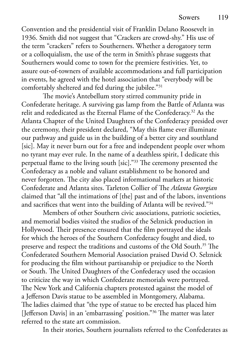Convention and the presidential visit of Franklin Delano Roosevelt in 1936. Smith did not suggest that "Crackers are crowd-shy." His use of the term "crackers" refers to Southerners. Whether a derogatory term or a colloquialism, the use of the term in Smith's phrase suggests that Southerners would come to town for the premiere festivities. Yet, to assure out-of-towners of available accommodations and full participation in events, he agreed with the hotel association that "everybody will be comfortably sheltered and fed during the jubilee."31

The movie's Antebellum story stirred community pride in Confederate heritage. A surviving gas lamp from the Battle of Atlanta was relit and rededicated as the Eternal Flame of the Confederacy.32 As the Atlanta Chapter of the United Daughters of the Confederacy presided over the ceremony, their president declared, "May this flame ever illuminate our pathway and guide us in the building of a better city and southland [sic]. May it never burn out for a free and independent people over whom no tyrant may ever rule. In the name of a deathless spirit, I dedicate this perpetual flame to the living south [sic]."33 The ceremony presented the Confederacy as a noble and valiant establishment to be honored and never forgotten. The city also placed informational markers at historic Confederate and Atlanta sites. Tarleton Collier of The *Atlanta Georgian*  claimed that "all the intimations of [the] past and of the labors, inventions and sacrifices that went into the building of Atlanta will be revived."34

Members of other Southern civic associations, patriotic societies, and memorial bodies visited the studios of the Selznick production in Hollywood. Their presence ensured that the film portrayed the ideals for which the heroes of the Southern Confederacy fought and died, to preserve and respect the traditions and customs of the Old South.<sup>35</sup> The Confederated Southern Memorial Association praised David O. Selznick for producing the film without partisanship or prejudice to the North or South. The United Daughters of the Confederacy used the occasion to criticize the way in which Confederate memorials were portrayed. The New York and California chapters protested against the model of a Jefferson Davis statue to be assembled in Montgomery, Alabama. The ladies claimed that "the type of statue to be erected has placed him [Jefferson Davis] in an 'embarrassing' position."<sup>36</sup> The matter was later referred to the state art commission.

In their stories, Southern journalists referred to the Confederates as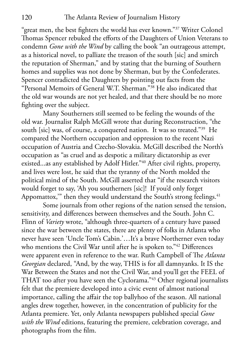"great men, the best fighters the world has ever known."37 Writer Colonel Thomas Spencer rebuked the efforts of the Daughters of Union Veterans to condemn *Gone with the Wind* by calling the book "an outrageous attempt, as a historical novel, to palliate the treason of the south [sic] and smirch the reputation of Sherman," and by stating that the burning of Southern homes and supplies was not done by Sherman, but by the Confederates. Spencer contradicted the Daughters by pointing out facts from the "Personal Memoirs of General W.T. Sherman."38 He also indicated that the old war wounds are not yet healed, and that there should be no more fighting over the subject.

Many Southerners still seemed to be feeling the wounds of the old war. Journalist Ralph McGill wrote that during Reconstruction, "the south [sic] was, of course, a conquered nation. It was so treated."<sup>39</sup> He compared the Northern occupation and oppression to the recent Nazi occupation of Austria and Czecho-Slovakia. McGill described the North's occupation as "as cruel and as despotic a military dictatorship as ever existed...as any established by Adolf Hitler."40 After civil rights, property, and lives were lost, he said that the tyranny of the North molded the political mind of the South. McGill asserted that "if the research visitors would forget to say, 'Ah you southerners [sic]! If you'd only forget Appomattox," then they would understand the South's strong feelings.<sup>41</sup>

Some journals from other regions of the nation sensed the tension, sensitivity, and differences between themselves and the South. John C. Flinn of *Variety* wrote, "although three-quarters of a century have passed since the war between the states, there are plenty of folks in Atlanta who never have seen 'Uncle Tom's Cabin.'…It's a brave Northerner even today who mentions the Civil War until after he is spoken to."42 Differences were apparent even in reference to the war. Ruth Campbell of The *Atlanta Georgian* declared, "And, by the way, THIS is for all damnyanks. It IS the War Between the States and not the Civil War, and you'll get the FEEL of THAT too after you have seen the Cyclorama."<sup>43</sup> Other regional journalists felt that the premiere developed into a civic event of almost national importance, calling the affair the top ballyhoo of the season. All national angles drew together, however, in the concentration of publicity for the Atlanta premiere. Yet, only Atlanta newspapers published special *Gone with the Wind* editions, featuring the premiere, celebration coverage, and photographs from the film.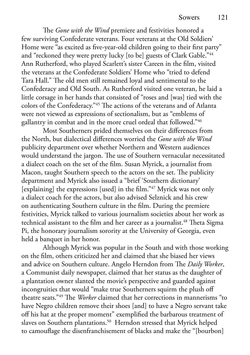The *Gone with the Wind* premiere and festivities honored a few surviving Confederate veterans. Four veterans at the Old Soldiers' Home were "as excited as five-year-old children going to their first party" and "reckoned they were pretty lucky [to be] guests of Clark Gable."<sup>44</sup> Ann Rutherford, who played Scarlett's sister Careen in the film, visited the veterans at the Confederate Soldiers' Home who "tried to defend Tara Hall." The old men still remained loyal and sentimental to the Confederacy and Old South. As Rutherford visited one veteran, he laid a little corsage in her hands that consisted of "roses and [was] tied with the colors of the Confederacy."45 The actions of the veterans and of Atlanta were not viewed as expressions of sectionalism, but as "emblems of gallantry in combat and in the more cruel ordeal that followed."46

Most Southerners prided themselves on their differences from the North, but dialectical differences worried the *Gone with the Wind* publicity department over whether Northern and Western audiences would understand the jargon. The use of Southern vernacular necessitated a dialect coach on the set of the film. Susan Myrick, a journalist from Macon, taught Southern speech to the actors on the set. The publicity department and Myrick also issued a "brief 'Southern dictionary' [explaining] the expressions [used] in the film."47 Myrick was not only a dialect coach for the actors, but also advised Selznick and his crew on authenticating Southern culture in the film. During the premiere festivities, Myrick talked to various journalism societies about her work as technical assistant to the film and her career as a journalist.<sup>48</sup> Theta Sigma Pi, the honorary journalism sorority at the University of Georgia, even held a banquet in her honor.

Although Myrick was popular in the South and with those working on the film, others criticized her and claimed that she biased her views and advice on Southern culture. Angelo Herndon from The *Daily Worker*, a Communist daily newspaper, claimed that her status as the daughter of a plantation owner slanted the movie's perspective and guarded against incongruities that would "make true Southerners squirm the plush off theatre seats."49 The *Worker* claimed that her corrections in mannerisms "to have Negro children remove their shoes [and] to have a Negro servant take off his hat at the proper moment" exemplified the barbarous treatment of slaves on Southern plantations.<sup>50</sup> Herndon stressed that Myrick helped to camouflage the disenfranchisement of blacks and make the "[bourbon]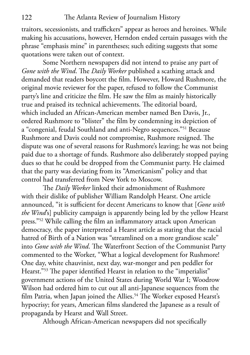traitors, secessionists, and traffickers" appear as heroes and heroines. While making his accusations, however, Herndon ended certain passages with the phrase "emphasis mine" in parentheses; such editing suggests that some quotations were taken out of context.

Some Northern newspapers did not intend to praise any part of *Gone with the Wind*. The *Daily Worker* published a scathing attack and demanded that readers boycott the film. However, Howard Rushmore, the original movie reviewer for the paper, refused to follow the Communist party's line and criticize the film. He saw the film as mainly historically true and praised its technical achievements. The editorial board, which included an African-American member named Ben Davis, Jr., ordered Rushmore to "blister" the film by condemning its depiction of a "congenial, feudal Southland and anti-Negro sequences."51 Because Rushmore and Davis could not compromise, Rushmore resigned. The dispute was one of several reasons for Rushmore's leaving; he was not being paid due to a shortage of funds. Rushmore also deliberately stopped paying dues so that he could be dropped from the Communist party. He claimed that the party was deviating from its "Americanism" policy and that control had transferred from New York to Moscow.

The *Daily Worker* linked their admonishment of Rushmore with their dislike of publisher William Randolph Hearst. One article announced, "it is sufficient for decent Americans to know that [*Gone with the Wind*'s] publicity campaign is apparently being led by the yellow Hearst press."52 While calling the film an inflammatory attack upon American democracy, the paper interpreted a Hearst article as stating that the racial hatred of Birth of a Nation was "streamlined on a more grandiose scale" into *Gone with the Wind*. The Waterfront Section of the Communist Party commented to the Worker, "What a logical development for Rushmore! One day, white chauvinist, next day, war-monger and pen peddler for Hearst."<sup>53</sup> The paper identified Hearst in relation to the "imperialist" government actions of the United States during World War I; Woodrow Wilson had ordered him to cut out all anti-Japanese sequences from the film Patria, when Japan joined the Allies.<sup>54</sup> The Worker exposed Hearst's hypocrisy; for years, American films slandered the Japanese as a result of propaganda by Hearst and Wall Street.

Although African-American newspapers did not specifically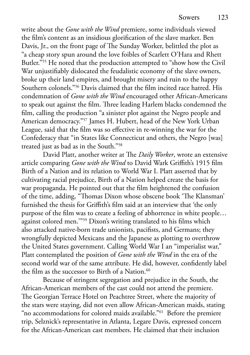write about the *Gone with the Wind* premiere, some individuals viewed the film's content as an insidious glorification of the slave market. Ben Davis, Jr., on the front page of The Sunday Worker, belittled the plot as "a cheap story spun around the love foibles of Scarlett O'Hara and Rhett Butler."55 He noted that the production attempted to "show how the Civil War unjustifiably dislocated the feudalistic economy of the slave owners, broke up their land empires, and brought misery and ruin to the happy Southern colonels."56 Davis claimed that the film incited race hatred. His condemnation of *Gone with the Wind* encouraged other African-Americans to speak out against the film. Three leading Harlem blacks condemned the film, calling the production "a sinister plot against the Negro people and American democracy."57 James H. Hubert, head of the New York Urban League, said that the film was so effective in re-winning the war for the Confederacy that "in States like Connecticut and others, the Negro [was] treated just as bad as in the South."58

David Platt, another writer at The *Daily Worker*, wrote an extensive article comparing *Gone with the Wind* to David Wark Griffith's 1915 film Birth of a Nation and its relation to World War I. Platt asserted that by cultivating racial prejudice, Birth of a Nation helped create the basis for war propaganda. He pointed out that the film heightened the confusion of the time, adding, "Thomas Dixon whose obscene book 'The Klansman' furnished the thesis for Griffith's film said at an interview that 'the only purpose of the film was to create a feeling of abhorrence in white people… against colored men.'"59 Dixon's writing translated to his films which also attacked native-born trade unionists, pacifists, and Germans; they wrongfully depicted Mexicans and the Japanese as plotting to overthrow the United States government. Calling World War I an "imperialist war," Platt contemplated the position of *Gone with the Wind* in the era of the second world war of the same attribute. He did, however, confidently label the film as the successor to Birth of a Nation.<sup>60</sup>

Because of stringent segregation and prejudice in the South, the African-American members of the cast could not attend the premiere. The Georgian Terrace Hotel on Peachtree Street, where the majority of the stars were staying, did not even allow African-American maids, stating "no accommodations for colored maids available."61 Before the premiere trip, Selznick's representative in Atlanta, Legare Davis, expressed concern for the African-American cast members. He claimed that their inclusion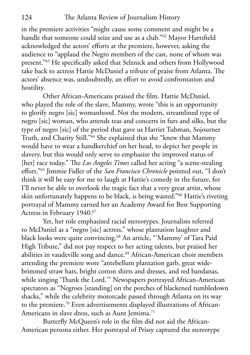in the premiere activities "might cause some comment and might be a handle that someone could seize and use as a club."62 Mayor Hartsfield acknowledged the actors' efforts at the premiere, however, asking the audience to "applaud the Negro members of the cast, none of whom was present."63 He specifically asked that Selznick and others from Hollywood take back to actress Hattie McDaniel a tribute of praise from Atlanta. The actors' absence was, undoubtedly, an effort to avoid confrontation and hostility.

Other African-Americans praised the film. Hattie McDaniel, who played the role of the slave, Mammy, wrote "this is an opportunity to glorify negro [sic] womanhood. Not the modern, streamlined type of negro [sic] woman, who attends teas and concerts in furs and silks, but the type of negro [sic] of the period that gave us Harriet Tubman, Sojourner Truth, and Charity Still."64 She explained that she "knew that Mammy would have to wear a handkerchief on her head, to depict her people in slavery, but this would only serve to emphasize the improved status of [her] race today." The *Los Angeles Times* called her acting "a scene-stealing effort."65 Jimmie Fidler of the *San Francisco Chronicle* pointed out, "I don't think it will be easy for me to laugh at Hattie's comedy in the future, for I'll never be able to overlook the tragic fact that a very great artist, whose skin unfortunately happens to be black, is being wasted."66 Hattie's riveting portrayal of Mammy earned her an Academy Award for Best Supporting Actress in February 1940.<sup>67</sup>

Yet, her role emphasized racial stereotypes. Journalists referred to McDaniel as a "negro [sic] actress," whose plantation laughter and black looks were quite convincing.68 An article, "'Mammy' of Tara Paid High Tribute," did not pay respect to her acting talents, but praised her abilities in vaudeville song and dance.<sup>69</sup> African-American choir members attending the premiere wore "antebellum plantation garb, great widebrimmed straw hats, bright cotton shirts and dresses, and red bandanas, while singing 'Thank the Lord.'" Newspapers portrayed African-American spectators as "Negroes [standing] on the porches of blackened tumbledown shacks," while the celebrity motorcade passed through Atlanta on its way to the premiere.70 Even advertisements displayed illustrations of African-Americans in slave dress, such as Aunt Jemima.<sup>71</sup>

Butterfly McQueen's role in the film did not aid the African-American persona either. Her portrayal of Prissy captured the stereotype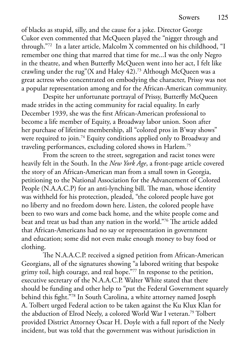of blacks as stupid, silly, and the cause for a joke. Director George Cukor even commented that McQueen played the "nigger through and through."72 In a later article, Malcolm X commented on his childhood, "I remember one thing that marred that time for me...I was the only Negro in the theatre, and when Butterfly McQueen went into her act, I felt like crawling under the rug"(X and Haley  $42$ ).<sup>73</sup> Although McQueen was a great actress who concentrated on embodying the character, Prissy was not a popular representation among and for the African-American community.

Despite her unfortunate portrayal of Prissy, Butterfly McQueen made strides in the acting community for racial equality. In early December 1939, she was the first African-American professional to become a life member of Equity, a Broadway labor union. Soon after her purchase of lifetime membership, all "colored pros in B'way shows" were required to join.<sup>74</sup> Equity conditions applied only to Broadway and traveling performances, excluding colored shows in Harlem.75

From the screen to the street, segregation and racist tones were heavily felt in the South. In the *New York Age*, a front-page article covered the story of an African-American man from a small town in Georgia, petitioning to the National Association for the Advancement of Colored People (N.A.A.C.P) for an anti-lynching bill. The man, whose identity was withheld for his protection, pleaded, "the colored people have got no liberty and no freedom down here. Listen, the colored people have been to two wars and come back home, and the white people come and beat and treat us bad than any nation in the world."76 The article added that African-Americans had no say or representation in government and education; some did not even make enough money to buy food or clothing.

The N.A.A.C.P. received a signed petition from African-American Georgians, all of the signatures showing "a labored writing that bespoke grimy toil, high courage, and real hope."77 In response to the petition, executive secretary of the N.A.A.C.P. Walter White stated that there should be funding and other help to "put the Federal Government squarely behind this fight."78 In South Carolina, a white attorney named Joseph A. Tolbert urged Federal action to be taken against the Ku Klux Klan for the abduction of Elrod Neely, a colored World War I veteran.79 Tolbert provided District Attorney Oscar H. Doyle with a full report of the Neely incident, but was told that the government was without jurisdiction in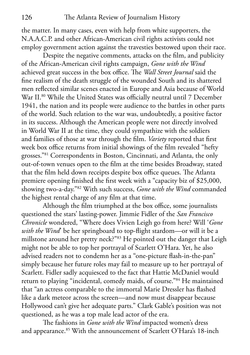the matter. In many cases, even with help from white supporters, the N.A.A.C.P. and other African-American civil rights activists could not employ government action against the travesties bestowed upon their race.

Despite the negative comments, attacks on the film, and publicity of the African-American civil rights campaign, *Gone with the Wind* achieved great success in the box office. The *Wall Street Journal* said the fine realism of the death struggle of the wounded South and its shattered men reflected similar scenes enacted in Europe and Asia because of World War II.<sup>80</sup> While the United States was officially neutral until 7 December 1941, the nation and its people were audience to the battles in other parts of the world. Such relation to the war was, undoubtedly, a positive factor in its success. Although the American people were not directly involved in World War II at the time, they could sympathize with the soldiers and families of those at war through the film. *Variety* reported that first week box office returns from initial showings of the film revealed "hefty grosses."81 Correspondents in Boston, Cincinnati, and Atlanta, the only out-of-town venues open to the film at the time besides Broadway, stated that the film held down receipts despite box office queues. The Atlanta premiere opening finished the first week with a "capacity biz of \$25,000, showing two-a-day."82 With such success, *Gone with the Wind* commanded the highest rental charge of any film at that time.

Although the film triumphed at the box office, some journalists questioned the stars' lasting-power. Jimmie Fidler of the *San Francisco Chronicle* wondered, "Where does Vivien Leigh go from here? Will '*Gone with the Wind*' be her springboard to top-flight stardom—or will it be a millstone around her pretty neck?"83 He pointed out the danger that Leigh might not be able to top her portrayal of Scarlett O'Hara. Yet, he also advised readers not to condemn her as a "one-picture flash-in-the-pan" simply because her future roles may fail to measure up to her portrayal of Scarlett. Fidler sadly acquiesced to the fact that Hattie McDaniel would return to playing "incidental, comedy maids, of course."84 He maintained that "an actress comparable to the immortal Marie Dressler has flashed like a dark meteor across the screen—and now must disappear because Hollywood can't give her adequate parts." Clark Gable's position was not questioned, as he was a top male lead actor of the era.

The fashions in *Gone with the Wind* impacted women's dress and appearance.<sup>85</sup> With the announcement of Scarlett O'Hara's 18-inch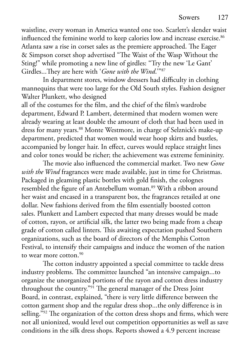waistline, every woman in America wanted one too. Scarlett's slender waist influenced the feminine world to keep calories low and increase exercise.<sup>86</sup> Atlanta saw a rise in corset sales as the premiere approached. The Eager & Simpson corset shop advertised "The Waist of the Wasp Without the Sting!" while promoting a new line of girdles: "Try the new 'Le Gant' Girdles...They are here with '*Gone with the Wind*.'"87

In department stores, window dressers had difficulty in clothing mannequins that were too large for the Old South styles. Fashion designer Walter Plunkett, who designed

all of the costumes for the film, and the chief of the film's wardrobe department, Edward P. Lambert, determined that modern women were already wearing at least double the amount of cloth that had been used in dress for many years.<sup>88</sup> Monte Westmore, in charge of Selznick's make-up department, predicted that women would wear hoop skirts and bustles, accompanied by longer hair. In effect, curves would replace straight lines and color tones would be richer; the achievement was extreme femininity.

The movie also influenced the commercial market. Two new *Gone with the Wind* fragrances were made available, just in time for Christmas. Packaged in gleaming plastic bottles with gold finish, the colognes resembled the figure of an Antebellum woman.<sup>89</sup> With a ribbon around her waist and encased in a transparent box, the fragrances retailed at one dollar. New fashions derived from the film essentially boosted cotton sales. Plunkett and Lambert expected that many dresses would be made of cotton, rayon, or artificial silk, the latter two being made from a cheap grade of cotton called linters. This awaiting expectation pushed Southern organizations, such as the board of directors of the Memphis Cotton Festival, to intensify their campaigns and induce the women of the nation to wear more cotton.<sup>90</sup>

The cotton industry appointed a special committee to tackle dress industry problems. The committee launched "an intensive campaign...to organize the unorganized portions of the rayon and cotton dress industry throughout the country."91 The general manager of the Dress Joint Board, in contrast, explained, "there is very little difference between the cotton garment shop and the regular dress shop...the only difference is in selling."<sup>92</sup> The organization of the cotton dress shops and firms, which were not all unionized, would level out competition opportunities as well as save conditions in the silk dress shops. Reports showed a 4.9 percent increase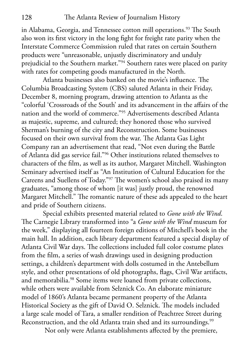in Alabama, Georgia, and Tennessee cotton mill operations.<sup>93</sup> The South also won its first victory in the long fight for freight rate parity when the Interstate Commerce Commission ruled that rates on certain Southern products were "unreasonable, unjustly discriminatory and unduly prejudicial to the Southern market."94 Southern rates were placed on parity with rates for competing goods manufactured in the North.

Atlanta businesses also banked on the movie's influence. The Columbia Broadcasting System (CBS) saluted Atlanta in their Friday, December 8, morning program, drawing attention to Atlanta as the "colorful 'Crossroads of the South' and its advancement in the affairs of the nation and the world of commerce."95 Advertisements described Atlanta as majestic, supreme, and cultured; they honored those who survived Sherman's burning of the city and Reconstruction. Some businesses focused on their own survival from the war. The Atlanta Gas Light Company ran an advertisement that read, "Not even during the Battle of Atlanta did gas service fail."96 Other institutions related themselves to characters of the film, as well as its author, Margaret Mitchell. Washington Seminary advertised itself as "An Institution of Cultural Education for the Careens and Suellens of Today."97 The women's school also praised its many graduates, "among those of whom [it was] justly proud, the renowned Margaret Mitchell." The romantic nature of these ads appealed to the heart and pride of Southern citizens.

Special exhibits presented material related to *Gone with the Wind*. The Carnegie Library transformed into "a *Gone with the Wind* museum for the week," displaying all fourteen foreign editions of Mitchell's book in the main hall. In addition, each library department featured a special display of Atlanta Civil War days. The collections included full color costume plates from the film, a series of wash drawings used in designing production settings, a children's department with dolls costumed in the Antebellum style, and other presentations of old photographs, flags, Civil War artifacts, and memorabilia.<sup>98</sup> Some items were loaned from private collections, while others were available from Selznick Co. An elaborate miniature model of 1860's Atlanta became permanent property of the Atlanta Historical Society as the gift of David O. Selznick. The models included a large scale model of Tara, a smaller rendition of Peachtree Street during Reconstruction, and the old Atlanta train shed and its surroundings.<sup>99</sup>

Not only were Atlanta establishments affected by the premiere,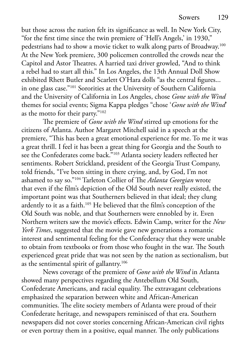but those across the nation felt its significance as well. In New York City, "for the first time since the twin premiere of 'Hell's Angels,' in 1930," pedestrians had to show a movie ticket to walk along parts of Broadway.100 At the New York premiere, 300 policemen controlled the crowds near the Capitol and Astor Theatres. A harried taxi driver growled, "And to think a rebel had to start all this." In Los Angeles, the 13th Annual Doll Show exhibited Rhett Butler and Scarlett O'Hara dolls "as the central figures... in one glass case."101 Sororities at the University of Southern California and the University of California in Los Angeles, chose *Gone with the Wind* themes for social events; Sigma Kappa pledges "chose '*Gone with the Wind*' as the motto for their party."102

The premiere of *Gone with the Wind* stirred up emotions for the citizens of Atlanta. Author Margaret Mitchell said in a speech at the premiere, "This has been a great emotional experience for me. To me it was a great thrill. I feel it has been a great thing for Georgia and the South to see the Confederates come back."<sup>103</sup> Atlanta society leaders reflected her sentiments. Robert Strickland, president of the Georgia Trust Company, told friends, "I've been sitting in there crying, and, by God, I'm not ashamed to say so."104 Tarleton Collier of The *Atlanta Georgian* wrote that even if the film's depiction of the Old South never really existed, the important point was that Southerners believed in that ideal; they clung ardently to it as a faith.105 He believed that the film's conception of the Old South was noble, and that Southerners were ennobled by it. Even Northern writers saw the movie's effects. Edwin Camp, writer for the *New York Times*, suggested that the movie gave new generations a romantic interest and sentimental feeling for the Confederacy that they were unable to obtain from textbooks or from those who fought in the war. The South experienced great pride that was not seen by the nation as sectionalism, but as the sentimental spirit of gallantry.106

News coverage of the premiere of *Gone with the Wind* in Atlanta showed many perspectives regarding the Antebellum Old South, Confederate Americans, and racial equality. The extravagant celebrations emphasized the separation between white and African-American communities. The elite society members of Atlanta were proud of their Confederate heritage, and newspapers reminisced of that era. Southern newspapers did not cover stories concerning African-American civil rights or even portray them in a positive, equal manner. The only publications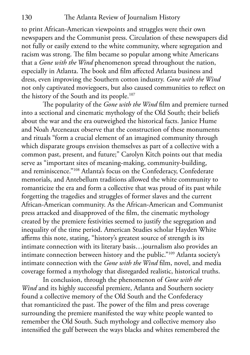to print African-American viewpoints and struggles were their own newspapers and the Communist press. Circulation of these newspapers did not fully or easily extend to the white community, where segregation and racism was strong. The film became so popular among white Americans that a *Gone with the Wind* phenomenon spread throughout the nation, especially in Atlanta. The book and film affected Atlanta business and dress, even improving the Southern cotton industry. *Gone with the Wind* not only captivated moviegoers, but also caused communities to reflect on the history of the South and its people.<sup>107</sup>

The popularity of the *Gone with the Wind* film and premiere turned into a sectional and cinematic mythology of the Old South; their beliefs about the war and the era outweighed the historical facts. Janice Hume and Noah Arceneaux observe that the construction of these monuments and rituals "form a crucial element of an imagined community through which disparate groups envision themselves as part of a collective with a common past, present, and future;" Carolyn Kitch points out that media serve as "important sites of meaning-making, community-building, and reminiscence."108 Atlanta's focus on the Confederacy, Confederate memorials, and Antebellum traditions allowed the white community to romanticize the era and form a collective that was proud of its past while forgetting the tragedies and struggles of former slaves and the current African-American community. As the African-American and Communist press attacked and disapproved of the film, the cinematic mythology created by the premiere festivities seemed to justify the segregation and inequality of the time period. American Studies scholar Hayden White affirms this note, stating, "history's greatest source of strength is its intimate connection with its literary basis…journalism also provides an intimate connection between history and the public."109 Atlanta society's intimate connection with the *Gone with the Wind* film, novel, and media coverage formed a mythology that disregarded realistic, historical truths.

In conclusion, through the phenomenon of *Gone with the Wind* and its highly successful premiere, Atlanta and Southern society found a collective memory of the Old South and the Confederacy that romanticized the past. The power of the film and press coverage surrounding the premiere manifested the way white people wanted to remember the Old South. Such mythology and collective memory also intensified the gulf between the ways blacks and whites remembered the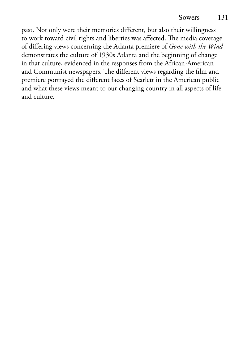past. Not only were their memories different, but also their willingness to work toward civil rights and liberties was affected. The media coverage of differing views concerning the Atlanta premiere of *Gone with the Wind* demonstrates the culture of 1930s Atlanta and the beginning of change in that culture, evidenced in the responses from the African-American and Communist newspapers. The different views regarding the film and premiere portrayed the different faces of Scarlett in the American public and what these views meant to our changing country in all aspects of life and culture.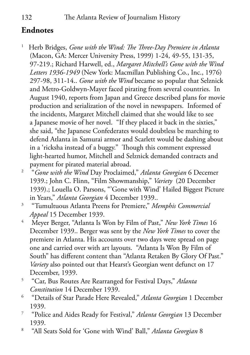132 The Atlanta Review of Journalism History

### **Endnotes**

- 1 Herb Bridges, *Gone with the Wind: The Three-Day Premiere in Atlanta* (Macon, GA: Mercer University Press, 1999) 1-24, 49-55, 131-35, 97-219.; Richard Harwell, ed., *Margaret Mitchell's Gone with the Wind Letters 1936-1949* (New York: Macmillan Publishing Co., Inc., 1976) 297-98, 311-14.. *Gone with the Wind* became so popular that Selznick and Metro-Goldwyn-Mayer faced pirating from several countries. In August 1940, reports from Japan and Greece described plans for movie production and serialization of the novel in newspapers. Informed of the incidents, Margaret Mitchell claimed that she would like to see a Japanese movie of her novel. "If they placed it back in the sixties," she said, "the Japanese Confederates would doubtless be marching to defend Atlanta in Samurai armor and Scarlett would be dashing about in a 'ricksha instead of a buggy." Though this comment expressed light-hearted humor, Mitchell and Selznick demanded contracts and payment for pirated material abroad.
- 2 "*Gone with the Wind* Day Proclaimed," *Atlanta Georgian* 6 Decemer 1939.; John C. Flinn, "Film Showmanship," *Variety* (20 December 1939).; Louella O. Parsons, "'Gone with Wind' Hailed Biggest Picture in Years," *Atlanta Georgian* 4 December 1939..
- 3 "Tumultuous Atlanta Preens for Premiere," *Memphis Commercial Appeal* 15 December 1939.
- 4 Meyer Berger, "Atlanta Is Won by Film of Past," *New York Times* 16 December 1939.. Berger was sent by the *New York Times* to cover the premiere in Atlanta. His accounts over two days were spread on page one and carried over with art layouts. "Atlanta Is Won By Film of South" has different content than "Atlanta Retaken By Glory Of Past." *Variety* also pointed out that Hearst's Georgian went defunct on 17 December, 1939.
- 5 "Car, Bus Routes Are Rearranged for Festival Days," *Atlanta Constitution* 14 December 1939.
- 6 "Details of Star Parade Here Revealed," *Atlanta Georgian* 1 December 1939.
- 7 "Police and Aides Ready for Festival," *Atlanta Georgian* 13 December 1939.
- 8 "All Seats Sold for 'Gone with Wind' Ball," *Atlanta Georgian* 8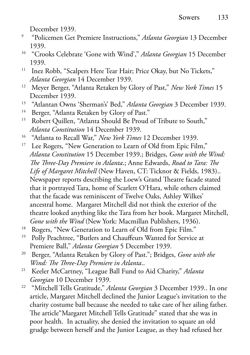December 1939.

- 9 "Policemen Get Premiere Instructions," *Atlanta Georgian* 13 December 1939.
- 10 "Crooks Celebrate 'Gone with Wind'," *Atlanta Georgian* 15 December 1939.
- <sup>11</sup> Inez Robb, "Scalpers Here Tear Hair; Price Okay, but No Tickets," *Atlanta Georgian* 14 December 1939.
- 12 Meyer Berger, "Atlanta Retaken by Glory of Past," *New York Times* 15 December 1939.
- 13 "Atlantan Owns 'Sherman's' Bed," *Atlanta Georgian* 3 December 1939.
- <sup>14</sup> Berger, "Atlanta Retaken by Glory of Past."
- <sup>15</sup> Robert Quillen, "Atlanta Should Be Proud of Tribute to South," *Atlanta Constitution* 14 December 1939.
- 16 "Atlanta to Recall War," *New York Times* 12 December 1939.
- <sup>17</sup> Lee Rogers, "New Generation to Learn of Old from Epic Film," *Atlanta Constitution* 15 December 1939.; Bridges, *Gone with the Wind: The Three-Day Premiere in Atlanta*.; Anne Edwards, *Road to Tara: The Life of Margaret Mitchell* (New Haven, CT: Ticknor & Fields, 1983).. Newspaper reports describing the Loew's Grand Theatre facade stated that it portrayed Tara, home of Scarlett O'Hara, while others claimed that the facade was reminiscent of Twelve Oaks, Ashley Wilkes' ancestral home. Margaret Mitchell did not think the exterior of the theatre looked anything like the Tara from her book. Margaret Mitchell, *Gone with the Wind* (New York: Macmillan Publishers, 1936).
- <sup>18</sup> Rogers, "New Generation to Learn of Old from Epic Film."
- <sup>19</sup> Polly Peachtree, "Butlers and Chauffeurs Wanted for Service at Premiere Ball," *Atlanta Georgian* 5 December 1939.
- 20 Berger, "Atlanta Retaken by Glory of Past."; Bridges, *Gone with the Wind: The Three-Day Premiere in Atlanta*..
- 21 Keeler McCartney, "League Ball Fund to Aid Charity," *Atlanta Georgian* 10 December 1939.
- 22 "Mitchell Tells Gratitude," *Atlanta Georgian* 3 December 1939.. In one article, Margaret Mitchell declined the Junior League's invitation to the charity costume ball because she needed to take care of her ailing father. The article"Margaret Mitchell Tells Gratitude" stated that she was in poor health. In actuality, she denied the invitation to square an old grudge between herself and the Junior League, as they had refused her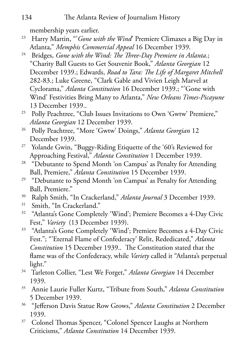membership years earlier.

- <sup>23</sup> Harry Martin, "'*Gone with the Wind*' Premiere Climaxes a Big Day in Atlanta," *Memphis Commercial Appeal* 16 December 1939.
- 24 Bridges, *Gone with the Wind: The Three-Day Premiere in Atlanta*.; "Charity Ball Guests to Get Souvenir Book," *Atlanta Georgian* 12 December 1939.; Edwards, *Road to Tara: The Life of Margaret Mitchell* 282-83.; Luke Greene, "Clark Gable and Vivien Leigh Marvel at Cyclorama," *Atlanta Constitution* 16 December 1939.; "'Gone with Wind' Festivities Bring Many to Atlanta," *New Orleans Times-Picayune* 13 December 1939..
- <sup>25</sup> Polly Peachtree, "Club Issues Invitations to Own 'Gwtw' Premiere," *Atlanta Georgian* 12 December 1939.
- 26 Polly Peachtree, "More 'Gwtw' Doings," *Atlanta Georgian* 12 December 1939.
- <sup>27</sup> Yolande Gwin, "Buggy-Riding Etiquette of the '60's Reviewed for Approaching Festival," *Atlanta Constitution* 1 December 1939.
- <sup>28</sup> "Debutante to Spend Month 'on Campus' as Penalty for Attending Ball, Premiere," *Atlanta Constitution* 15 December 1939.
- 29 "Debutante to Spend Month 'on Campus' as Penalty for Attending Ball, Premiere."
- 30 Ralph Smith, "In Crackerland," *Atlanta Journal* 3 December 1939.
- 31 Smith, "In Crackerland."
- <sup>32</sup> "Atlanta's Gone Completely 'Wind'; Premiere Becomes a 4-Day Civic Fest," *Variety* (13 December 1939).
- 33 "Atlanta's Gone Completely 'Wind'; Premiere Becomes a 4-Day Civic Fest."; "'Eternal Flame of Confederacy' Relit, Rededicated," *Atlanta Constitution* 15 December 1939.. The Constitution stated that the flame was of the Confederacy, while *Variety* called it "Atlanta's perpetual light."
- 34 Tarleton Collier, "Lest We Forget," *Atlanta Georgian* 14 December 1939.
- 35 Annie Laurie Fuller Kurtz, "Tribute from South," *Atlanta Constitution* 5 December 1939.
- 36 "Jefferson Davis Statue Row Grows," *Atlanta Constitution* 2 December 1939.
- <sup>37</sup> Colonel Thomas Spencer, "Colonel Spencer Laughs at Northern Criticisms," *Atlanta Constitution* 14 December 1939.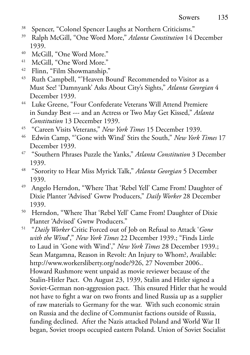- 38 Spencer, "Colonel Spencer Laughs at Northern Criticisms."
- 39 Ralph McGill, "One Word More," *Atlanta Constitution* 14 December 1939.
- 40 McGill, "One Word More."
- 41 McGill, "One Word More."
- 42 Flinn, "Film Showmanship."
- 43 Ruth Campbell, "'Heaven Bound' Recommended to Visitor as a Must See! 'Damnyank' Asks About City's Sights," *Atlanta Georgian* 4 December 1939.
- 44 Luke Greene, "Four Confederate Veterans Will Attend Premiere in Sunday Best --- and an Actress or Two May Get Kissed," *Atlanta Constitution* 13 December 1939.
- 45 "Careen Visits Veterans," *New York Times* 15 December 1939.
- 46 Edwin Camp, "'Gone with Wind' Stirs the South," *New York Times* 17 December 1939.
- 47 "Southern Phrases Puzzle the Yanks," *Atlanta Constitution* 3 December 1939.
- 48 "Sorority to Hear Miss Myrick Talk," *Atlanta Georgian* 5 December 1939.
- 49 Angelo Herndon, "Where That 'Rebel Yell' Came From! Daughter of Dixie Planter 'Advised' Gwtw Producers," *Daily Worker* 28 December 1939.
- 50 Herndon, "Where That 'Rebel Yell' Came From! Daughter of Dixie Planter 'Advised' Gwtw Producers."
- 51 "*Daily Worker* Critic Forced out of Job on Refusal to Attack '*Gone with the Wind*'," *New York Times* 22 December 1939.; "Finds Little to Laud in 'Gone with Wind'," *New York Times* 28 December 1939.; Sean Matgamna, Reason in Revolt: An Injury to Whom?, Available: http://www.workersliberty.org/node/926, 27 November 2006.. Howard Rushmore went unpaid as movie reviewer because of the Stalin-Hitler Pact. On August 23, 1939, Stalin and Hitler signed a Soviet-German non-aggression pact. This ensured Hitler that he would not have to fight a war on two fronts and lined Russia up as a supplier of raw materials to Germany for the war. With such economic strain on Russia and the decline of Communist factions outside of Russia, funding declined. After the Nazis attacked Poland and World War II began, Soviet troops occupied eastern Poland. Union of Soviet Socialist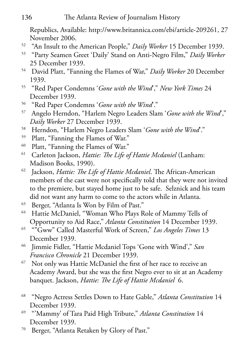Republics, Available: http://www.britannica.com/ebi/article-209261, 27 November 2006.

- 52 "An Insult to the American People," *Daily Worker* 15 December 1939.
- 53 "Party Seamen Greet 'Daily' Stand on Anti-Negro Film," *Daily Worker* 25 December 1939.
- 54 David Platt, "Fanning the Flames of War," *Daily Worker* 20 December 1939.
- 55 "Red Paper Condemns '*Gone with the Wind*'," *New York Times* 24 December 1939.
- 56 "Red Paper Condemns '*Gone with the Wind*'."
- 57 Angelo Herndon, "Harlem Negro Leaders Slam '*Gone with the Wind*'," *Daily Worker* 27 December 1939.
- 58 Herndon, "Harlem Negro Leaders Slam '*Gone with the Wind*'."
- 59 Platt, "Fanning the Flames of War."
- 60 Platt, "Fanning the Flames of War."
- 61 Carleton Jackson, *Hattie: The Life of Hattie Mcdaniel* (Lanham: Madison Books, 1990).
- 62 Jackson, *Hattie: The Life of Hattie Mcdaniel*. The African-American members of the cast were not specifically told that they were not invited to the premiere, but stayed home just to be safe. Selznick and his team did not want any harm to come to the actors while in Atlanta.
- 63 Berger, "Atlanta Is Won by Film of Past."
- 64 Hattie McDaniel, "Woman Who Plays Role of Mammy Tells of Opportunity to Aid Race," *Atlanta Constitution* 14 December 1939.
- 65 ""Gww" Called Masterful Work of Screen," *Los Angeles Times* 13 December 1939.
- 66 Jimmie Fidler, "Hattie Mcdaniel Tops 'Gone with Wind'," *San Francisco Chronicle* 21 December 1939.
- 67 Not only was Hattie McDaniel the first of her race to receive an Academy Award, but she was the first Negro ever to sit at an Academy banquet. Jackson, *Hattie: The Life of Hattie Mcdaniel* 6.
- 68 "Negro Actress Settles Down to Hate Gable," *Atlanta Constitution* 14 December 1939.
- 69 "'Mammy' of Tara Paid High Tribute," *Atlanta Constitution* 14 December 1939.
- 70 Berger, "Atlanta Retaken by Glory of Past."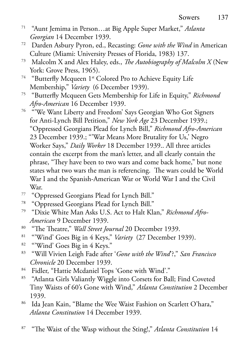- 71 "Aunt Jemima in Person…at Big Apple Super Market," *Atlanta Georgian* 14 December 1939.
- 72 Darden Asbury Pyron, ed., Recasting: *Gone with the Wind* in American Culture (Miami: University Presses of Florida, 1983) 137.
- 73 Malcolm X and Alex Haley, eds., *The Autobiography of Malcolm X* (New York: Grove Press, 1965).
- <sup>74</sup> "Butterfly Mcqueen 1<sup>st</sup> Colored Pro to Achieve Equity Life Membership," *Variety* (6 December 1939).
- 75 "Butterfly Mcqueen Gets Membership for Life in Equity," *Richmond Afro-American* 16 December 1939.
- <sup>76</sup> "We Want Liberty and Freedom' Says Georgian Who Got Signers for Anti-Lynch Bill Petition," *New York Age* 23 December 1939.; "Oppressed Georgians Plead for Lynch Bill," *Richmond Afro-American* 23 December 1939.; "'War Means More Brutality for Us,' Negro Worker Says," *Daily Worker* 18 December 1939.. All three articles contain the excerpt from the man's letter, and all clearly contain the phrase, "They have been to two wars and come back home," but none states what two wars the man is referencing. The wars could be World War I and the Spanish-American War or World War I and the Civil War.
- 77 "Oppressed Georgians Plead for Lynch Bill."
- 78 "Oppressed Georgians Plead for Lynch Bill."
- 79 "Dixie White Man Asks U.S. Act to Halt Klan," *Richmond Afro-American* 9 December 1939.
- 80 "The Theatre," *Wall Street Journal* 20 December 1939.
- 81 "'Wind' Goes Big in 4 Keys," *Variety* (27 December 1939).
- 82 "Wind' Goes Big in 4 Keys."
- 83 "Will Vivien Leigh Fade after '*Gone with the Wind*'?," *San Francisco Chronicle* 20 December 1939.
- 84 Fidler, "Hattie Mcdaniel Tops 'Gone with Wind'."
- 85 "Atlanta Girls Valiantly Wiggle into Corsets for Ball; Find Coveted Tiny Waists of 60's Gone with Wind," *Atlanta Constitution* 2 December 1939.
- <sup>86</sup> Ida Jean Kain, "Blame the Wee Waist Fashion on Scarlett O'hara," *Atlanta Constitution* 14 December 1939.
- 87 "The Waist of the Wasp without the Sting!," *Atlanta Constitution* 14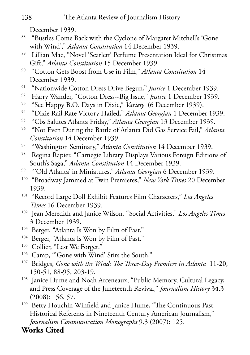December 1939.

- 88 "Bustles Come Back with the Cyclone of Margaret Mitchell's 'Gone with Wind'," *Atlanta Constitution* 14 December 1939.
- 89 Lillian Mae, "Novel 'Scarlett' Perfume Presentation Ideal for Christmas Gift," *Atlanta Constitution* 15 December 1939.
- 90 "Cotton Gets Boost from Use in Film," *Atlanta Constitution* 14 December 1939.
- <sup>91</sup> "Nationwide Cotton Dress Drive Begun," *Justice* 1 December 1939.
- 92 Harry Wander, "Cotton Dress--Big Issue," *Justice* 1 December 1939.
- 93 "See Happy B.O. Days in Dixie," *Variety* (6 December 1939).
- 94 "Dixie Rail Rate Victory Hailed," *Atlanta Georgian* 1 December 1939.
- 95 "Cbs Salutes Atlanta Friday," *Atlanta Georgian* 13 December 1939.
- 96 "Not Even During the Battle of Atlanta Did Gas Service Fail," *Atlanta Constitution* 14 December 1939.
- 97 "Washington Seminary," *Atlanta Constitution* 14 December 1939.
- 98 Regina Rapier, "Carnegie Library Displays Various Foreign Editions of South's Saga," *Atlanta Constitution* 14 December 1939.
- 99 "'Old Atlanta' in Miniatures," *Atlanta Georgian* 6 December 1939.
- 100 "Broadway Jammed at Twin Premieres," *New York Times* 20 December 1939.
- 101 "Record Large Doll Exhibit Features Film Characters," *Los Angeles Times* 16 December 1939.
- 102 Jean Meredith and Janice Wilson, "Social Activities," *Los Angeles Times* 3 December 1939.
- <sup>103</sup> Berger, "Atlanta Is Won by Film of Past."
- <sup>104</sup> Berger, "Atlanta Is Won by Film of Past."
- 105 Collier, "Lest We Forget."
- <sup>106</sup> Camp, "Gone with Wind' Stirs the South."
- 107 Bridges, *Gone with the Wind: The Three-Day Premiere in Atlanta* 11-20, 150-51, 88-95, 203-19.
- <sup>108</sup> Janice Hume and Noah Arceneaux, "Public Memory, Cultural Legacy, and Press Coverage of the Juneteenth Revival," *Journalism History* 34.3 (2008): 156, 57.
- <sup>109</sup> Betty Houchin Winfield and Janice Hume, "The Continuous Past: Historical Referents in Nineteenth Century American Journalism," *Journalism Communication Monographs* 9.3 (2007): 125.

## **Works Cited**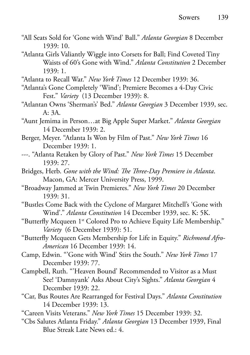- "All Seats Sold for 'Gone with Wind' Ball." *Atlanta Georgian* 8 December 1939: 10.
- "Atlanta Girls Valiantly Wiggle into Corsets for Ball; Find Coveted Tiny Waists of 60's Gone with Wind." *Atlanta Constitution* 2 December 1939: 1.

"Atlanta to Recall War." *New York Times* 12 December 1939: 36.

- "Atlanta's Gone Completely 'Wind'; Premiere Becomes a 4-Day Civic Fest." *Variety* (13 December 1939): 8.
- "Atlantan Owns 'Sherman's' Bed." *Atlanta Georgian* 3 December 1939, sec. A: 3A.
- "Aunt Jemima in Person…at Big Apple Super Market." *Atlanta Georgian* 14 December 1939: 2.
- Berger, Meyer. "Atlanta Is Won by Film of Past." *New York Times* 16 December 1939: 1.
- ---. "Atlanta Retaken by Glory of Past." *New York Times* 15 December 1939: 27.
- Bridges, Herb. *Gone with the Wind: The Three-Day Premiere in Atlanta*. Macon, GA: Mercer University Press, 1999.
- "Broadway Jammed at Twin Premieres." *New York Times* 20 December 1939: 31.
- "Bustles Come Back with the Cyclone of Margaret Mitchell's 'Gone with Wind'." *Atlanta Constitution* 14 December 1939, sec. K: 5K.
- "Butterfly Mcqueen 1<sup>st</sup> Colored Pro to Achieve Equity Life Membership." *Variety* (6 December 1939): 51.
- "Butterfly Mcqueen Gets Membership for Life in Equity." *Richmond Afro-American* 16 December 1939: 14.
- Camp, Edwin. "'Gone with Wind' Stirs the South." *New York Times* 17 December 1939: 77.
- Campbell, Ruth. "'Heaven Bound' Recommended to Visitor as a Must See! 'Damnyank' Asks About City's Sights." *Atlanta Georgian* 4 December 1939: 22.
- "Car, Bus Routes Are Rearranged for Festival Days." *Atlanta Constitution* 14 December 1939: 13.
- "Careen Visits Veterans." *New York Times* 15 December 1939: 32.
- "Cbs Salutes Atlanta Friday." *Atlanta Georgian* 13 December 1939, Final Blue Streak Late News ed.: 4.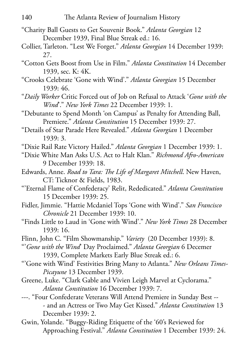- "Charity Ball Guests to Get Souvenir Book." *Atlanta Georgian* 12 December 1939, Final Blue Streak ed.: 16.
- Collier, Tarleton. "Lest We Forget." *Atlanta Georgian* 14 December 1939: 27.
- "Cotton Gets Boost from Use in Film." *Atlanta Constitution* 14 December 1939, sec. K: 4K.
- "Crooks Celebrate 'Gone with Wind'." *Atlanta Georgian* 15 December 1939: 46.
- "*Daily Worker* Critic Forced out of Job on Refusal to Attack '*Gone with the Wind*'." *New York Times* 22 December 1939: 1.
- "Debutante to Spend Month 'on Campus' as Penalty for Attending Ball, Premiere." *Atlanta Constitution* 15 December 1939: 27.
- "Details of Star Parade Here Revealed." *Atlanta Georgian* 1 December 1939: 3.
- "Dixie Rail Rate Victory Hailed." *Atlanta Georgian* 1 December 1939: 1.
- "Dixie White Man Asks U.S. Act to Halt Klan." *Richmond Afro-American* 9 December 1939: 18.
- Edwards, Anne. *Road to Tara: The Life of Margaret Mitchell*. New Haven, CT: Ticknor & Fields, 1983.
- "'Eternal Flame of Confederacy' Relit, Rededicated." *Atlanta Constitution* 15 December 1939: 25.
- Fidler, Jimmie. "Hattie Mcdaniel Tops 'Gone with Wind'." *San Francisco Chronicle* 21 December 1939: 10.
- "Finds Little to Laud in 'Gone with Wind'." *New York Times* 28 December 1939: 16.
- Flinn, John C. "Film Showmanship." *Variety* (20 December 1939): 8.

"'*Gone with the Wind*' Day Proclaimed." *Atlanta Georgian* 6 Decemer 1939, Complete Markets Early Blue Streak ed.: 6.

- "'Gone with Wind' Festivities Bring Many to Atlanta." *New Orleans Times-Picayune* 13 December 1939.
- Greene, Luke. "Clark Gable and Vivien Leigh Marvel at Cyclorama." *Atlanta Constitution* 16 December 1939: 7.
- ---. "Four Confederate Veterans Will Attend Premiere in Sunday Best -- - and an Actress or Two May Get Kissed." *Atlanta Constitution* 13 December 1939: 2.
- Gwin, Yolande. "Buggy-Riding Etiquette of the '60's Reviewed for Approaching Festival." *Atlanta Constitution* 1 December 1939: 24.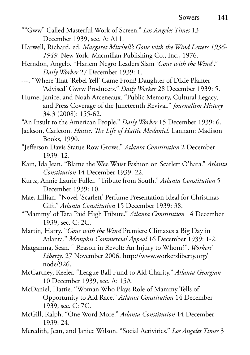- ""Gww" Called Masterful Work of Screen." *Los Angeles Times* 13 December 1939, sec. A: A11.
- Harwell, Richard, ed. *Margaret Mitchell's Gone with the Wind Letters 1936- 1949*. New York: Macmillan Publishing Co., Inc., 1976.
- Herndon, Angelo. "Harlem Negro Leaders Slam '*Gone with the Wind*'." *Daily Worker* 27 December 1939: 1.
- ---. "Where That 'Rebel Yell' Came From! Daughter of Dixie Planter 'Advised' Gwtw Producers." *Daily Worker* 28 December 1939: 5.
- Hume, Janice, and Noah Arceneaux. "Public Memory, Cultural Legacy, and Press Coverage of the Juneteenth Revival." *Journalism History* 34.3 (2008): 155-62.
- "An Insult to the American People." *Daily Worker* 15 December 1939: 6.
- Jackson, Carleton. *Hattie: The Life of Hattie Mcdaniel*. Lanham: Madison Books, 1990.
- "Jefferson Davis Statue Row Grows." *Atlanta Constitution* 2 December 1939: 12.
- Kain, Ida Jean. "Blame the Wee Waist Fashion on Scarlett O'hara." *Atlanta Constitution* 14 December 1939: 22.
- Kurtz, Annie Laurie Fuller. "Tribute from South." *Atlanta Constitution* 5 December 1939: 10.
- Mae, Lillian. "Novel 'Scarlett' Perfume Presentation Ideal for Christmas Gift." *Atlanta Constitution* 15 December 1939: 38.
- "'Mammy' of Tara Paid High Tribute." *Atlanta Constitution* 14 December 1939, sec. C: 2C.
- Martin, Harry. "*Gone with the Wind* Premiere Climaxes a Big Day in Atlanta." *Memphis Commercial Appeal* 16 December 1939: 1-2.
- Matgamna, Sean. " Reason in Revolt: An Injury to Whom?". *Workers' Liberty*. 27 November 2006. http://www.workersliberty.org/ node/926.
- McCartney, Keeler. "League Ball Fund to Aid Charity." *Atlanta Georgian* 10 December 1939, sec. A: 15A.
- McDaniel, Hattie. "Woman Who Plays Role of Mammy Tells of Opportunity to Aid Race." *Atlanta Constitution* 14 December 1939, sec. C: 7C.
- McGill, Ralph. "One Word More." *Atlanta Constitution* 14 December 1939: 24.
- Meredith, Jean, and Janice Wilson. "Social Activities." *Los Angeles Times* 3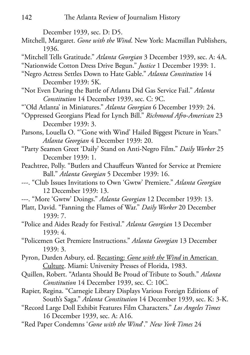December 1939, sec. D: D5.

- Mitchell, Margaret. *Gone with the Wind*. New York: Macmillan Publishers, 1936.
- "Mitchell Tells Gratitude." *Atlanta Georgian* 3 December 1939, sec. A: 4A.
- "Nationwide Cotton Dress Drive Begun." *Justice* 1 December 1939: 1.
- "Negro Actress Settles Down to Hate Gable." *Atlanta Constitution* 14 December 1939: 5K.
- "Not Even During the Battle of Atlanta Did Gas Service Fail." *Atlanta Constitution* 14 December 1939, sec. C: 9C.
- "'Old Atlanta' in Miniatures." *Atlanta Georgian* 6 December 1939: 24.
- "Oppressed Georgians Plead for Lynch Bill." *Richmond Afro-American* 23 December 1939: 3.
- Parsons, Louella O. "'Gone with Wind' Hailed Biggest Picture in Years." *Atlanta Georgian* 4 December 1939: 20.
- "Party Seamen Greet 'Daily' Stand on Anti-Negro Film." *Daily Worker* 25 December 1939: 1.
- Peachtree, Polly. "Butlers and Chauffeurs Wanted for Service at Premiere Ball." *Atlanta Georgian* 5 December 1939: 16.
- ---. "Club Issues Invitations to Own 'Gwtw' Premiere." *Atlanta Georgian* 12 December 1939: 13.
- ---. "More 'Gwtw' Doings." *Atlanta Georgian* 12 December 1939: 13.
- Platt, David. "Fanning the Flames of War." *Daily Worker* 20 December 1939: 7.
- "Police and Aides Ready for Festival." *Atlanta Georgian* 13 December 1939: 4.
- "Policemen Get Premiere Instructions." *Atlanta Georgian* 13 December 1939: 3.
- Pyron, Darden Asbury, ed. Recasting: *Gone with the Wind* in American Culture. Miami: University Presses of Florida, 1983.
- Quillen, Robert. "Atlanta Should Be Proud of Tribute to South." *Atlanta Constitution* 14 December 1939, sec. C: 10C.
- Rapier, Regina. "Carnegie Library Displays Various Foreign Editions of South's Saga." *Atlanta Constitution* 14 December 1939, sec. K: 3-K.
- "Record Large Doll Exhibit Features Film Characters." *Los Angeles Times* 16 December 1939, sec. A: A16.
- "Red Paper Condemns '*Gone with the Wind*'." *New York Times* 24